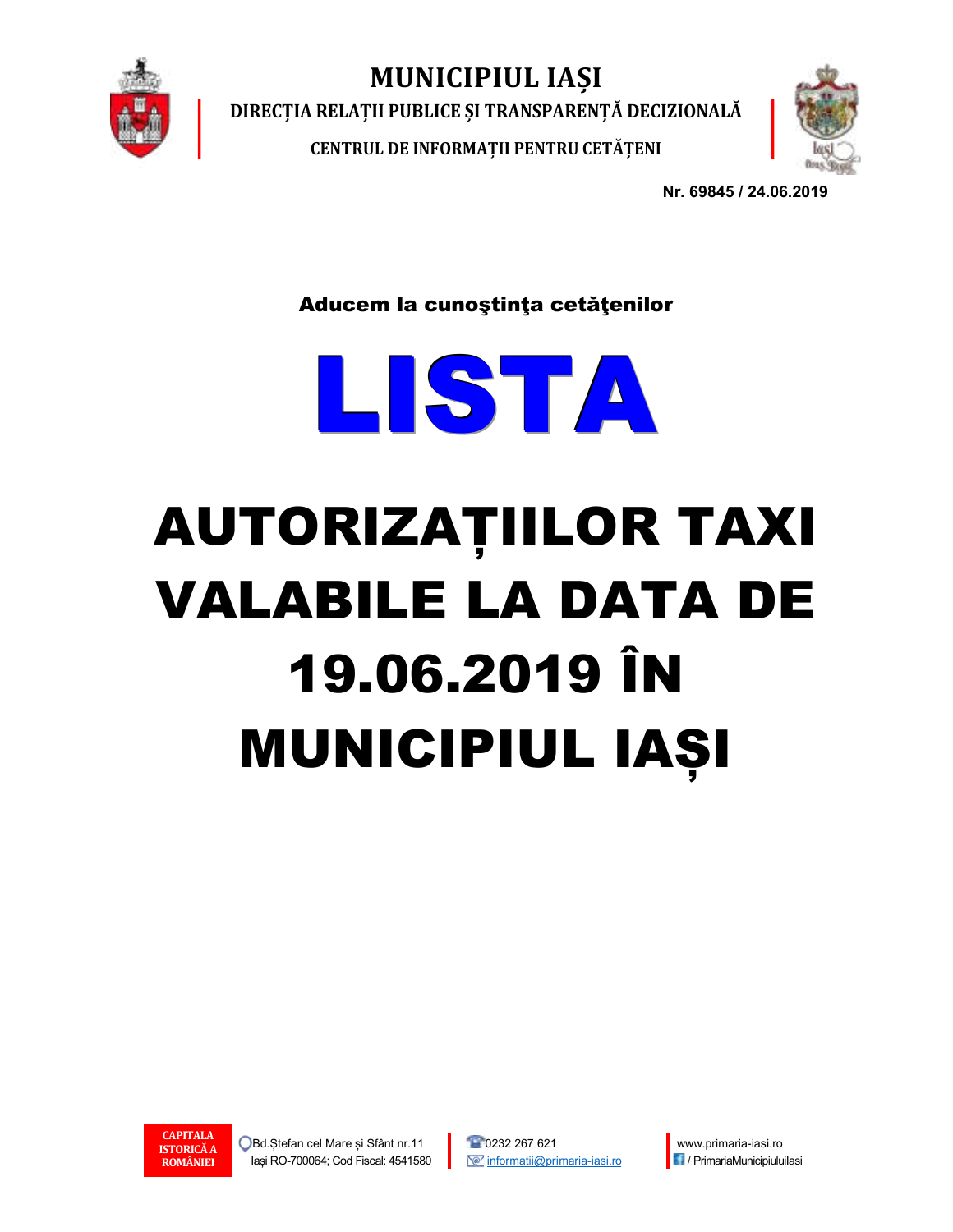

MUNICIPIUL IAȘI

DIRECȚIA RELAȚII PUBLICE ȘI TRANSPARENȚĂ DECIZIONALĂ

CENTRUL DE INFORMAȚII PENTRU CETĂȚENI



Nr. 69845 / 24.06.2019

Aducem la cunoştinţa cetăţenilor



## AUTORIZAȚIILOR TAXI VALABILE LA DATA DE 19.06.2019 ÎN MUNICIPIUL IAȘI



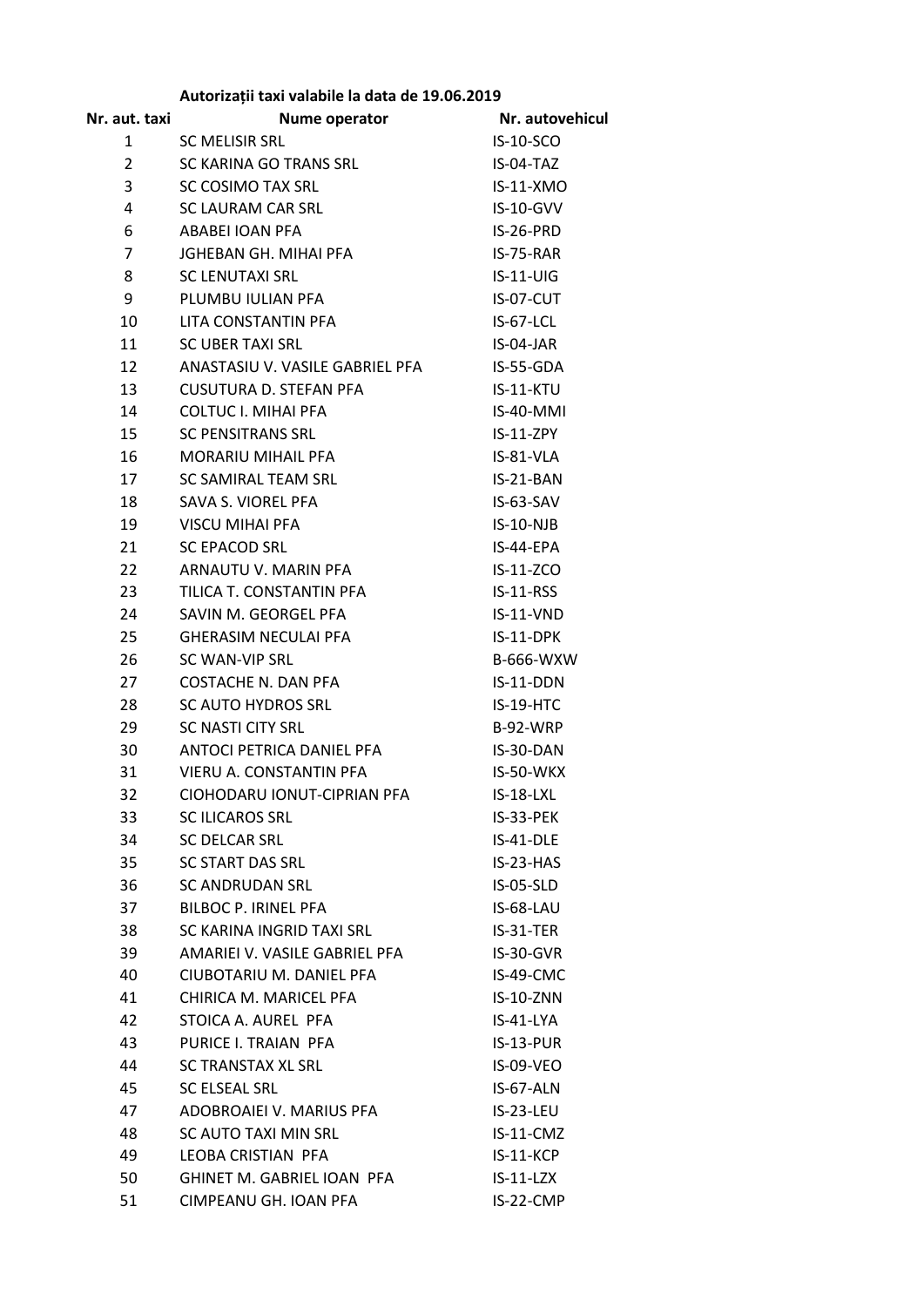| Nr. aut. taxi   | Nume operator                     | Nr. autovehicul  |
|-----------------|-----------------------------------|------------------|
| 1               | <b>SC MELISIR SRL</b>             | <b>IS-10-SCO</b> |
| $\overline{2}$  | SC KARINA GO TRANS SRL            | IS-04-TAZ        |
| 3               | SC COSIMO TAX SRL                 | $IS-11-XMO$      |
| 4               | SC LAURAM CAR SRL                 | IS-10-GVV        |
| 6               | ABABELIOAN PFA                    | IS-26-PRD        |
| $\overline{7}$  | JGHEBAN GH. MIHAI PFA             | IS-75-RAR        |
| 8               | <b>SC LENUTAXI SRL</b>            | $IS-11-UIG$      |
| 9               | PLUMBU IULIAN PFA                 | IS-07-CUT        |
| 10              | LITA CONSTANTIN PFA               | IS-67-LCL        |
| 11              | <b>SC UBER TAXI SRL</b>           | IS-04-JAR        |
| 12 <sup>1</sup> | ANASTASIU V. VASILE GABRIEL PFA   | IS-55-GDA        |
| 13              | <b>CUSUTURA D. STEFAN PFA</b>     | IS-11-KTU        |
| 14              | COLTUC I. MIHAI PFA               | IS-40-MMI        |
| 15              | <b>SC PENSITRANS SRL</b>          | IS-11-ZPY        |
| 16              | <b>MORARIU MIHAIL PFA</b>         | IS-81-VLA        |
| 17              | SC SAMIRAL TEAM SRL               | IS-21-BAN        |
| 18              | SAVA S. VIOREL PFA                | $IS-63-SAV$      |
| 19              | <b>VISCU MIHAI PFA</b>            | $IS-10-NJB$      |
| 21              | <b>SC EPACOD SRL</b>              | IS-44-EPA        |
| 22              | ARNAUTU V. MARIN PFA              | IS-11-ZCO        |
| 23              | TILICA T. CONSTANTIN PFA          | $IS-11-RSS$      |
| 24              | SAVIN M. GEORGEL PFA              | $IS-11-VND$      |
| 25              | <b>GHERASIM NECULAI PFA</b>       | IS-11-DPK        |
| 26              | SC WAN-VIP SRL                    | B-666-WXW        |
| 27              | COSTACHE N. DAN PFA               | IS-11-DDN        |
| 28              | SC AUTO HYDROS SRL                | IS-19-HTC        |
| 29              | <b>SC NASTI CITY SRL</b>          | <b>B-92-WRP</b>  |
| 30              | ANTOCI PETRICA DANIEL PFA         | IS-30-DAN        |
| 31              | VIERU A. CONSTANTIN PFA           | IS-50-WKX        |
| 32              | CIOHODARU IONUT-CIPRIAN PFA       | IS-18-LXL        |
| 33              | <b>SC ILICAROS SRL</b>            | IS-33-PEK        |
| 34              | <b>SC DELCAR SRL</b>              | IS-41-DLE        |
| 35              | SC START DAS SRL                  | $IS-23-HAS$      |
| 36              | <b>SC ANDRUDAN SRL</b>            | IS-05-SLD        |
| 37              | <b>BILBOC P. IRINEL PFA</b>       | IS-68-LAU        |
| 38              | SC KARINA INGRID TAXI SRL         | $IS-31-TER$      |
| 39              | AMARIEI V. VASILE GABRIEL PFA     | $IS-30-GVR$      |
| 40              | CIUBOTARIU M. DANIEL PFA          | IS-49-CMC        |
| 41              | CHIRICA M. MARICEL PFA            | IS-10-ZNN        |
| 42              | STOICA A. AUREL PFA               | IS-41-LYA        |
| 43              | PURICE I. TRAIAN PFA              | $IS-13-PUR$      |
| 44              | SC TRANSTAX XL SRL                | IS-09-VEO        |
| 45              | SC ELSEAL SRL                     | IS-67-ALN        |
| 47              | ADOBROAIEI V. MARIUS PFA          | IS-23-LEU        |
| 48              | SC AUTO TAXI MIN SRL              | IS-11-CMZ        |
| 49              | LEOBA CRISTIAN PFA                | $IS-11-KCP$      |
| 50              | <b>GHINET M. GABRIEL IOAN PFA</b> | $IS-11-LZX$      |
| 51              | CIMPEANU GH. IOAN PFA             | IS-22-CMP        |

## **Autorizații taxi valabile la data de 19.06.2019**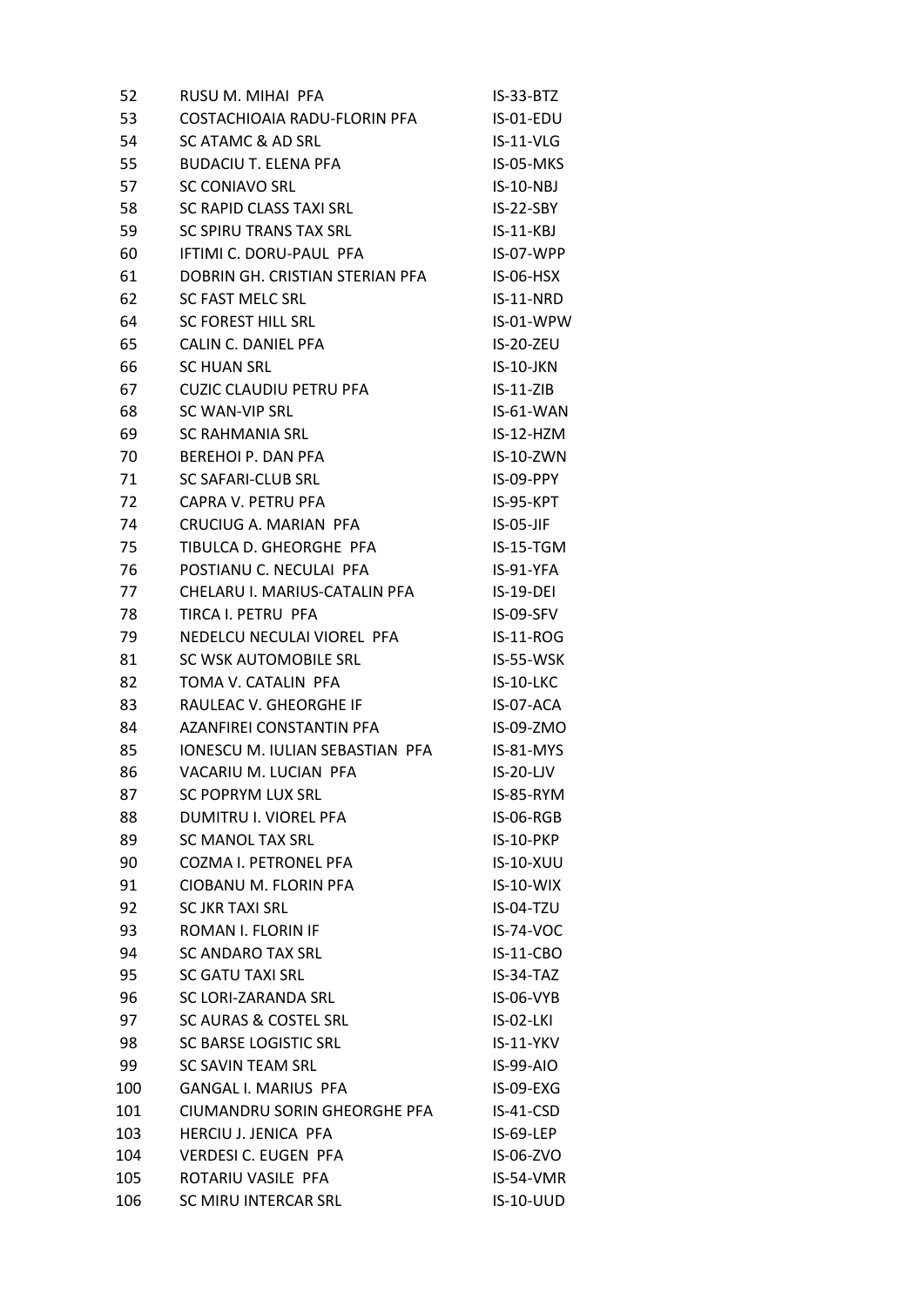| 52  | RUSU M. MIHAI PFA                      | $IS-33-BTZ$      |
|-----|----------------------------------------|------------------|
| 53  | COSTACHIOAIA RADU-FLORIN PFA           | IS-01-EDU        |
| 54  | SC ATAMC & AD SRL                      | $IS-11-VLG$      |
| 55  | <b>BUDACIU T. ELENA PFA</b>            | IS-05-MKS        |
| 57  | <b>SC CONIAVO SRL</b>                  | $IS-10-NBJ$      |
| 58  | SC RAPID CLASS TAXI SRL                | $IS-22-SBY$      |
| 59  | SC SPIRU TRANS TAX SRL                 | $IS-11-KBJ$      |
| 60  | IFTIMI C. DORU-PAUL PFA                | IS-07-WPP        |
| 61  | DOBRIN GH. CRISTIAN STERIAN PFA        | IS-06-HSX        |
| 62  | SC FAST MELC SRL                       | IS-11-NRD        |
| 64  | <b>SC FOREST HILL SRL</b>              | IS-01-WPW        |
| 65  | CALIN C. DANIEL PFA                    | IS-20-ZEU        |
| 66  | <b>SC HUAN SRL</b>                     | $IS-10-JKN$      |
| 67  | <b>CUZIC CLAUDIU PETRU PFA</b>         | $IS-11-ZIB$      |
| 68  | SC WAN-VIP SRL                         | IS-61-WAN        |
| 69  | SC RAHMANIA SRL                        | IS-12-HZM        |
| 70  | <b>BEREHOI P. DAN PFA</b>              | IS-10-ZWN        |
| 71  | <b>SC SAFARI-CLUB SRL</b>              | IS-09-PPY        |
| 72  | CAPRA V. PETRU PFA                     | IS-95-KPT        |
| 74  | CRUCIUG A. MARIAN PFA                  | $IS-05-JIF$      |
| 75  | TIBULCA D. GHEORGHE PFA                | IS-15-TGM        |
| 76  | POSTIANU C. NECULAI PFA                | IS-91-YFA        |
| 77  | CHELARU I. MARIUS-CATALIN PFA          | $IS-19-DEI$      |
| 78  | TIRCA I. PETRU PFA                     | IS-09-SFV        |
| 79  | NEDELCU NECULAI VIOREL PFA             | $IS-11-ROG$      |
| 81  | SC WSK AUTOMOBILE SRL                  | IS-55-WSK        |
| 82  | TOMA V. CATALIN PFA                    | IS-10-LKC        |
| 83  | RAULEAC V. GHEORGHE IF                 | IS-07-ACA        |
| 84  | AZANFIREI CONSTANTIN PFA               | IS-09-ZMO        |
| 85  | <b>IONESCU M. IULIAN SEBASTIAN PFA</b> | IS-81-MYS        |
| 86  | VACARIU M. LUCIAN PFA                  | $IS-20-LJV$      |
| 87  | <b>SC POPRYM LUX SRL</b>               | IS-85-RYM        |
| 88  | DUMITRU I. VIOREL PFA                  | IS-06-RGB        |
| 89  | <b>SC MANOL TAX SRL</b>                | IS-10-PKP        |
| 90  | COZMA I. PETRONEL PFA                  | <b>IS-10-XUU</b> |
| 91  | CIOBANU M. FLORIN PFA                  | IS-10-WIX        |
| 92  | <b>SC JKR TAXI SRL</b>                 | IS-04-TZU        |
| 93  | ROMAN I. FLORIN IF                     | <b>IS-74-VOC</b> |
| 94  | <b>SC ANDARO TAX SRL</b>               | <b>IS-11-CBO</b> |
| 95  | <b>SC GATU TAXI SRL</b>                | IS-34-TAZ        |
| 96  | SC LORI-ZARANDA SRL                    | IS-06-VYB        |
| 97  | <b>SC AURAS &amp; COSTEL SRL</b>       | <b>IS-02-LKI</b> |
| 98  | <b>SC BARSE LOGISTIC SRL</b>           | IS-11-YKV        |
| 99  | SC SAVIN TEAM SRL                      | <b>IS-99-AIO</b> |
| 100 | <b>GANGAL I. MARIUS PFA</b>            | IS-09-EXG        |
| 101 | CIUMANDRU SORIN GHEORGHE PFA           | IS-41-CSD        |
| 103 | HERCIU J. JENICA PFA                   | IS-69-LEP        |
| 104 | <b>VERDESI C. EUGEN PFA</b>            | IS-06-ZVO        |
| 105 | ROTARIU VASILE PFA                     | IS-54-VMR        |
| 106 | SC MIRU INTERCAR SRL                   | <b>IS-10-UUD</b> |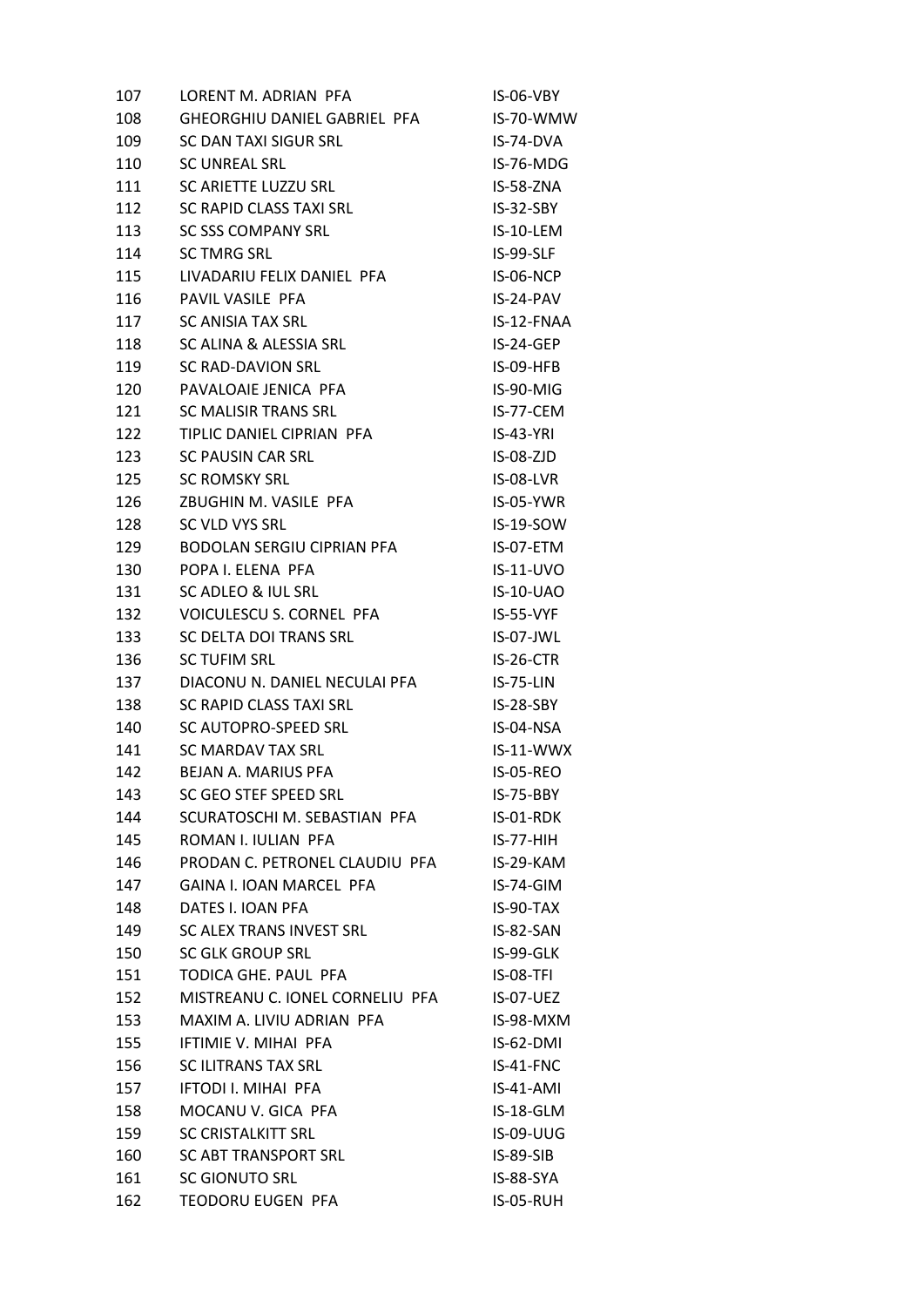| 107 | LORENT M. ADRIAN PFA                            | IS-06-VBY        |
|-----|-------------------------------------------------|------------------|
| 108 | GHEORGHIU DANIEL GABRIEL PFA                    | IS-70-WMW        |
| 109 | SC DAN TAXI SIGUR SRL                           | IS-74-DVA        |
| 110 | <b>SC UNREAL SRL</b>                            | IS-76-MDG        |
| 111 | SC ARIETTE LUZZU SRL                            | IS-58-ZNA        |
| 112 | SC RAPID CLASS TAXI SRL                         | $IS-32-SBY$      |
| 113 | <b>SC SSS COMPANY SRL</b>                       | IS-10-LEM        |
| 114 | <b>SC TMRG SRL</b>                              | IS-99-SLF        |
| 115 | LIVADARIU FELIX DANIEL PFA                      | IS-06-NCP        |
| 116 | PAVIL VASILE PFA                                | $IS-24-PAV$      |
| 117 | <b>SC ANISIA TAX SRL</b>                        | IS-12-FNAA       |
| 118 | SC ALINA & ALESSIA SRL                          | IS-24-GEP        |
| 119 | SC RAD-DAVION SRL                               | IS-09-HFB        |
| 120 | PAVALOAIE JENICA PFA                            | IS-90-MIG        |
| 121 | SC MALISIR TRANS SRL                            | IS-77-CEM        |
| 122 | TIPLIC DANIEL CIPRIAN PFA                       | $IS-43-YRI$      |
| 123 | SC PAUSIN CAR SRL                               | $IS-08-ZJD$      |
| 125 | <b>SC ROMSKY SRL</b>                            | IS-08-LVR        |
| 126 | ZBUGHIN M. VASILE PFA                           | IS-05-YWR        |
| 128 | SC VLD VYS SRL                                  | IS-19-SOW        |
| 129 | <b>BODOLAN SERGIU CIPRIAN PFA</b>               | IS-07-ETM        |
| 130 | POPA I. ELENA PFA                               | $IS-11-UVO$      |
| 131 | SC ADLEO & IUL SRL                              | <b>IS-10-UAO</b> |
| 132 | VOICULESCU S. CORNEL PFA                        | $IS-55-VYF$      |
| 133 | SC DELTA DOI TRANS SRL                          | IS-07-JWL        |
| 136 | <b>SC TUFIM SRL</b>                             | IS-26-CTR        |
| 137 | DIACONU N. DANIEL NECULAI PFA                   | IS-75-LIN        |
| 138 | SC RAPID CLASS TAXI SRL                         | IS-28-SBY        |
| 140 | SC AUTOPRO-SPEED SRL                            | IS-04-NSA        |
| 141 | SC MARDAV TAX SRL                               | $IS-11-WWX$      |
| 142 | BEJAN A. MARIUS PFA                             | <b>IS-05-REO</b> |
| 143 | SC GEO STEF SPEED SRL                           | IS-75-BBY        |
| 144 | SCURATOSCHI M. SEBASTIAN PFA                    | IS-01-RDK        |
| 145 | ROMAN I. IULIAN PFA                             | $IS-77-HIH$      |
| 146 | PRODAN C. PETRONEL CLAUDIU PFA                  | IS-29-KAM        |
| 147 | GAINA I. IOAN MARCEL PFA                        | IS-74-GIM        |
| 148 | DATES I. IOAN PFA                               | IS-90-TAX        |
| 149 | SC ALEX TRANS INVEST SRL                        | IS-82-SAN        |
| 150 | <b>SC GLK GROUP SRL</b>                         | IS-99-GLK        |
| 151 | TODICA GHE, PAUL PFA                            | IS-08-TFI        |
| 152 | MISTREANU C. IONEL CORNELIU PFA                 | IS-07-UEZ        |
| 153 | MAXIM A. LIVIU ADRIAN PFA                       | IS-98-MXM        |
| 155 | IFTIMIE V. MIHAI PFA                            | $IS-62-DMI$      |
| 156 | <b>SC ILITRANS TAX SRL</b>                      | IS-41-FNC        |
| 157 | IFTODI I. MIHAI PFA                             | $IS-41-AMI$      |
|     |                                                 |                  |
| 158 | MOCANU V. GICA PFA<br><b>SC CRISTALKITT SRL</b> | IS-18-GLM        |
| 159 |                                                 | <b>IS-09-UUG</b> |
| 160 | SC ABT TRANSPORT SRL                            | IS-89-SIB        |
| 161 | <b>SC GIONUTO SRL</b>                           | IS-88-SYA        |
| 162 | TEODORU EUGEN PFA                               | IS-05-RUH        |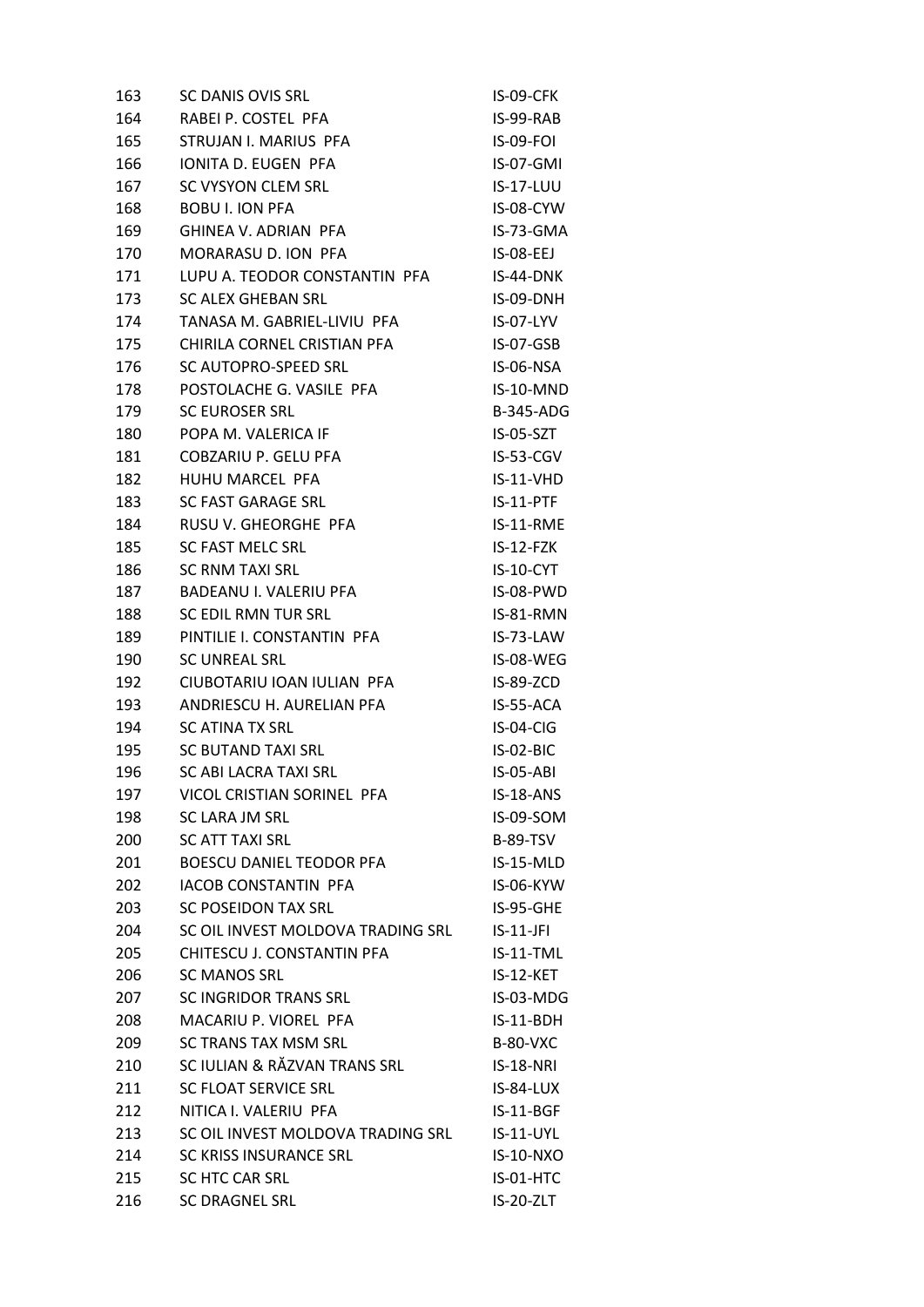| 163 | <b>SC DANIS OVIS SRL</b>          | IS-09-CFK        |
|-----|-----------------------------------|------------------|
| 164 | RABEI P. COSTEL PFA               | IS-99-RAB        |
| 165 | STRUJAN I. MARIUS PFA             | <b>IS-09-FOL</b> |
| 166 | IONITA D. EUGEN PFA               | IS-07-GMI        |
| 167 | SC VYSYON CLEM SRL                | <b>IS-17-LUU</b> |
| 168 | <b>BOBU I. ION PFA</b>            | IS-08-CYW        |
| 169 | GHINEA V. ADRIAN PFA              | IS-73-GMA        |
| 170 | MORARASU D. ION PFA               | $IS-08-EEJ$      |
| 171 | LUPU A. TEODOR CONSTANTIN PFA     | IS-44-DNK        |
| 173 | <b>SC ALEX GHEBAN SRL</b>         | IS-09-DNH        |
| 174 | TANASA M. GABRIEL-LIVIU PFA       | IS-07-LYV        |
| 175 | CHIRILA CORNEL CRISTIAN PFA       | IS-07-GSB        |
| 176 | SC AUTOPRO-SPEED SRL              | IS-06-NSA        |
| 178 | POSTOLACHE G. VASILE PFA          | IS-10-MND        |
| 179 | <b>SC EUROSER SRL</b>             | <b>B-345-ADG</b> |
| 180 | POPA M. VALERICA IF               | $IS-05-SZT$      |
| 181 | COBZARIU P. GELU PFA              | IS-53-CGV        |
| 182 | HUHU MARCEL PFA                   | IS-11-VHD        |
| 183 | <b>SC FAST GARAGE SRL</b>         | IS-11-PTF        |
| 184 | RUSU V. GHEORGHE PFA              | IS-11-RME        |
| 185 | <b>SC FAST MELC SRL</b>           | $IS-12-FZK$      |
| 186 | <b>SC RNM TAXI SRL</b>            | IS-10-CYT        |
| 187 | BADEANU I. VALERIU PFA            | IS-08-PWD        |
| 188 | SC EDIL RMN TUR SRL               | IS-81-RMN        |
| 189 | PINTILIE I. CONSTANTIN PFA        | IS-73-LAW        |
| 190 | <b>SC UNREAL SRL</b>              | IS-08-WEG        |
| 192 | CIUBOTARIU IOAN IULIAN PFA        | IS-89-ZCD        |
| 193 | ANDRIESCU H. AURELIAN PFA         | IS-55-ACA        |
| 194 | <b>SC ATINA TX SRL</b>            | IS-04-CIG        |
| 195 | <b>SC BUTAND TAXI SRL</b>         | IS-02-BIC        |
| 196 | SC ABI LACRA TAXI SRL             | <b>IS-05-ABI</b> |
| 197 | VICOL CRISTIAN SORINEL PFA        | IS-18-ANS        |
| 198 | SC LARA JM SRL                    | IS-09-SOM        |
| 200 | <b>SC ATT TAXI SRL</b>            | <b>B-89-TSV</b>  |
| 201 | <b>BOESCU DANIEL TEODOR PFA</b>   | IS-15-MLD        |
| 202 | <b>IACOB CONSTANTIN PFA</b>       | IS-06-KYW        |
| 203 | SC POSEIDON TAX SRL               | IS-95-GHE        |
| 204 | SC OIL INVEST MOLDOVA TRADING SRL | $IS-11-JFI$      |
| 205 | CHITESCU J. CONSTANTIN PFA        | IS-11-TML        |
| 206 | <b>SC MANOS SRL</b>               | IS-12-KET        |
| 207 | <b>SC INGRIDOR TRANS SRL</b>      | IS-03-MDG        |
| 208 | MACARIU P. VIOREL PFA             | $IS-11-BDH$      |
| 209 | SC TRANS TAX MSM SRL              | <b>B-80-VXC</b>  |
| 210 | SC IULIAN & RĂZVAN TRANS SRL      | IS-18-NRI        |
| 211 | SC FLOAT SERVICE SRL              | IS-84-LUX        |
| 212 | NITICA I. VALERIU PFA             | IS-11-BGF        |
| 213 | SC OIL INVEST MOLDOVA TRADING SRL | $IS-11-UVL$      |
| 214 | <b>SC KRISS INSURANCE SRL</b>     | <b>IS-10-NXO</b> |
| 215 | SC HTC CAR SRL                    | IS-01-HTC        |
| 216 | SC DRAGNEL SRL                    | IS-20-ZLT        |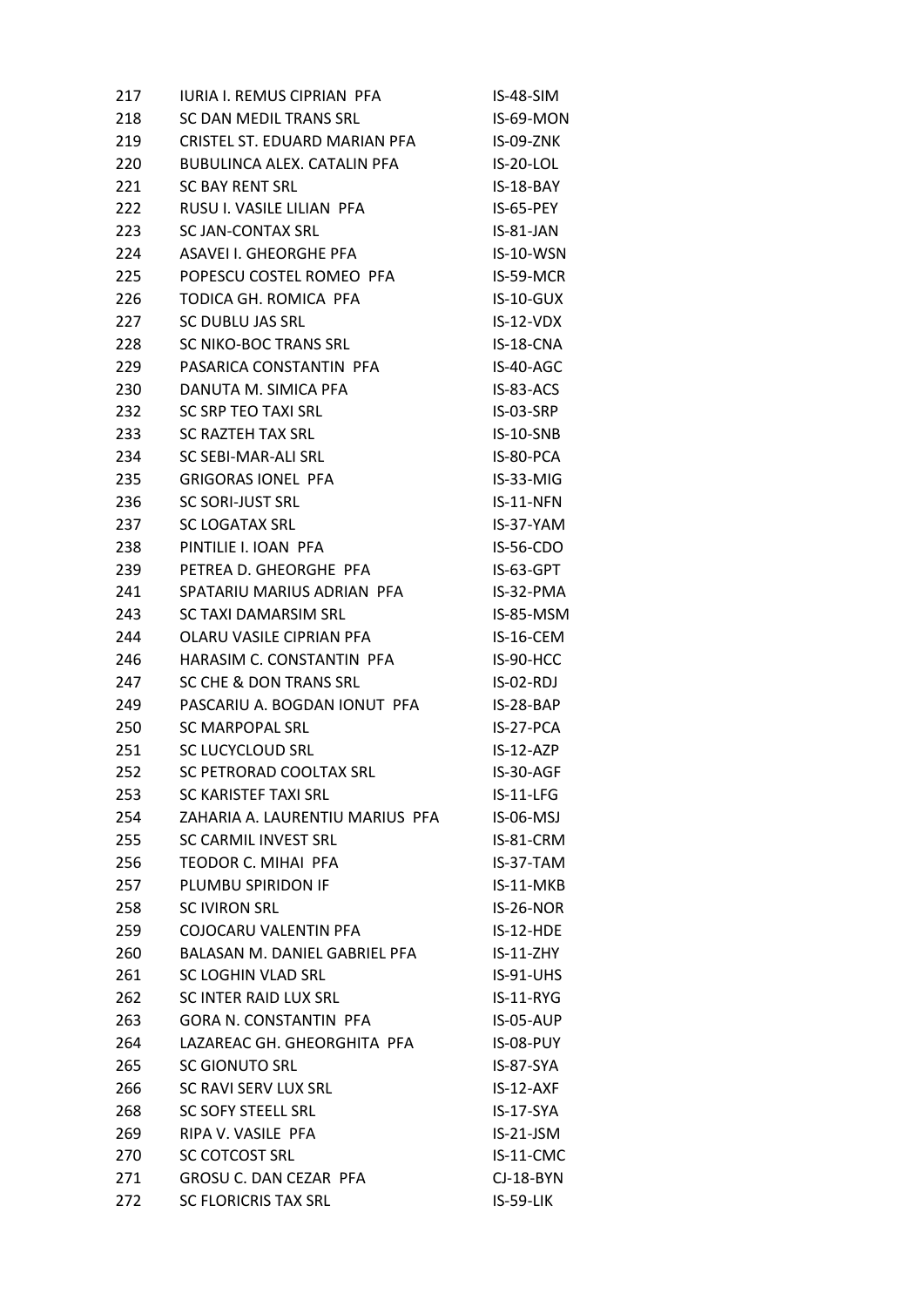| 217 | <b>IURIA I. REMUS CIPRIAN PFA</b> | IS-48-SIM        |
|-----|-----------------------------------|------------------|
| 218 | SC DAN MEDIL TRANS SRL            | IS-69-MON        |
| 219 | CRISTEL ST. EDUARD MARIAN PFA     | IS-09-ZNK        |
| 220 | BUBULINCA ALEX. CATALIN PFA       | IS-20-LOL        |
| 221 | <b>SC BAY RENT SRL</b>            | IS-18-BAY        |
| 222 | RUSU I. VASILE LILIAN PFA         | IS-65-PEY        |
| 223 | <b>SC JAN-CONTAX SRL</b>          | IS-81-JAN        |
| 224 | ASAVEI I. GHEORGHE PFA            | <b>IS-10-WSN</b> |
| 225 | POPESCU COSTEL ROMEO PFA          | IS-59-MCR        |
| 226 | TODICA GH. ROMICA PFA             | $IS-10-GUX$      |
| 227 | SC DUBLU JAS SRL                  | $IS-12-VDX$      |
| 228 | SC NIKO-BOC TRANS SRL             | IS-18-CNA        |
| 229 | PASARICA CONSTANTIN PFA           | IS-40-AGC        |
| 230 | DANUTA M. SIMICA PFA              | IS-83-ACS        |
| 232 | SC SRP TEO TAXI SRL               | IS-03-SRP        |
| 233 | <b>SC RAZTEH TAX SRL</b>          | IS-10-SNB        |
| 234 | SC SEBI-MAR-ALI SRL               | IS-80-PCA        |
| 235 | <b>GRIGORAS IONEL PFA</b>         | IS-33-MIG        |
| 236 | <b>SC SORI-JUST SRL</b>           | IS-11-NFN        |
| 237 | <b>SC LOGATAX SRL</b>             | IS-37-YAM        |
| 238 | PINTILIE I. IOAN PFA              | <b>IS-56-CDO</b> |
| 239 | PETREA D. GHEORGHE PFA            | IS-63-GPT        |
| 241 | SPATARIU MARIUS ADRIAN PFA        | IS-32-PMA        |
| 243 | SC TAXI DAMARSIM SRL              | IS-85-MSM        |
| 244 | OLARU VASILE CIPRIAN PFA          | IS-16-CEM        |
| 246 | HARASIM C. CONSTANTIN PFA         | IS-90-HCC        |
| 247 | SC CHE & DON TRANS SRL            | $IS-02-RDJ$      |
| 249 | PASCARIU A. BOGDAN IONUT PFA      | IS-28-BAP        |
| 250 | SC MARPOPAL SRL                   | IS-27-PCA        |
| 251 | <b>SC LUCYCLOUD SRL</b>           | $IS-12-AZP$      |
| 252 | SC PETRORAD COOLTAX SRL           | IS-30-AGF        |
| 253 | SC KARISTEF TAXI SRL              | IS-11-LFG        |
| 254 | ZAHARIA A. LAURENTIU MARIUS PFA   | IS-06-MSJ        |
| 255 | SC CARMIL INVEST SRL              | IS-81-CRM        |
| 256 | <b>TEODOR C. MIHAI PFA</b>        | IS-37-TAM        |
| 257 | PLUMBU SPIRIDON IF                | IS-11-MKB        |
| 258 | <b>SC IVIRON SRL</b>              | IS-26-NOR        |
| 259 | COJOCARU VALENTIN PFA             | $IS-12-HDE$      |
| 260 | BALASAN M. DANIEL GABRIEL PFA     | $IS-11-ZHY$      |
| 261 | <b>SC LOGHIN VLAD SRL</b>         | $IS-91-UHS$      |
| 262 | SC INTER RAID LUX SRL             | $IS-11-RYG$      |
| 263 | <b>GORA N. CONSTANTIN PFA</b>     | IS-05-AUP        |
| 264 | LAZAREAC GH. GHEORGHITA PFA       | IS-08-PUY        |
| 265 | SC GIONUTO SRL                    | IS-87-SYA        |
| 266 | SC RAVI SERV LUX SRL              | $IS-12-AXF$      |
| 268 | <b>SC SOFY STEELL SRL</b>         | IS-17-SYA        |
| 269 | RIPA V. VASILE PFA                | $IS-21-JSM$      |
| 270 | <b>SC COTCOST SRL</b>             | IS-11-CMC        |
| 271 | GROSU C. DAN CEZAR PFA            | $CI-18-BYN$      |
| 272 | <b>SC FLORICRIS TAX SRL</b>       | IS-59-LIK        |
|     |                                   |                  |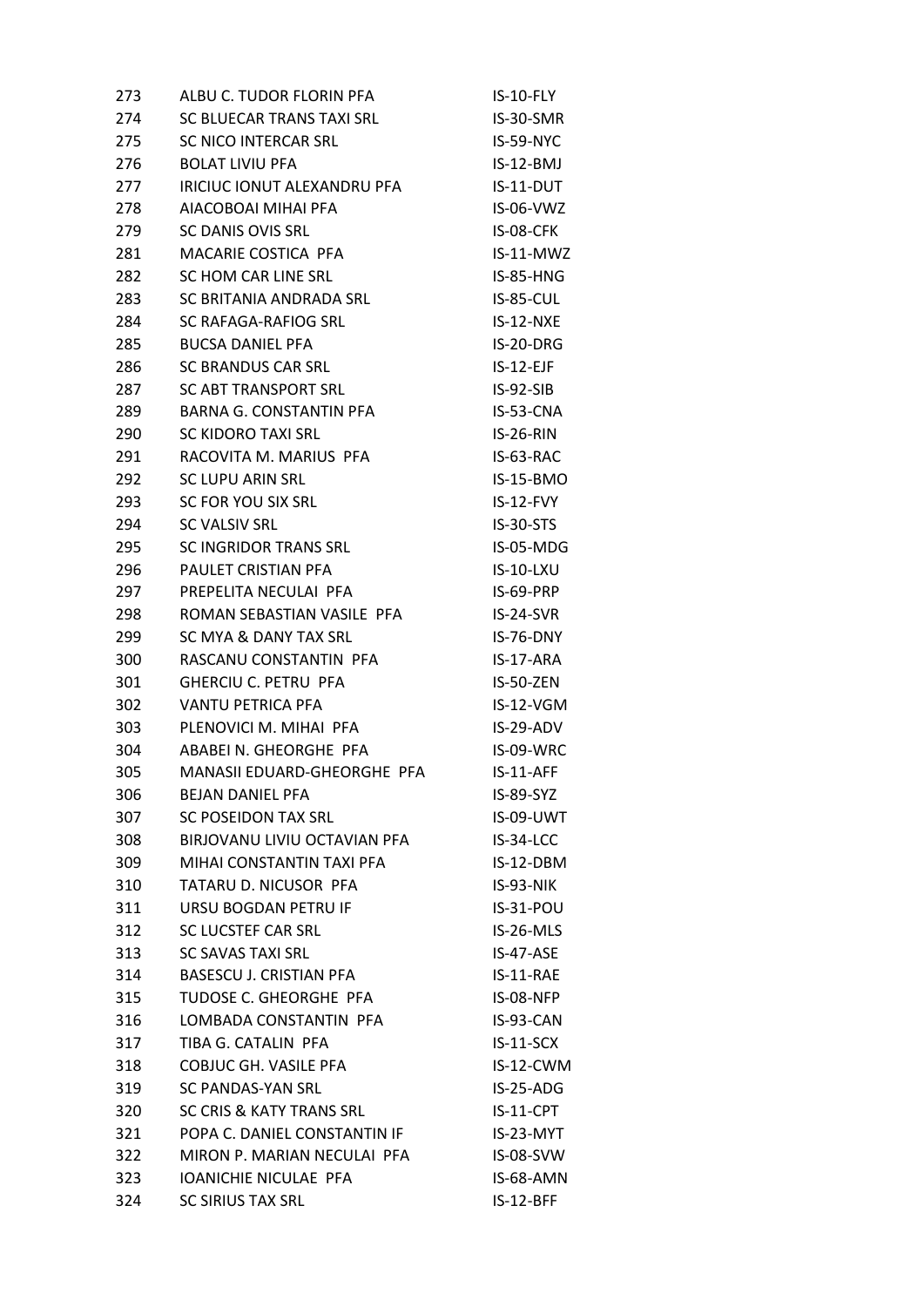| 273 | ALBU C. TUDOR FLORIN PFA       | IS-10-FLY        |
|-----|--------------------------------|------------------|
| 274 | SC BLUECAR TRANS TAXI SRL      | IS-30-SMR        |
| 275 | SC NICO INTERCAR SRL           | IS-59-NYC        |
| 276 | <b>BOLAT LIVIU PFA</b>         | $IS-12-BMJ$      |
| 277 | IRICIUC IONUT ALEXANDRU PFA    | IS-11-DUT        |
| 278 | AIACOBOAI MIHAI PFA            | $IS-06-VWZ$      |
| 279 | SC DANIS OVIS SRL              | IS-08-CFK        |
| 281 | MACARIE COSTICA PFA            | IS-11-MWZ        |
| 282 | SC HOM CAR LINE SRL            | IS-85-HNG        |
| 283 | SC BRITANIA ANDRADA SRL        | $IS-85-CUL$      |
| 284 | SC RAFAGA-RAFIOG SRL           | $IS-12-NXE$      |
| 285 | <b>BUCSA DANIEL PFA</b>        | IS-20-DRG        |
| 286 | SC BRANDUS CAR SRL             | $IS-12-EJF$      |
| 287 | SC ABT TRANSPORT SRL           | $IS-92-SIB$      |
| 289 | BARNA G. CONSTANTIN PFA        | $IS-53-CNA$      |
| 290 | <b>SC KIDORO TAXI SRL</b>      | $IS-26-RIN$      |
| 291 | RACOVITA M. MARIUS PFA         | IS-63-RAC        |
| 292 | <b>SC LUPU ARIN SRL</b>        | IS-15-BMO        |
| 293 | SC FOR YOU SIX SRL             | $IS-12-FVY$      |
| 294 | SC VALSIV SRL                  | IS-30-STS        |
| 295 | SC INGRIDOR TRANS SRL          | IS-05-MDG        |
| 296 | PAULET CRISTIAN PFA            | <b>IS-10-LXU</b> |
| 297 | PREPELITA NECULAI PFA          | IS-69-PRP        |
| 298 | ROMAN SEBASTIAN VASILE PFA     | $IS-24-SVR$      |
| 299 | SC MYA & DANY TAX SRL          | $IS-76-DNY$      |
| 300 | RASCANU CONSTANTIN PFA         | IS-17-ARA        |
| 301 | <b>GHERCIU C. PETRU PFA</b>    | IS-50-ZEN        |
| 302 | <b>VANTU PETRICA PFA</b>       | IS-12-VGM        |
| 303 | PLENOVICI M. MIHAI PFA         | $IS-29-ADV$      |
| 304 | ABABEI N. GHEORGHE PFA         | IS-09-WRC        |
| 305 | MANASII EDUARD-GHEORGHE PFA    | $IS-11-AFF$      |
| 306 | <b>BEJAN DANIEL PFA</b>        | <b>IS-89-SYZ</b> |
| 307 | <b>SC POSEIDON TAX SRL</b>     | IS-09-UWT        |
| 308 | BIRJOVANU LIVIU OCTAVIAN PFA   | IS-34-LCC        |
| 309 | MIHAI CONSTANTIN TAXI PFA      | IS-12-DBM        |
| 310 | TATARU D. NICUSOR PFA          | IS-93-NIK        |
| 311 | URSU BOGDAN PETRU IF           | IS-31-POU        |
| 312 | SC LUCSTEF CAR SRL             | IS-26-MLS        |
| 313 | <b>SC SAVAS TAXI SRL</b>       | IS-47-ASE        |
| 314 | <b>BASESCU J. CRISTIAN PFA</b> | IS-11-RAE        |
| 315 | TUDOSE C. GHEORGHE PFA         | IS-08-NFP        |
| 316 | LOMBADA CONSTANTIN PFA         | IS-93-CAN        |
| 317 | TIBA G. CATALIN PFA            | $IS-11-SCX$      |
| 318 | <b>COBJUC GH. VASILE PFA</b>   | IS-12-CWM        |
| 319 | SC PANDAS-YAN SRL              | $IS-25-ADG$      |
| 320 | SC CRIS & KATY TRANS SRL       | IS-11-CPT        |
| 321 | POPA C. DANIEL CONSTANTIN IF   | IS-23-MYT        |
| 322 | MIRON P. MARIAN NECULAI PFA    | IS-08-SVW        |
| 323 | IOANICHIE NICULAE PFA          | IS-68-AMN        |
| 324 | <b>SC SIRIUS TAX SRL</b>       | IS-12-BFF        |
|     |                                |                  |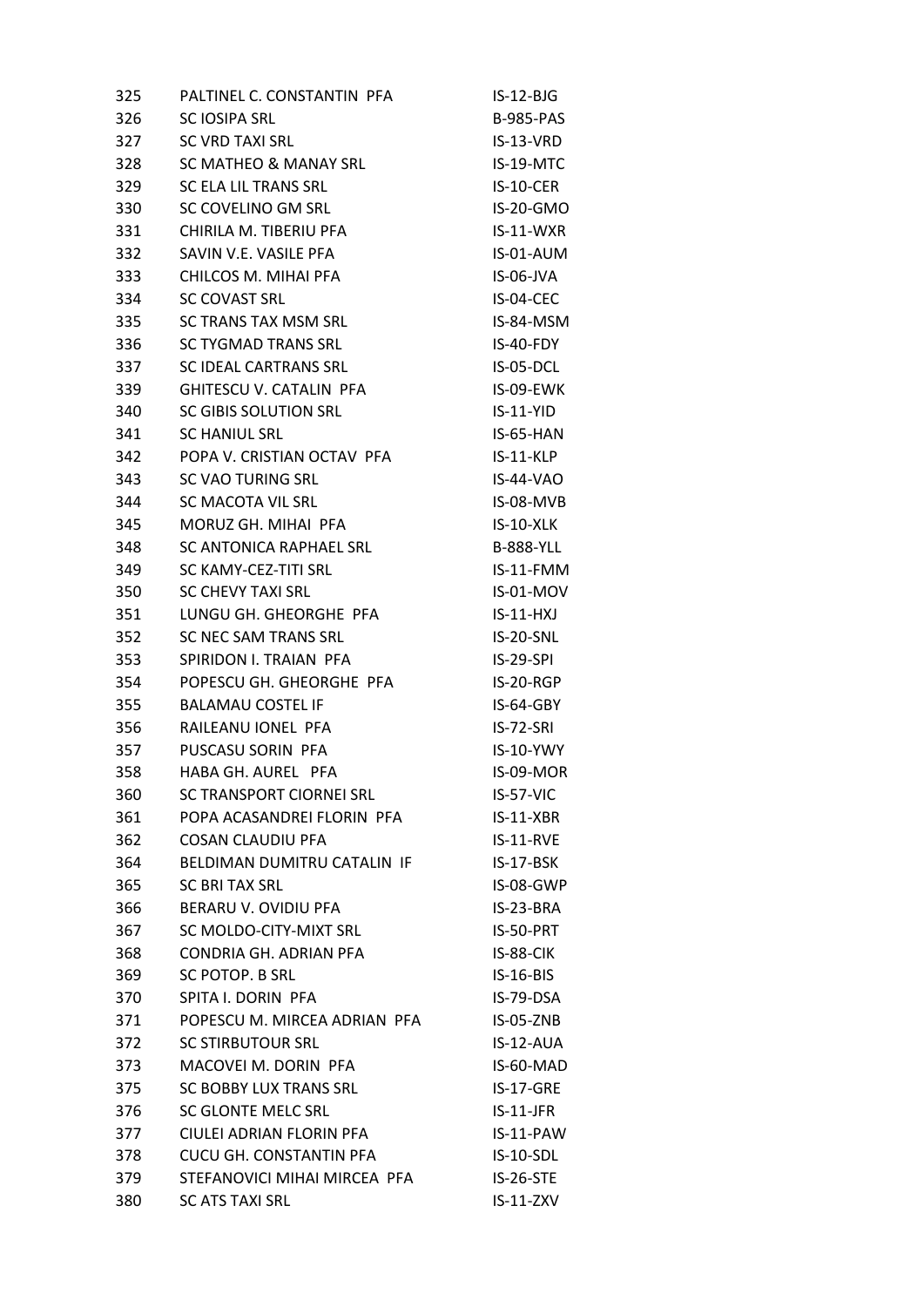| 326<br><b>B-985-PAS</b><br><b>SC IOSIPA SRL</b><br><b>SC VRD TAXI SRL</b><br>327<br>IS-13-VRD<br>328<br>SC MATHEO & MANAY SRL<br>IS-19-MTC<br>329<br>SC ELA LIL TRANS SRL<br>IS-10-CER<br>SC COVELINO GM SRL<br>330<br>IS-20-GMO<br>CHIRILA M. TIBERIU PFA<br>IS-11-WXR<br>331<br>SAVIN V.E. VASILE PFA<br>IS-01-AUM<br>332<br>CHILCOS M. MIHAI PFA<br>IS-06-JVA<br>333<br>334<br>IS-04-CEC<br>SC COVAST SRL<br>SC TRANS TAX MSM SRL<br>335<br>IS-84-MSM<br>336<br>SC TYGMAD TRANS SRL<br>IS-40-FDY<br>337<br>SC IDEAL CARTRANS SRL<br>IS-05-DCL<br>GHITESCU V. CATALIN PFA<br>IS-09-EWK<br>339<br>SC GIBIS SOLUTION SRL<br>$IS-11-YID$<br>340<br>341<br><b>SC HANIUL SRL</b><br>IS-65-HAN<br>POPA V. CRISTIAN OCTAV PFA<br>342<br>$IS-11-KLP$<br>343<br>SC VAO TURING SRL<br>IS-44-VAO<br>344<br>SC MACOTA VIL SRL<br>IS-08-MVB<br>345<br>MORUZ GH. MIHAI PFA<br>$IS-10-XLK$<br>SC ANTONICA RAPHAEL SRL<br>348<br><b>B-888-YLL</b><br>349<br>SC KAMY-CEZ-TITI SRL<br>IS-11-FMM<br>350<br><b>SC CHEVY TAXI SRL</b><br>IS-01-MOV<br>351<br>LUNGU GH. GHEORGHE PFA<br>$IS-11-HXJ$<br>352<br>SC NEC SAM TRANS SRL<br>IS-20-SNL<br>353<br>SPIRIDON I. TRAIAN PFA<br>$IS-29-SPI$<br>354<br>POPESCU GH. GHEORGHE PFA<br>IS-20-RGP<br>355<br><b>BALAMAU COSTEL IF</b><br>IS-64-GBY<br>356<br>RAILEANU IONEL PFA<br>IS-72-SRI<br>357<br>PUSCASU SORIN PFA<br>IS-10-YWY<br>HABA GH. AUREL PFA<br>358<br>IS-09-MOR<br>SC TRANSPORT CIORNEI SRL<br>360<br>IS-57-VIC<br>POPA ACASANDREI FLORIN PFA<br>361<br>$IS-11-XBR$<br>362<br><b>COSAN CLAUDIU PFA</b><br>IS-11-RVE<br>364<br>BELDIMAN DUMITRU CATALIN IF<br>IS-17-BSK<br>365<br><b>SC BRITAX SRL</b><br>IS-08-GWP<br>366<br>BERARU V. OVIDIU PFA<br>IS-23-BRA<br>367<br>SC MOLDO-CITY-MIXT SRL<br>IS-50-PRT<br>CONDRIA GH. ADRIAN PFA<br>368<br>IS-88-CIK<br>369<br>SC POTOP. B SRL<br>$IS-16-BIS$<br>SPITA I. DORIN PFA<br>IS-79-DSA<br>370<br>POPESCU M. MIRCEA ADRIAN PFA<br>371<br><b>IS-05-ZNB</b><br>372<br><b>SC STIRBUTOUR SRL</b><br>IS-12-AUA<br>MACOVEI M. DORIN PFA<br>IS-60-MAD<br>373<br><b>SC BOBBY LUX TRANS SRL</b><br>375<br>IS-17-GRE<br>376<br>SC GLONTE MELC SRL<br>$IS-11-JFR$<br>CIULEI ADRIAN FLORIN PFA<br>377<br>IS-11-PAW<br><b>CUCU GH. CONSTANTIN PFA</b><br>IS-10-SDL<br>378<br>STEFANOVICI MIHAI MIRCEA PFA<br>379<br>IS-26-STE<br>380<br><b>SC ATS TAXI SRL</b><br>$IS-11-ZXV$ | 325 | PALTINEL C. CONSTANTIN PFA | $IS-12-BJG$ |
|----------------------------------------------------------------------------------------------------------------------------------------------------------------------------------------------------------------------------------------------------------------------------------------------------------------------------------------------------------------------------------------------------------------------------------------------------------------------------------------------------------------------------------------------------------------------------------------------------------------------------------------------------------------------------------------------------------------------------------------------------------------------------------------------------------------------------------------------------------------------------------------------------------------------------------------------------------------------------------------------------------------------------------------------------------------------------------------------------------------------------------------------------------------------------------------------------------------------------------------------------------------------------------------------------------------------------------------------------------------------------------------------------------------------------------------------------------------------------------------------------------------------------------------------------------------------------------------------------------------------------------------------------------------------------------------------------------------------------------------------------------------------------------------------------------------------------------------------------------------------------------------------------------------------------------------------------------------------------------------------------------------------------------------------------------------------------------------------------------------------------------------------------------------------------------------------------------------------------------------------------------------------------------------------------------------------------------------------------------|-----|----------------------------|-------------|
|                                                                                                                                                                                                                                                                                                                                                                                                                                                                                                                                                                                                                                                                                                                                                                                                                                                                                                                                                                                                                                                                                                                                                                                                                                                                                                                                                                                                                                                                                                                                                                                                                                                                                                                                                                                                                                                                                                                                                                                                                                                                                                                                                                                                                                                                                                                                                          |     |                            |             |
|                                                                                                                                                                                                                                                                                                                                                                                                                                                                                                                                                                                                                                                                                                                                                                                                                                                                                                                                                                                                                                                                                                                                                                                                                                                                                                                                                                                                                                                                                                                                                                                                                                                                                                                                                                                                                                                                                                                                                                                                                                                                                                                                                                                                                                                                                                                                                          |     |                            |             |
|                                                                                                                                                                                                                                                                                                                                                                                                                                                                                                                                                                                                                                                                                                                                                                                                                                                                                                                                                                                                                                                                                                                                                                                                                                                                                                                                                                                                                                                                                                                                                                                                                                                                                                                                                                                                                                                                                                                                                                                                                                                                                                                                                                                                                                                                                                                                                          |     |                            |             |
|                                                                                                                                                                                                                                                                                                                                                                                                                                                                                                                                                                                                                                                                                                                                                                                                                                                                                                                                                                                                                                                                                                                                                                                                                                                                                                                                                                                                                                                                                                                                                                                                                                                                                                                                                                                                                                                                                                                                                                                                                                                                                                                                                                                                                                                                                                                                                          |     |                            |             |
|                                                                                                                                                                                                                                                                                                                                                                                                                                                                                                                                                                                                                                                                                                                                                                                                                                                                                                                                                                                                                                                                                                                                                                                                                                                                                                                                                                                                                                                                                                                                                                                                                                                                                                                                                                                                                                                                                                                                                                                                                                                                                                                                                                                                                                                                                                                                                          |     |                            |             |
|                                                                                                                                                                                                                                                                                                                                                                                                                                                                                                                                                                                                                                                                                                                                                                                                                                                                                                                                                                                                                                                                                                                                                                                                                                                                                                                                                                                                                                                                                                                                                                                                                                                                                                                                                                                                                                                                                                                                                                                                                                                                                                                                                                                                                                                                                                                                                          |     |                            |             |
|                                                                                                                                                                                                                                                                                                                                                                                                                                                                                                                                                                                                                                                                                                                                                                                                                                                                                                                                                                                                                                                                                                                                                                                                                                                                                                                                                                                                                                                                                                                                                                                                                                                                                                                                                                                                                                                                                                                                                                                                                                                                                                                                                                                                                                                                                                                                                          |     |                            |             |
|                                                                                                                                                                                                                                                                                                                                                                                                                                                                                                                                                                                                                                                                                                                                                                                                                                                                                                                                                                                                                                                                                                                                                                                                                                                                                                                                                                                                                                                                                                                                                                                                                                                                                                                                                                                                                                                                                                                                                                                                                                                                                                                                                                                                                                                                                                                                                          |     |                            |             |
|                                                                                                                                                                                                                                                                                                                                                                                                                                                                                                                                                                                                                                                                                                                                                                                                                                                                                                                                                                                                                                                                                                                                                                                                                                                                                                                                                                                                                                                                                                                                                                                                                                                                                                                                                                                                                                                                                                                                                                                                                                                                                                                                                                                                                                                                                                                                                          |     |                            |             |
|                                                                                                                                                                                                                                                                                                                                                                                                                                                                                                                                                                                                                                                                                                                                                                                                                                                                                                                                                                                                                                                                                                                                                                                                                                                                                                                                                                                                                                                                                                                                                                                                                                                                                                                                                                                                                                                                                                                                                                                                                                                                                                                                                                                                                                                                                                                                                          |     |                            |             |
|                                                                                                                                                                                                                                                                                                                                                                                                                                                                                                                                                                                                                                                                                                                                                                                                                                                                                                                                                                                                                                                                                                                                                                                                                                                                                                                                                                                                                                                                                                                                                                                                                                                                                                                                                                                                                                                                                                                                                                                                                                                                                                                                                                                                                                                                                                                                                          |     |                            |             |
|                                                                                                                                                                                                                                                                                                                                                                                                                                                                                                                                                                                                                                                                                                                                                                                                                                                                                                                                                                                                                                                                                                                                                                                                                                                                                                                                                                                                                                                                                                                                                                                                                                                                                                                                                                                                                                                                                                                                                                                                                                                                                                                                                                                                                                                                                                                                                          |     |                            |             |
|                                                                                                                                                                                                                                                                                                                                                                                                                                                                                                                                                                                                                                                                                                                                                                                                                                                                                                                                                                                                                                                                                                                                                                                                                                                                                                                                                                                                                                                                                                                                                                                                                                                                                                                                                                                                                                                                                                                                                                                                                                                                                                                                                                                                                                                                                                                                                          |     |                            |             |
|                                                                                                                                                                                                                                                                                                                                                                                                                                                                                                                                                                                                                                                                                                                                                                                                                                                                                                                                                                                                                                                                                                                                                                                                                                                                                                                                                                                                                                                                                                                                                                                                                                                                                                                                                                                                                                                                                                                                                                                                                                                                                                                                                                                                                                                                                                                                                          |     |                            |             |
|                                                                                                                                                                                                                                                                                                                                                                                                                                                                                                                                                                                                                                                                                                                                                                                                                                                                                                                                                                                                                                                                                                                                                                                                                                                                                                                                                                                                                                                                                                                                                                                                                                                                                                                                                                                                                                                                                                                                                                                                                                                                                                                                                                                                                                                                                                                                                          |     |                            |             |
|                                                                                                                                                                                                                                                                                                                                                                                                                                                                                                                                                                                                                                                                                                                                                                                                                                                                                                                                                                                                                                                                                                                                                                                                                                                                                                                                                                                                                                                                                                                                                                                                                                                                                                                                                                                                                                                                                                                                                                                                                                                                                                                                                                                                                                                                                                                                                          |     |                            |             |
|                                                                                                                                                                                                                                                                                                                                                                                                                                                                                                                                                                                                                                                                                                                                                                                                                                                                                                                                                                                                                                                                                                                                                                                                                                                                                                                                                                                                                                                                                                                                                                                                                                                                                                                                                                                                                                                                                                                                                                                                                                                                                                                                                                                                                                                                                                                                                          |     |                            |             |
|                                                                                                                                                                                                                                                                                                                                                                                                                                                                                                                                                                                                                                                                                                                                                                                                                                                                                                                                                                                                                                                                                                                                                                                                                                                                                                                                                                                                                                                                                                                                                                                                                                                                                                                                                                                                                                                                                                                                                                                                                                                                                                                                                                                                                                                                                                                                                          |     |                            |             |
|                                                                                                                                                                                                                                                                                                                                                                                                                                                                                                                                                                                                                                                                                                                                                                                                                                                                                                                                                                                                                                                                                                                                                                                                                                                                                                                                                                                                                                                                                                                                                                                                                                                                                                                                                                                                                                                                                                                                                                                                                                                                                                                                                                                                                                                                                                                                                          |     |                            |             |
|                                                                                                                                                                                                                                                                                                                                                                                                                                                                                                                                                                                                                                                                                                                                                                                                                                                                                                                                                                                                                                                                                                                                                                                                                                                                                                                                                                                                                                                                                                                                                                                                                                                                                                                                                                                                                                                                                                                                                                                                                                                                                                                                                                                                                                                                                                                                                          |     |                            |             |
|                                                                                                                                                                                                                                                                                                                                                                                                                                                                                                                                                                                                                                                                                                                                                                                                                                                                                                                                                                                                                                                                                                                                                                                                                                                                                                                                                                                                                                                                                                                                                                                                                                                                                                                                                                                                                                                                                                                                                                                                                                                                                                                                                                                                                                                                                                                                                          |     |                            |             |
|                                                                                                                                                                                                                                                                                                                                                                                                                                                                                                                                                                                                                                                                                                                                                                                                                                                                                                                                                                                                                                                                                                                                                                                                                                                                                                                                                                                                                                                                                                                                                                                                                                                                                                                                                                                                                                                                                                                                                                                                                                                                                                                                                                                                                                                                                                                                                          |     |                            |             |
|                                                                                                                                                                                                                                                                                                                                                                                                                                                                                                                                                                                                                                                                                                                                                                                                                                                                                                                                                                                                                                                                                                                                                                                                                                                                                                                                                                                                                                                                                                                                                                                                                                                                                                                                                                                                                                                                                                                                                                                                                                                                                                                                                                                                                                                                                                                                                          |     |                            |             |
|                                                                                                                                                                                                                                                                                                                                                                                                                                                                                                                                                                                                                                                                                                                                                                                                                                                                                                                                                                                                                                                                                                                                                                                                                                                                                                                                                                                                                                                                                                                                                                                                                                                                                                                                                                                                                                                                                                                                                                                                                                                                                                                                                                                                                                                                                                                                                          |     |                            |             |
|                                                                                                                                                                                                                                                                                                                                                                                                                                                                                                                                                                                                                                                                                                                                                                                                                                                                                                                                                                                                                                                                                                                                                                                                                                                                                                                                                                                                                                                                                                                                                                                                                                                                                                                                                                                                                                                                                                                                                                                                                                                                                                                                                                                                                                                                                                                                                          |     |                            |             |
|                                                                                                                                                                                                                                                                                                                                                                                                                                                                                                                                                                                                                                                                                                                                                                                                                                                                                                                                                                                                                                                                                                                                                                                                                                                                                                                                                                                                                                                                                                                                                                                                                                                                                                                                                                                                                                                                                                                                                                                                                                                                                                                                                                                                                                                                                                                                                          |     |                            |             |
|                                                                                                                                                                                                                                                                                                                                                                                                                                                                                                                                                                                                                                                                                                                                                                                                                                                                                                                                                                                                                                                                                                                                                                                                                                                                                                                                                                                                                                                                                                                                                                                                                                                                                                                                                                                                                                                                                                                                                                                                                                                                                                                                                                                                                                                                                                                                                          |     |                            |             |
|                                                                                                                                                                                                                                                                                                                                                                                                                                                                                                                                                                                                                                                                                                                                                                                                                                                                                                                                                                                                                                                                                                                                                                                                                                                                                                                                                                                                                                                                                                                                                                                                                                                                                                                                                                                                                                                                                                                                                                                                                                                                                                                                                                                                                                                                                                                                                          |     |                            |             |
|                                                                                                                                                                                                                                                                                                                                                                                                                                                                                                                                                                                                                                                                                                                                                                                                                                                                                                                                                                                                                                                                                                                                                                                                                                                                                                                                                                                                                                                                                                                                                                                                                                                                                                                                                                                                                                                                                                                                                                                                                                                                                                                                                                                                                                                                                                                                                          |     |                            |             |
|                                                                                                                                                                                                                                                                                                                                                                                                                                                                                                                                                                                                                                                                                                                                                                                                                                                                                                                                                                                                                                                                                                                                                                                                                                                                                                                                                                                                                                                                                                                                                                                                                                                                                                                                                                                                                                                                                                                                                                                                                                                                                                                                                                                                                                                                                                                                                          |     |                            |             |
|                                                                                                                                                                                                                                                                                                                                                                                                                                                                                                                                                                                                                                                                                                                                                                                                                                                                                                                                                                                                                                                                                                                                                                                                                                                                                                                                                                                                                                                                                                                                                                                                                                                                                                                                                                                                                                                                                                                                                                                                                                                                                                                                                                                                                                                                                                                                                          |     |                            |             |
|                                                                                                                                                                                                                                                                                                                                                                                                                                                                                                                                                                                                                                                                                                                                                                                                                                                                                                                                                                                                                                                                                                                                                                                                                                                                                                                                                                                                                                                                                                                                                                                                                                                                                                                                                                                                                                                                                                                                                                                                                                                                                                                                                                                                                                                                                                                                                          |     |                            |             |
|                                                                                                                                                                                                                                                                                                                                                                                                                                                                                                                                                                                                                                                                                                                                                                                                                                                                                                                                                                                                                                                                                                                                                                                                                                                                                                                                                                                                                                                                                                                                                                                                                                                                                                                                                                                                                                                                                                                                                                                                                                                                                                                                                                                                                                                                                                                                                          |     |                            |             |
|                                                                                                                                                                                                                                                                                                                                                                                                                                                                                                                                                                                                                                                                                                                                                                                                                                                                                                                                                                                                                                                                                                                                                                                                                                                                                                                                                                                                                                                                                                                                                                                                                                                                                                                                                                                                                                                                                                                                                                                                                                                                                                                                                                                                                                                                                                                                                          |     |                            |             |
|                                                                                                                                                                                                                                                                                                                                                                                                                                                                                                                                                                                                                                                                                                                                                                                                                                                                                                                                                                                                                                                                                                                                                                                                                                                                                                                                                                                                                                                                                                                                                                                                                                                                                                                                                                                                                                                                                                                                                                                                                                                                                                                                                                                                                                                                                                                                                          |     |                            |             |
|                                                                                                                                                                                                                                                                                                                                                                                                                                                                                                                                                                                                                                                                                                                                                                                                                                                                                                                                                                                                                                                                                                                                                                                                                                                                                                                                                                                                                                                                                                                                                                                                                                                                                                                                                                                                                                                                                                                                                                                                                                                                                                                                                                                                                                                                                                                                                          |     |                            |             |
|                                                                                                                                                                                                                                                                                                                                                                                                                                                                                                                                                                                                                                                                                                                                                                                                                                                                                                                                                                                                                                                                                                                                                                                                                                                                                                                                                                                                                                                                                                                                                                                                                                                                                                                                                                                                                                                                                                                                                                                                                                                                                                                                                                                                                                                                                                                                                          |     |                            |             |
|                                                                                                                                                                                                                                                                                                                                                                                                                                                                                                                                                                                                                                                                                                                                                                                                                                                                                                                                                                                                                                                                                                                                                                                                                                                                                                                                                                                                                                                                                                                                                                                                                                                                                                                                                                                                                                                                                                                                                                                                                                                                                                                                                                                                                                                                                                                                                          |     |                            |             |
|                                                                                                                                                                                                                                                                                                                                                                                                                                                                                                                                                                                                                                                                                                                                                                                                                                                                                                                                                                                                                                                                                                                                                                                                                                                                                                                                                                                                                                                                                                                                                                                                                                                                                                                                                                                                                                                                                                                                                                                                                                                                                                                                                                                                                                                                                                                                                          |     |                            |             |
|                                                                                                                                                                                                                                                                                                                                                                                                                                                                                                                                                                                                                                                                                                                                                                                                                                                                                                                                                                                                                                                                                                                                                                                                                                                                                                                                                                                                                                                                                                                                                                                                                                                                                                                                                                                                                                                                                                                                                                                                                                                                                                                                                                                                                                                                                                                                                          |     |                            |             |
|                                                                                                                                                                                                                                                                                                                                                                                                                                                                                                                                                                                                                                                                                                                                                                                                                                                                                                                                                                                                                                                                                                                                                                                                                                                                                                                                                                                                                                                                                                                                                                                                                                                                                                                                                                                                                                                                                                                                                                                                                                                                                                                                                                                                                                                                                                                                                          |     |                            |             |
|                                                                                                                                                                                                                                                                                                                                                                                                                                                                                                                                                                                                                                                                                                                                                                                                                                                                                                                                                                                                                                                                                                                                                                                                                                                                                                                                                                                                                                                                                                                                                                                                                                                                                                                                                                                                                                                                                                                                                                                                                                                                                                                                                                                                                                                                                                                                                          |     |                            |             |
|                                                                                                                                                                                                                                                                                                                                                                                                                                                                                                                                                                                                                                                                                                                                                                                                                                                                                                                                                                                                                                                                                                                                                                                                                                                                                                                                                                                                                                                                                                                                                                                                                                                                                                                                                                                                                                                                                                                                                                                                                                                                                                                                                                                                                                                                                                                                                          |     |                            |             |
|                                                                                                                                                                                                                                                                                                                                                                                                                                                                                                                                                                                                                                                                                                                                                                                                                                                                                                                                                                                                                                                                                                                                                                                                                                                                                                                                                                                                                                                                                                                                                                                                                                                                                                                                                                                                                                                                                                                                                                                                                                                                                                                                                                                                                                                                                                                                                          |     |                            |             |
|                                                                                                                                                                                                                                                                                                                                                                                                                                                                                                                                                                                                                                                                                                                                                                                                                                                                                                                                                                                                                                                                                                                                                                                                                                                                                                                                                                                                                                                                                                                                                                                                                                                                                                                                                                                                                                                                                                                                                                                                                                                                                                                                                                                                                                                                                                                                                          |     |                            |             |
|                                                                                                                                                                                                                                                                                                                                                                                                                                                                                                                                                                                                                                                                                                                                                                                                                                                                                                                                                                                                                                                                                                                                                                                                                                                                                                                                                                                                                                                                                                                                                                                                                                                                                                                                                                                                                                                                                                                                                                                                                                                                                                                                                                                                                                                                                                                                                          |     |                            |             |
|                                                                                                                                                                                                                                                                                                                                                                                                                                                                                                                                                                                                                                                                                                                                                                                                                                                                                                                                                                                                                                                                                                                                                                                                                                                                                                                                                                                                                                                                                                                                                                                                                                                                                                                                                                                                                                                                                                                                                                                                                                                                                                                                                                                                                                                                                                                                                          |     |                            |             |
|                                                                                                                                                                                                                                                                                                                                                                                                                                                                                                                                                                                                                                                                                                                                                                                                                                                                                                                                                                                                                                                                                                                                                                                                                                                                                                                                                                                                                                                                                                                                                                                                                                                                                                                                                                                                                                                                                                                                                                                                                                                                                                                                                                                                                                                                                                                                                          |     |                            |             |
|                                                                                                                                                                                                                                                                                                                                                                                                                                                                                                                                                                                                                                                                                                                                                                                                                                                                                                                                                                                                                                                                                                                                                                                                                                                                                                                                                                                                                                                                                                                                                                                                                                                                                                                                                                                                                                                                                                                                                                                                                                                                                                                                                                                                                                                                                                                                                          |     |                            |             |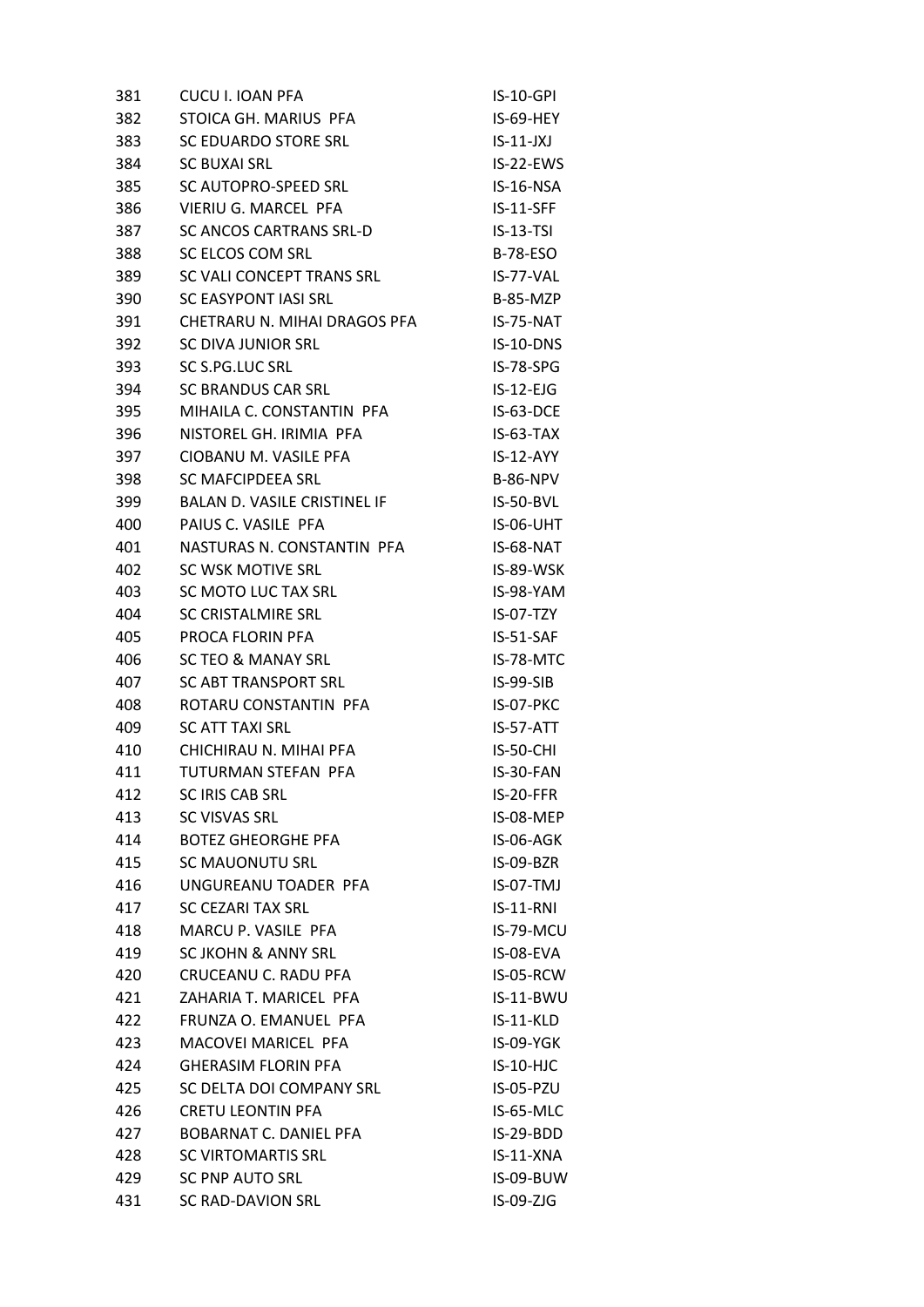| 381 | CUCU I. IOAN PFA                    | <b>IS-10-GPI</b> |
|-----|-------------------------------------|------------------|
| 382 | STOICA GH. MARIUS PFA               | IS-69-HEY        |
| 383 | <b>SC EDUARDO STORE SRL</b>         | $IS-11-JXI$      |
| 384 | <b>SC BUXAI SRL</b>                 | IS-22-EWS        |
| 385 | SC AUTOPRO-SPEED SRL                | IS-16-NSA        |
| 386 | VIERIU G. MARCEL PFA                | $IS-11-SFF$      |
| 387 | <b>SC ANCOS CARTRANS SRL-D</b>      | $IS-13-TSI$      |
| 388 | SC ELCOS COM SRL                    | <b>B-78-ESO</b>  |
| 389 | SC VALI CONCEPT TRANS SRL           | IS-77-VAL        |
| 390 | <b>SC EASYPONT IASI SRL</b>         | B-85-MZP         |
| 391 | CHETRARU N. MIHAI DRAGOS PFA        | IS-75-NAT        |
| 392 | SC DIVA JUNIOR SRL                  | IS-10-DNS        |
| 393 | SC S.PG.LUC SRL                     | IS-78-SPG        |
| 394 | <b>SC BRANDUS CAR SRL</b>           | $IS-12-EJG$      |
| 395 | MIHAILA C. CONSTANTIN PFA           | IS-63-DCE        |
| 396 | NISTOREL GH. IRIMIA PFA             | $IS-63-TAX$      |
| 397 | CIOBANU M. VASILE PFA               | $IS-12-AYY$      |
| 398 | SC MAFCIPDEEA SRL                   | <b>B-86-NPV</b>  |
| 399 | <b>BALAN D. VASILE CRISTINEL IF</b> | IS-50-BVL        |
| 400 | PAIUS C. VASILE PFA                 | IS-06-UHT        |
| 401 | NASTURAS N. CONSTANTIN PFA          | IS-68-NAT        |
| 402 | SC WSK MOTIVE SRL                   | IS-89-WSK        |
| 403 | SC MOTO LUC TAX SRL                 | IS-98-YAM        |
| 404 | SC CRISTALMIRE SRL                  | IS-07-TZY        |
| 405 | PROCA FLORIN PFA                    | $IS-51-SAF$      |
| 406 | <b>SC TEO &amp; MANAY SRL</b>       | IS-78-MTC        |
| 407 | <b>SC ABT TRANSPORT SRL</b>         | IS-99-SIB        |
| 408 | ROTARU CONSTANTIN PFA               | IS-07-PKC        |
| 409 | <b>SC ATT TAXI SRL</b>              | IS-57-ATT        |
| 410 | CHICHIRAU N. MIHAI PFA              | <b>IS-50-CHI</b> |
| 411 | TUTURMAN STEFAN PFA                 | IS-30-FAN        |
| 412 | <b>SC IRIS CAB SRL</b>              | IS-20-FFR        |
| 413 | <b>SC VISVAS SRL</b>                | IS-08-MEP        |
| 414 | <b>BOTEZ GHEORGHE PFA</b>           | IS-06-AGK        |
| 415 | <b>SC MAUONUTU SRL</b>              | IS-09-BZR        |
| 416 | UNGUREANU TOADER PFA                | IS-07-TMJ        |
| 417 | <b>SC CEZARI TAX SRL</b>            | $IS-11-RNI$      |
| 418 | MARCU P. VASILE PFA                 | IS-79-MCU        |
| 419 | <b>SC JKOHN &amp; ANNY SRL</b>      | IS-08-EVA        |
| 420 | CRUCEANU C. RADU PFA                | IS-05-RCW        |
| 421 | ZAHARIA T. MARICEL PFA              | IS-11-BWU        |
| 422 | FRUNZA O. EMANUEL PFA               | IS-11-KLD        |
| 423 | MACOVEI MARICEL PFA                 | IS-09-YGK        |
| 424 | <b>GHERASIM FLORIN PFA</b>          | IS-10-HJC        |
| 425 | SC DELTA DOI COMPANY SRL            | IS-05-PZU        |
| 426 | <b>CRETU LEONTIN PFA</b>            | IS-65-MLC        |
| 427 | BOBARNAT C. DANIEL PFA              | IS-29-BDD        |
| 428 | <b>SC VIRTOMARTIS SRL</b>           | IS-11-XNA        |
| 429 | <b>SC PNP AUTO SRL</b>              | IS-09-BUW        |
| 431 | <b>SC RAD-DAVION SRL</b>            | IS-09-ZJG        |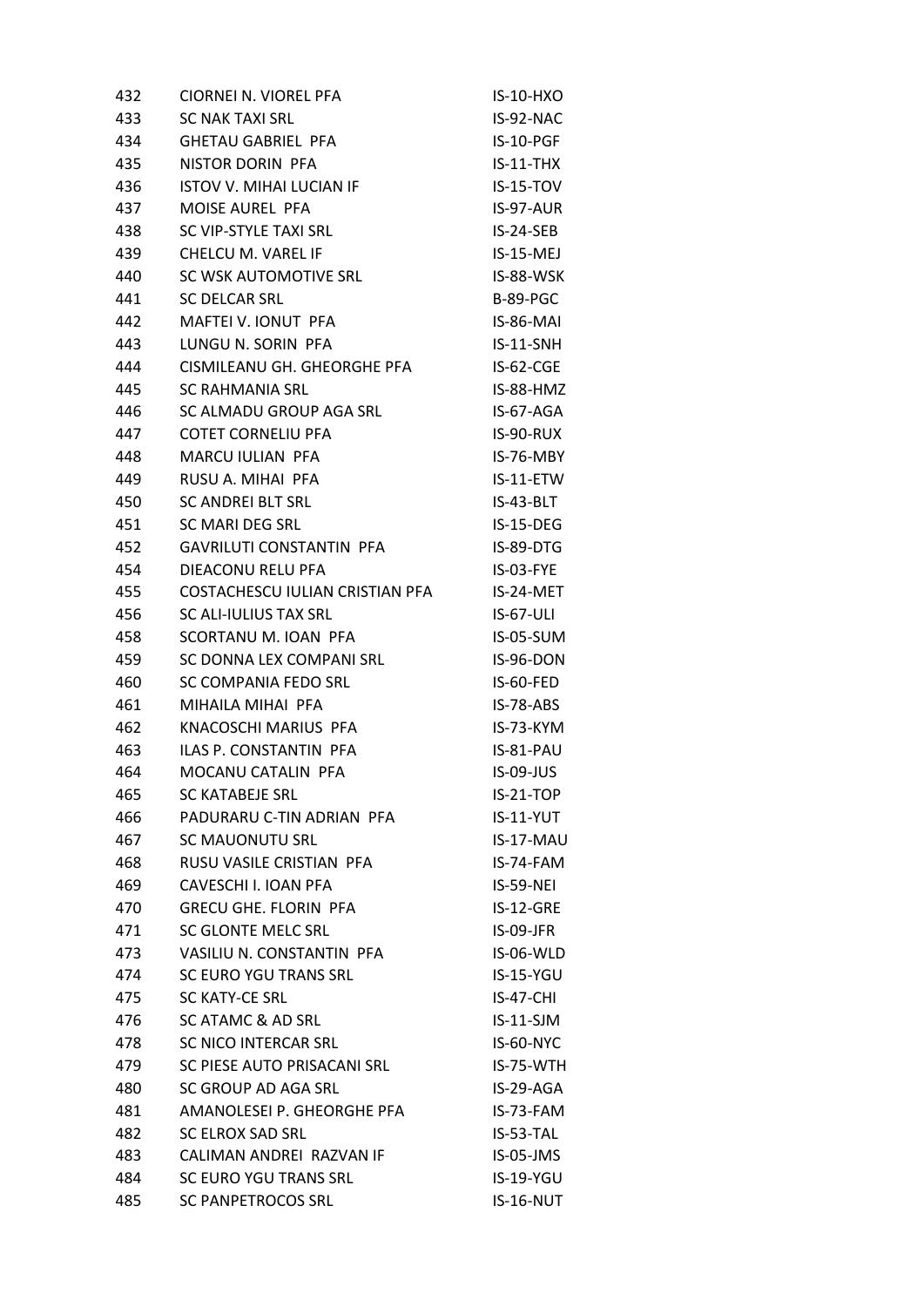| 432 | CIORNEI N. VIOREL PFA           | <b>IS-10-HXO</b> |
|-----|---------------------------------|------------------|
| 433 | <b>SC NAK TAXI SRL</b>          | IS-92-NAC        |
| 434 | <b>GHETAU GABRIEL PFA</b>       | IS-10-PGF        |
| 435 | NISTOR DORIN PFA                | $IS-11-THX$      |
| 436 | <b>ISTOV V. MIHAI LUCIAN IF</b> | $IS-15-TOV$      |
| 437 | MOISE AUREL PFA                 | IS-97-AUR        |
| 438 | SC VIP-STYLE TAXI SRL           | IS-24-SEB        |
| 439 | CHELCU M. VAREL IF              | IS-15-MEJ        |
| 440 | SC WSK AUTOMOTIVE SRL           | IS-88-WSK        |
| 441 | SC DELCAR SRL                   | <b>B-89-PGC</b>  |
| 442 | MAFTEI V. IONUT PFA             | IS-86-MAI        |
| 443 | LUNGU N. SORIN PFA              | $IS-11-SNH$      |
| 444 | CISMILEANU GH. GHEORGHE PFA     | IS-62-CGE        |
| 445 | <b>SC RAHMANIA SRL</b>          | IS-88-HMZ        |
| 446 | SC ALMADU GROUP AGA SRL         | IS-67-AGA        |
| 447 | <b>COTET CORNELIU PFA</b>       | IS-90-RUX        |
| 448 | MARCU IULIAN PFA                | IS-76-MBY        |
| 449 | RUSU A. MIHAI PFA               | IS-11-ETW        |
| 450 | <b>SC ANDREI BLT SRL</b>        | IS-43-BLT        |
| 451 | SC MARI DEG SRL                 | IS-15-DEG        |
| 452 | <b>GAVRILUTI CONSTANTIN PFA</b> | IS-89-DTG        |
| 454 | DIEACONU RELU PFA               | IS-03-FYE        |
| 455 | COSTACHESCU IULIAN CRISTIAN PFA | IS-24-MET        |
| 456 | SC ALI-IULIUS TAX SRL           | <b>IS-67-ULI</b> |
| 458 | SCORTANU M. IOAN PFA            | IS-05-SUM        |
| 459 | SC DONNA LEX COMPANI SRL        | IS-96-DON        |
| 460 | SC COMPANIA FEDO SRL            | IS-60-FED        |
| 461 | MIHAILA MIHAI PFA               | IS-78-ABS        |
| 462 | KNACOSCHI MARIUS PFA            | IS-73-KYM        |
| 463 | <b>ILAS P. CONSTANTIN PFA</b>   | IS-81-PAU        |
| 464 | MOCANU CATALIN PFA              | IS-09-JUS        |
| 465 | <b>SC KATABEJE SRL</b>          | $IS-21-TOP$      |
| 466 | PADURARU C-TIN ADRIAN PFA       | $IS-11-YUT$      |
| 467 | <b>SC MAUONUTU SRL</b>          | IS-17-MAU        |
| 468 | RUSU VASILE CRISTIAN PFA        | IS-74-FAM        |
| 469 | CAVESCHI I. IOAN PFA            | <b>IS-59-NEI</b> |
| 470 | <b>GRECU GHE. FLORIN PFA</b>    | $IS-12-GRE$      |
| 471 | SC GLONTE MELC SRL              | IS-09-JFR        |
| 473 | VASILIU N. CONSTANTIN PFA       | IS-06-WLD        |
| 474 | SC EURO YGU TRANS SRL           | IS-15-YGU        |
| 475 | SC KATY-CE SRL                  | IS-47-CHI        |
| 476 | SC ATAMC & AD SRL               | $IS-11-SJM$      |
| 478 | SC NICO INTERCAR SRL            | IS-60-NYC        |
| 479 | SC PIESE AUTO PRISACANI SRL     | IS-75-WTH        |
| 480 | SC GROUP AD AGA SRL             | IS-29-AGA        |
| 481 | AMANOLESEI P. GHEORGHE PFA      | IS-73-FAM        |
| 482 | <b>SC ELROX SAD SRL</b>         | IS-53-TAL        |
| 483 | CALIMAN ANDREI RAZVAN IF        | IS-05-JMS        |
| 484 | SC EURO YGU TRANS SRL           | IS-19-YGU        |
| 485 | <b>SC PANPETROCOS SRL</b>       | IS-16-NUT        |
|     |                                 |                  |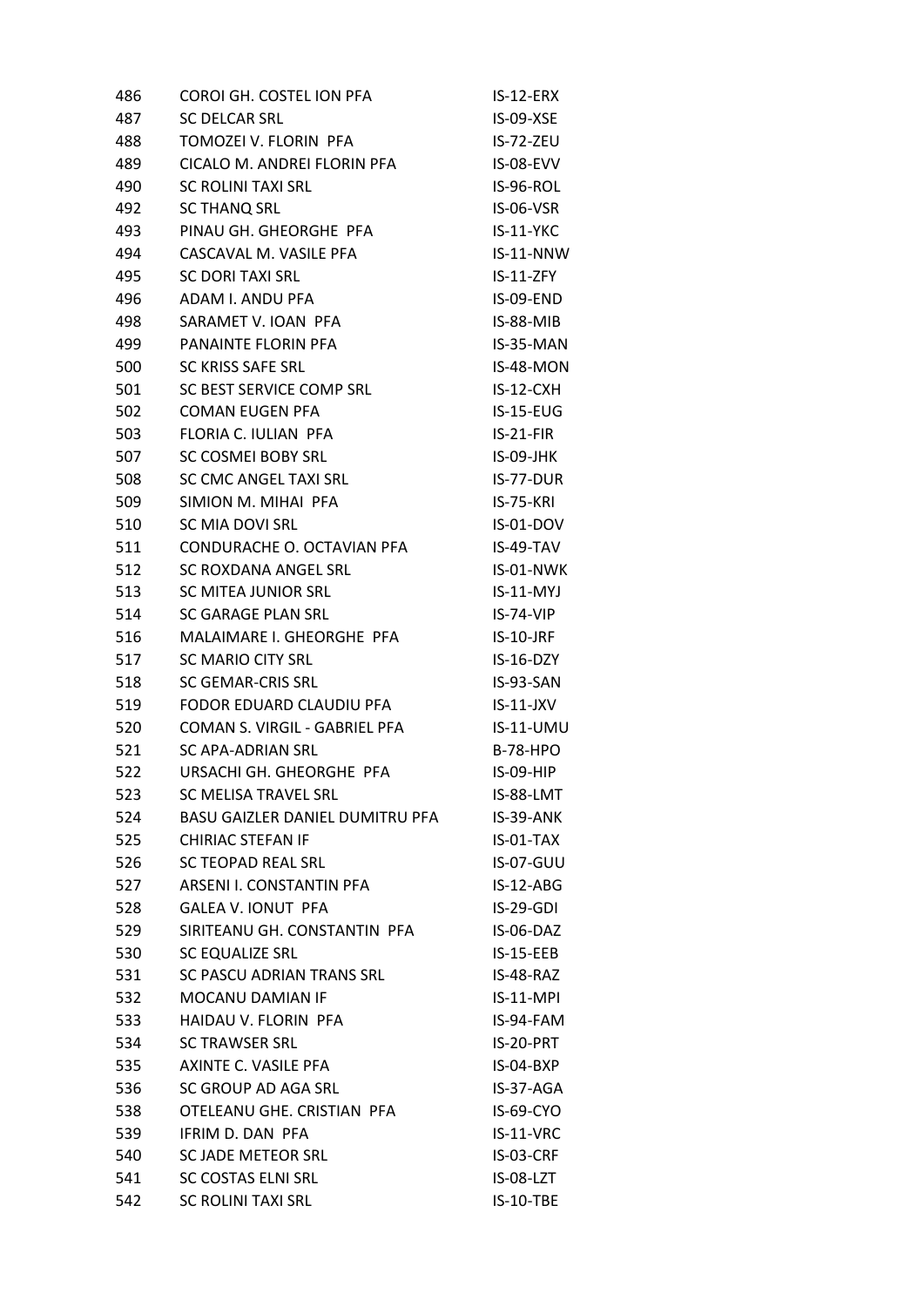| 486 | COROI GH. COSTEL ION PFA        | IS-12-ERX        |
|-----|---------------------------------|------------------|
| 487 | <b>SC DELCAR SRL</b>            | IS-09-XSE        |
| 488 | TOMOZEI V. FLORIN PFA           | IS-72-ZEU        |
| 489 | CICALO M. ANDREI FLORIN PFA     | IS-08-EVV        |
| 490 | SC ROLINI TAXI SRL              | IS-96-ROL        |
| 492 | <b>SC THANQ SRL</b>             | IS-06-VSR        |
| 493 | PINAU GH. GHEORGHE PFA          | $IS-11-YKC$      |
| 494 | CASCAVAL M. VASILE PFA          | IS-11-NNW        |
| 495 | <b>SC DORI TAXI SRL</b>         | IS-11-ZFY        |
| 496 | ADAM I. ANDU PFA                | IS-09-END        |
| 498 | SARAMET V. IOAN PFA             | $IS-88-MIB$      |
| 499 | PANAINTE FLORIN PFA             | IS-35-MAN        |
| 500 | <b>SC KRISS SAFE SRL</b>        | IS-48-MON        |
| 501 | SC BEST SERVICE COMP SRL        | $IS-12-CXH$      |
| 502 | <b>COMAN EUGEN PFA</b>          | $IS-15-EUG$      |
| 503 | FLORIA C. IULIAN PFA            | $IS-21-FIR$      |
| 507 | SC COSMEI BOBY SRL              | IS-09-JHK        |
| 508 | SC CMC ANGEL TAXI SRL           | IS-77-DUR        |
| 509 | SIMION M. MIHAI PFA             | <b>IS-75-KRI</b> |
| 510 | SC MIA DOVI SRL                 | IS-01-DOV        |
| 511 | CONDURACHE O. OCTAVIAN PFA      | IS-49-TAV        |
| 512 | SC ROXDANA ANGEL SRL            | IS-01-NWK        |
| 513 | SC MITEA JUNIOR SRL             | $IS-11-MYJ$      |
| 514 | SC GARAGE PLAN SRL              | $IS-74-VIP$      |
| 516 | MALAIMARE I. GHEORGHE PFA       | $IS-10-JRF$      |
| 517 | <b>SC MARIO CITY SRL</b>        | IS-16-DZY        |
| 518 | <b>SC GEMAR-CRIS SRL</b>        | IS-93-SAN        |
| 519 | FODOR EDUARD CLAUDIU PFA        | $IS-11-JXV$      |
| 520 | COMAN S. VIRGIL - GABRIEL PFA   | $IS-11-UMU$      |
| 521 | SC APA-ADRIAN SRL               | <b>B-78-HPO</b>  |
| 522 | URSACHI GH. GHEORGHE PFA        | <b>IS-09-HIP</b> |
| 523 | SC MELISA TRAVEL SRL            | IS-88-LMT        |
| 524 | BASU GAIZLER DANIEL DUMITRU PFA | IS-39-ANK        |
| 525 | <b>CHIRIAC STEFAN IF</b>        | IS-01-TAX        |
| 526 | <b>SC TEOPAD REAL SRL</b>       | <b>IS-07-GUU</b> |
| 527 | ARSENI I. CONSTANTIN PFA        | IS-12-ABG        |
| 528 | <b>GALEA V. IONUT PFA</b>       | IS-29-GDI        |
| 529 | SIRITEANU GH. CONSTANTIN PFA    | IS-06-DAZ        |
| 530 | SC EQUALIZE SRL                 | $IS-15-EEB$      |
| 531 | SC PASCU ADRIAN TRANS SRL       | IS-48-RAZ        |
| 532 | MOCANU DAMIAN IF                | IS-11-MPI        |
| 533 | HAIDAU V. FLORIN PFA            | IS-94-FAM        |
| 534 | <b>SC TRAWSER SRL</b>           | IS-20-PRT        |
| 535 | AXINTE C. VASILE PFA            | IS-04-BXP        |
| 536 | SC GROUP AD AGA SRL             | IS-37-AGA        |
| 538 | OTELEANU GHE. CRISTIAN PFA      | IS-69-CYO        |
| 539 | IFRIM D. DAN PFA                | IS-11-VRC        |
| 540 | SC JADE METEOR SRL              | IS-03-CRF        |
| 541 | <b>SC COSTAS ELNI SRL</b>       | IS-08-LZT        |
| 542 | <b>SC ROLINI TAXI SRL</b>       | IS-10-TBE        |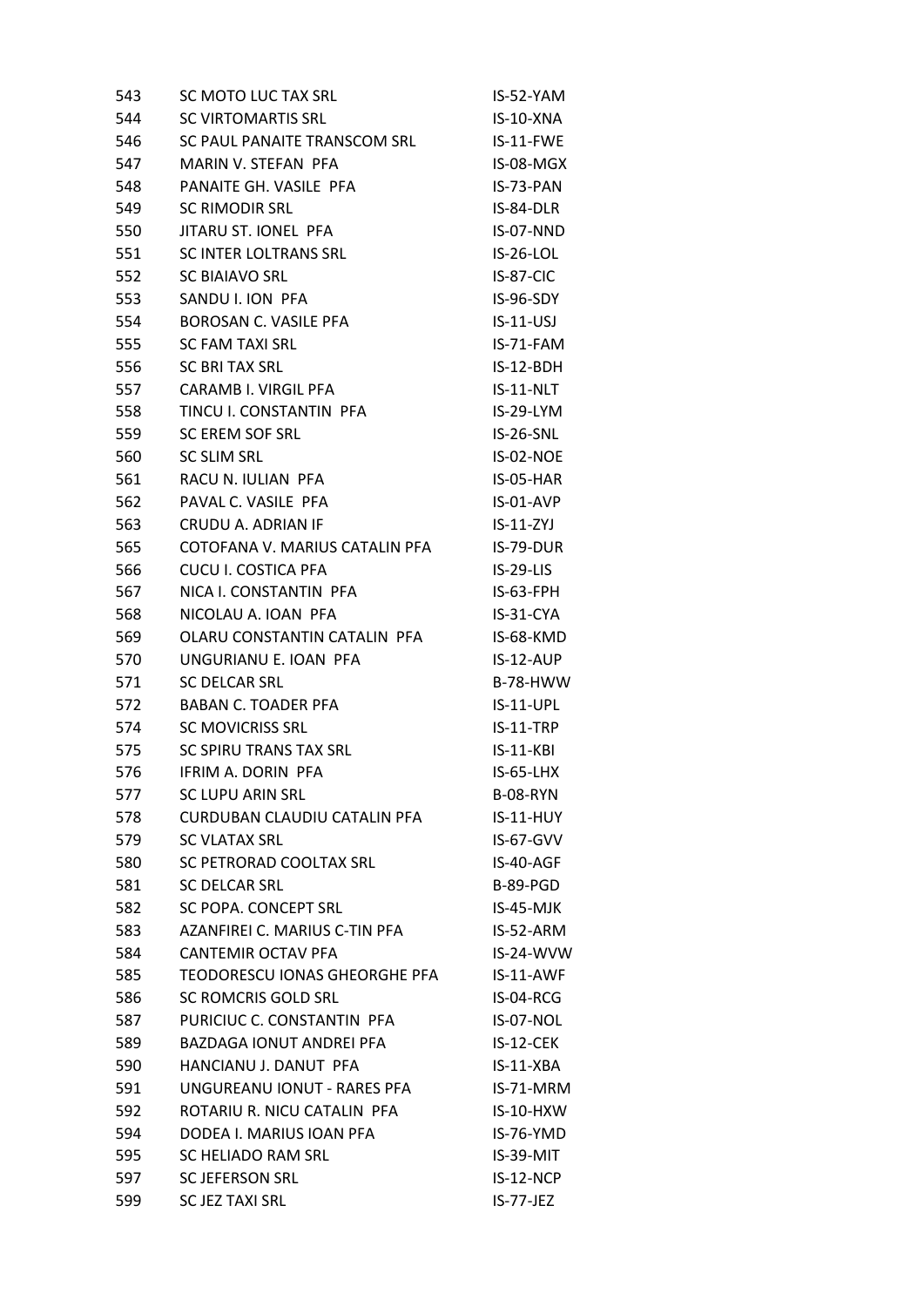| 543 | SC MOTO LUC TAX SRL                  | IS-52-YAM        |
|-----|--------------------------------------|------------------|
| 544 | <b>SC VIRTOMARTIS SRL</b>            | IS-10-XNA        |
| 546 | SC PAUL PANAITE TRANSCOM SRL         | IS-11-FWE        |
| 547 | MARIN V. STEFAN PFA                  | IS-08-MGX        |
| 548 | PANAITE GH. VASILE PFA               | IS-73-PAN        |
| 549 | <b>SC RIMODIR SRL</b>                | IS-84-DLR        |
| 550 | JITARU ST. IONEL PFA                 | IS-07-NND        |
| 551 | SC INTER LOLTRANS SRL                | IS-26-LOL        |
| 552 | <b>SC BIAIAVO SRL</b>                | IS-87-CIC        |
| 553 | SANDU I. ION PFA                     | IS-96-SDY        |
| 554 | BOROSAN C. VASILE PFA                | $IS-11-USJ$      |
| 555 | <b>SC FAM TAXI SRL</b>               | IS-71-FAM        |
| 556 | <b>SC BRITAX SRL</b>                 | $IS-12-BDH$      |
| 557 | CARAMB I. VIRGIL PFA                 | IS-11-NLT        |
| 558 | TINCU I. CONSTANTIN PFA              | IS-29-LYM        |
| 559 | SC EREM SOF SRL                      | <b>IS-26-SNL</b> |
| 560 | SC SLIM SRL                          | IS-02-NOE        |
| 561 | RACU N. IULIAN PFA                   | IS-05-HAR        |
| 562 | PAVAL C. VASILE PFA                  | IS-01-AVP        |
| 563 | CRUDU A. ADRIAN IF                   | $IS-11-ZYJ$      |
| 565 | COTOFANA V. MARIUS CATALIN PFA       | IS-79-DUR        |
| 566 | <b>CUCU I. COSTICA PFA</b>           | $IS-29-LIS$      |
| 567 | NICA I. CONSTANTIN PFA               | $IS-63-FPH$      |
| 568 | NICOLAU A. IOAN PFA                  | IS-31-CYA        |
| 569 | OLARU CONSTANTIN CATALIN PFA         | IS-68-KMD        |
| 570 | UNGURIANU E. IOAN PFA                | $IS-12-AUP$      |
| 571 | <b>SC DELCAR SRL</b>                 | <b>B-78-HWW</b>  |
| 572 | <b>BABAN C. TOADER PFA</b>           | IS-11-UPL        |
| 574 | <b>SC MOVICRISS SRL</b>              | $IS-11-TRP$      |
| 575 | SC SPIRU TRANS TAX SRL               | $IS-11-KBI$      |
| 576 | IFRIM A. DORIN PFA                   | $IS-65-LHX$      |
| 577 | <b>SC LUPU ARIN SRL</b>              | <b>B-08-RYN</b>  |
| 578 | <b>CURDUBAN CLAUDIU CATALIN PFA</b>  | $IS-11-HUY$      |
| 579 | <b>SC VLATAX SRL</b>                 | IS-67-GVV        |
| 580 | SC PETRORAD COOLTAX SRL              | IS-40-AGF        |
| 581 | <b>SC DELCAR SRL</b>                 | <b>B-89-PGD</b>  |
| 582 | SC POPA. CONCEPT SRL                 | IS-45-MJK        |
| 583 | AZANFIREI C. MARIUS C-TIN PFA        | IS-52-ARM        |
| 584 | CANTEMIR OCTAV PFA                   | IS-24-WVW        |
| 585 | <b>TEODORESCU IONAS GHEORGHE PFA</b> | IS-11-AWF        |
| 586 | SC ROMCRIS GOLD SRL                  | IS-04-RCG        |
| 587 | PURICIUC C. CONSTANTIN PFA           | IS-07-NOL        |
| 589 | <b>BAZDAGA IONUT ANDREI PFA</b>      | IS-12-CEK        |
| 590 | HANCIANU J. DANUT PFA                | $IS-11-XBA$      |
| 591 | UNGUREANU IONUT - RARES PFA          | IS-71-MRM        |
| 592 | ROTARIU R. NICU CATALIN PFA          | IS-10-HXW        |
| 594 | DODEA I. MARIUS IOAN PFA             | IS-76-YMD        |
| 595 | SC HELIADO RAM SRL                   | IS-39-MIT        |
| 597 | <b>SC JEFERSON SRL</b>               | IS-12-NCP        |
| 599 | <b>SC JEZ TAXI SRL</b>               | IS-77-JEZ        |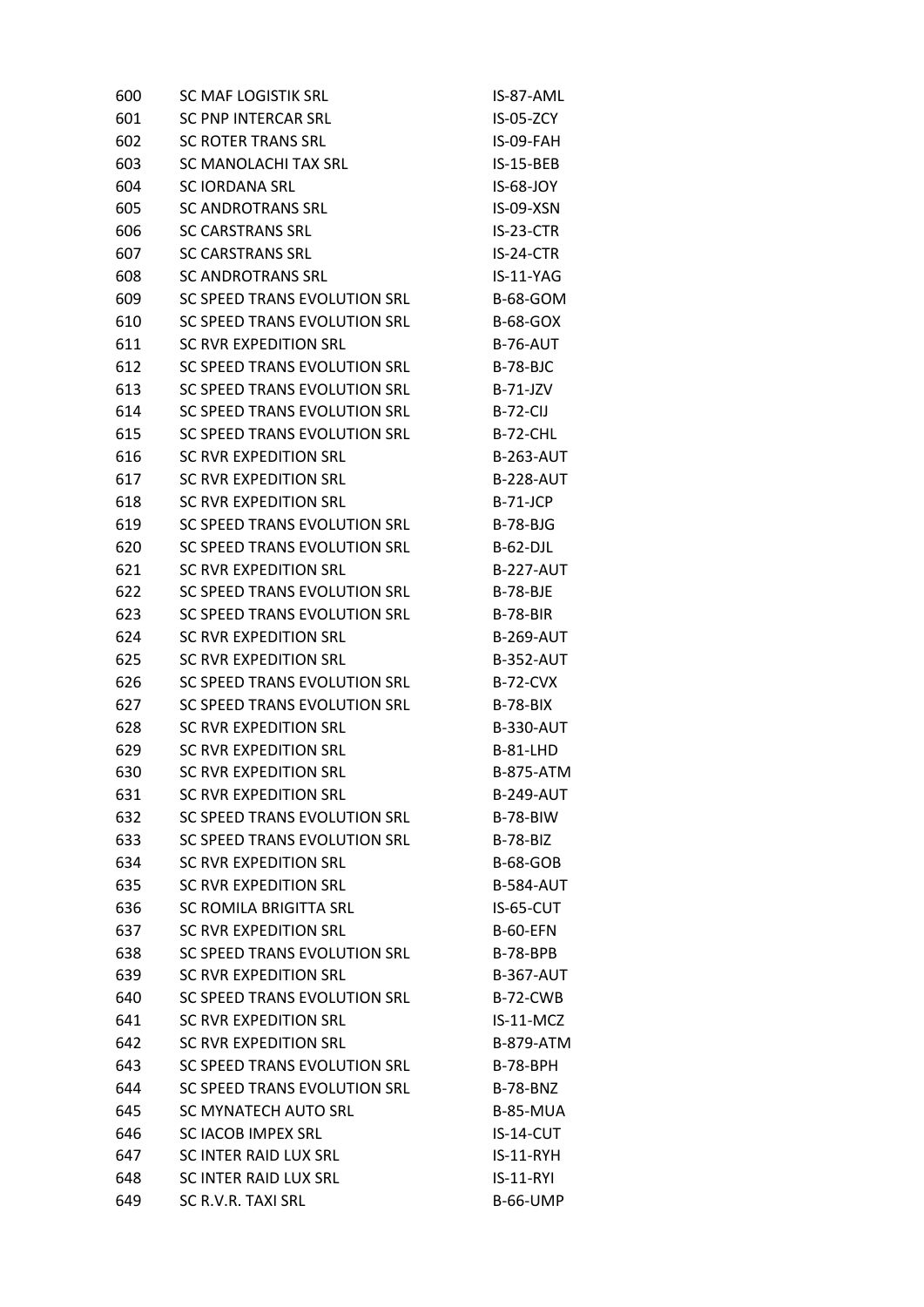| 600 | SC MAF LOGISTIK SRL          | IS-87-AML        |
|-----|------------------------------|------------------|
| 601 | <b>SC PNP INTERCAR SRL</b>   | $IS-05-ZCY$      |
| 602 | <b>SC ROTER TRANS SRL</b>    | IS-09-FAH        |
| 603 | SC MANOLACHI TAX SRL         | <b>IS-15-BEB</b> |
| 604 | <b>SC IORDANA SRL</b>        | IS-68-JOY        |
| 605 | SC ANDROTRANS SRL            | IS-09-XSN        |
| 606 | <b>SC CARSTRANS SRL</b>      | IS-23-CTR        |
| 607 | <b>SC CARSTRANS SRL</b>      | IS-24-CTR        |
| 608 | <b>SC ANDROTRANS SRL</b>     | IS-11-YAG        |
| 609 | SC SPEED TRANS EVOLUTION SRL | <b>B-68-GOM</b>  |
| 610 | SC SPEED TRANS EVOLUTION SRL | <b>B-68-GOX</b>  |
| 611 | SC RVR EXPEDITION SRL        | <b>B-76-AUT</b>  |
| 612 | SC SPEED TRANS EVOLUTION SRL | B-78-BJC         |
| 613 | SC SPEED TRANS EVOLUTION SRL | $B-71-JZV$       |
| 614 | SC SPEED TRANS EVOLUTION SRL | $B-72-CIJ$       |
| 615 | SC SPEED TRANS EVOLUTION SRL | <b>B-72-CHL</b>  |
| 616 | SC RVR EXPEDITION SRL        | <b>B-263-AUT</b> |
| 617 | SC RVR EXPEDITION SRL        | <b>B-228-AUT</b> |
| 618 | <b>SC RVR EXPEDITION SRL</b> | B-71-JCP         |
| 619 | SC SPEED TRANS EVOLUTION SRL | B-78-BJG         |
| 620 | SC SPEED TRANS EVOLUTION SRL | $B-62-DJL$       |
| 621 | SC RVR EXPEDITION SRL        | <b>B-227-AUT</b> |
| 622 | SC SPEED TRANS EVOLUTION SRL | <b>B-78-BJE</b>  |
| 623 | SC SPEED TRANS EVOLUTION SRL | <b>B-78-BIR</b>  |
| 624 | SC RVR EXPEDITION SRL        | <b>B-269-AUT</b> |
| 625 | <b>SC RVR EXPEDITION SRL</b> | <b>B-352-AUT</b> |
| 626 | SC SPEED TRANS EVOLUTION SRL | <b>B-72-CVX</b>  |
| 627 | SC SPEED TRANS EVOLUTION SRL | <b>B-78-BIX</b>  |
| 628 | SC RVR EXPEDITION SRL        | <b>B-330-AUT</b> |
| 629 | <b>SC RVR EXPEDITION SRL</b> | <b>B-81-LHD</b>  |
| 630 | <b>SC RVR EXPEDITION SRL</b> | <b>B-875-ATM</b> |
| 631 | <b>SC RVR EXPEDITION SRL</b> | <b>B-249-AUT</b> |
| 632 | SC SPEED TRANS EVOLUTION SRL | B-78-BIW         |
| 633 | SC SPEED TRANS EVOLUTION SRL | <b>B-78-BIZ</b>  |
| 634 | SC RVR EXPEDITION SRL        | <b>B-68-GOB</b>  |
| 635 | SC RVR EXPEDITION SRL        | <b>B-584-AUT</b> |
| 636 | SC ROMILA BRIGITTA SRL       | IS-65-CUT        |
| 637 | <b>SC RVR EXPEDITION SRL</b> | B-60-EFN         |
| 638 | SC SPEED TRANS EVOLUTION SRL | B-78-BPB         |
| 639 | SC RVR EXPEDITION SRL        | <b>B-367-AUT</b> |
| 640 | SC SPEED TRANS EVOLUTION SRL | <b>B-72-CWB</b>  |
| 641 | SC RVR EXPEDITION SRL        | $IS-11-MCZ$      |
| 642 | SC RVR EXPEDITION SRL        | <b>B-879-ATM</b> |
| 643 | SC SPEED TRANS EVOLUTION SRL | B-78-BPH         |
| 644 | SC SPEED TRANS EVOLUTION SRL | B-78-BNZ         |
| 645 | SC MYNATECH AUTO SRL         | <b>B-85-MUA</b>  |
| 646 | SC IACOB IMPEX SRL           | IS-14-CUT        |
| 647 | SC INTER RAID LUX SRL        | $IS-11-RYH$      |
| 648 | SC INTER RAID LUX SRL        | $IS-11-RYI$      |
| 649 | SC R.V.R. TAXI SRL           | <b>B-66-UMP</b>  |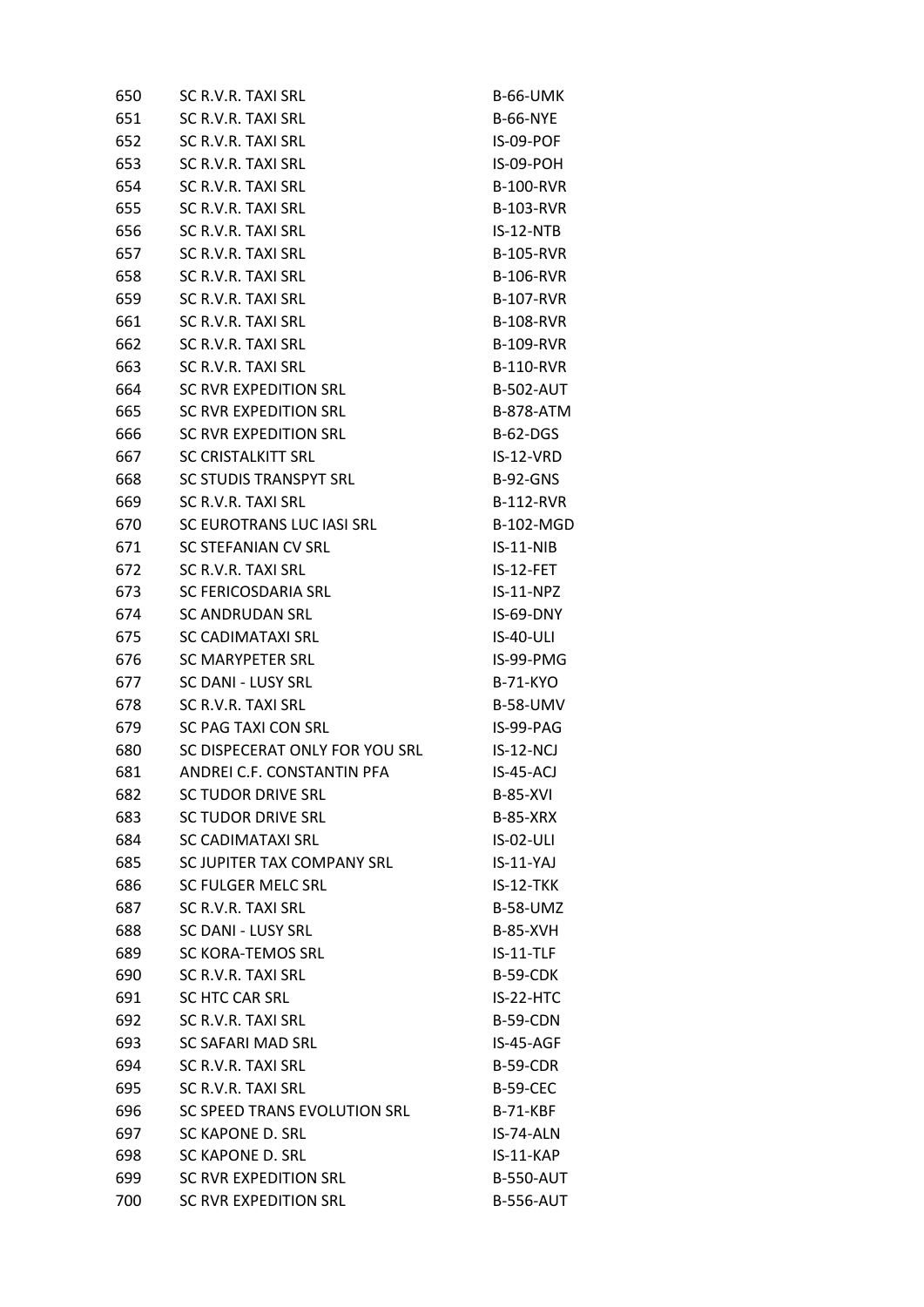| 650 | SC R.V.R. TAXI SRL             | <b>B-66-UMK</b>  |
|-----|--------------------------------|------------------|
| 651 | SC R.V.R. TAXI SRL             | <b>B-66-NYE</b>  |
| 652 | SC R.V.R. TAXI SRL             | IS-09-POF        |
| 653 | SC R.V.R. TAXI SRL             | IS-09-POH        |
| 654 | SC R.V.R. TAXI SRL             | <b>B-100-RVR</b> |
| 655 | SC R.V.R. TAXI SRL             | <b>B-103-RVR</b> |
| 656 | SC R.V.R. TAXI SRL             | $IS-12-NTB$      |
| 657 | SC R.V.R. TAXI SRL             | <b>B-105-RVR</b> |
| 658 | SC R.V.R. TAXI SRL             | <b>B-106-RVR</b> |
| 659 | SC R.V.R. TAXI SRL             | <b>B-107-RVR</b> |
| 661 | SC R.V.R. TAXI SRL             | <b>B-108-RVR</b> |
| 662 | SC R.V.R. TAXI SRL             | <b>B-109-RVR</b> |
| 663 | SC R.V.R. TAXI SRL             | <b>B-110-RVR</b> |
| 664 | SC RVR EXPEDITION SRL          | <b>B-502-AUT</b> |
| 665 | SC RVR EXPEDITION SRL          | <b>B-878-ATM</b> |
| 666 | <b>SC RVR EXPEDITION SRL</b>   | <b>B-62-DGS</b>  |
| 667 | <b>SC CRISTALKITT SRL</b>      | IS-12-VRD        |
| 668 | SC STUDIS TRANSPYT SRL         | <b>B-92-GNS</b>  |
| 669 | SC R.V.R. TAXI SRL             | <b>B-112-RVR</b> |
| 670 | SC EUROTRANS LUC IASI SRL      | <b>B-102-MGD</b> |
| 671 | SC STEFANIAN CV SRL            | $IS-11-NIB$      |
| 672 | SC R.V.R. TAXI SRL             | IS-12-FET        |
| 673 | SC FERICOSDARIA SRL            | $IS-11-NPZ$      |
| 674 | <b>SC ANDRUDAN SRL</b>         | IS-69-DNY        |
| 675 | SC CADIMATAXI SRL              | <b>IS-40-ULI</b> |
| 676 | <b>SC MARYPETER SRL</b>        | IS-99-PMG        |
| 677 | SC DANI - LUSY SRL             | <b>B-71-KYO</b>  |
| 678 | SC R.V.R. TAXI SRL             | <b>B-58-UMV</b>  |
| 679 | SC PAG TAXI CON SRL            | IS-99-PAG        |
| 680 | SC DISPECERAT ONLY FOR YOU SRL | $IS-12-NCI$      |
| 681 | ANDREI C.F. CONSTANTIN PFA     | <b>IS-45-ACJ</b> |
| 682 | <b>SC TUDOR DRIVE SRL</b>      | <b>B-85-XVI</b>  |
| 683 | <b>SC TUDOR DRIVE SRL</b>      | <b>B-85-XRX</b>  |
| 684 | <b>SC CADIMATAXI SRL</b>       | IS-02-ULI        |
| 685 | SC JUPITER TAX COMPANY SRL     | $IS-11-YAJ$      |
| 686 | SC FULGER MELC SRL             | IS-12-TKK        |
| 687 | SC R.V.R. TAXI SRL             | <b>B-58-UMZ</b>  |
| 688 | SC DANI - LUSY SRL             | <b>B-85-XVH</b>  |
| 689 | SC KORA-TEMOS SRL              | IS-11-TLF        |
| 690 | SC R.V.R. TAXI SRL             | <b>B-59-CDK</b>  |
| 691 | SC HTC CAR SRL                 | IS-22-HTC        |
| 692 | SC R.V.R. TAXI SRL             | <b>B-59-CDN</b>  |
| 693 | SC SAFARI MAD SRL              | IS-45-AGF        |
| 694 | SC R.V.R. TAXI SRL             | <b>B-59-CDR</b>  |
| 695 | SC R.V.R. TAXI SRL             | <b>B-59-CEC</b>  |
| 696 | SC SPEED TRANS EVOLUTION SRL   | <b>B-71-KBF</b>  |
| 697 | SC KAPONE D. SRL               | IS-74-ALN        |
| 698 | SC KAPONE D. SRL               | IS-11-KAP        |
| 699 | SC RVR EXPEDITION SRL          | <b>B-550-AUT</b> |
| 700 | <b>SC RVR EXPEDITION SRL</b>   | <b>B-556-AUT</b> |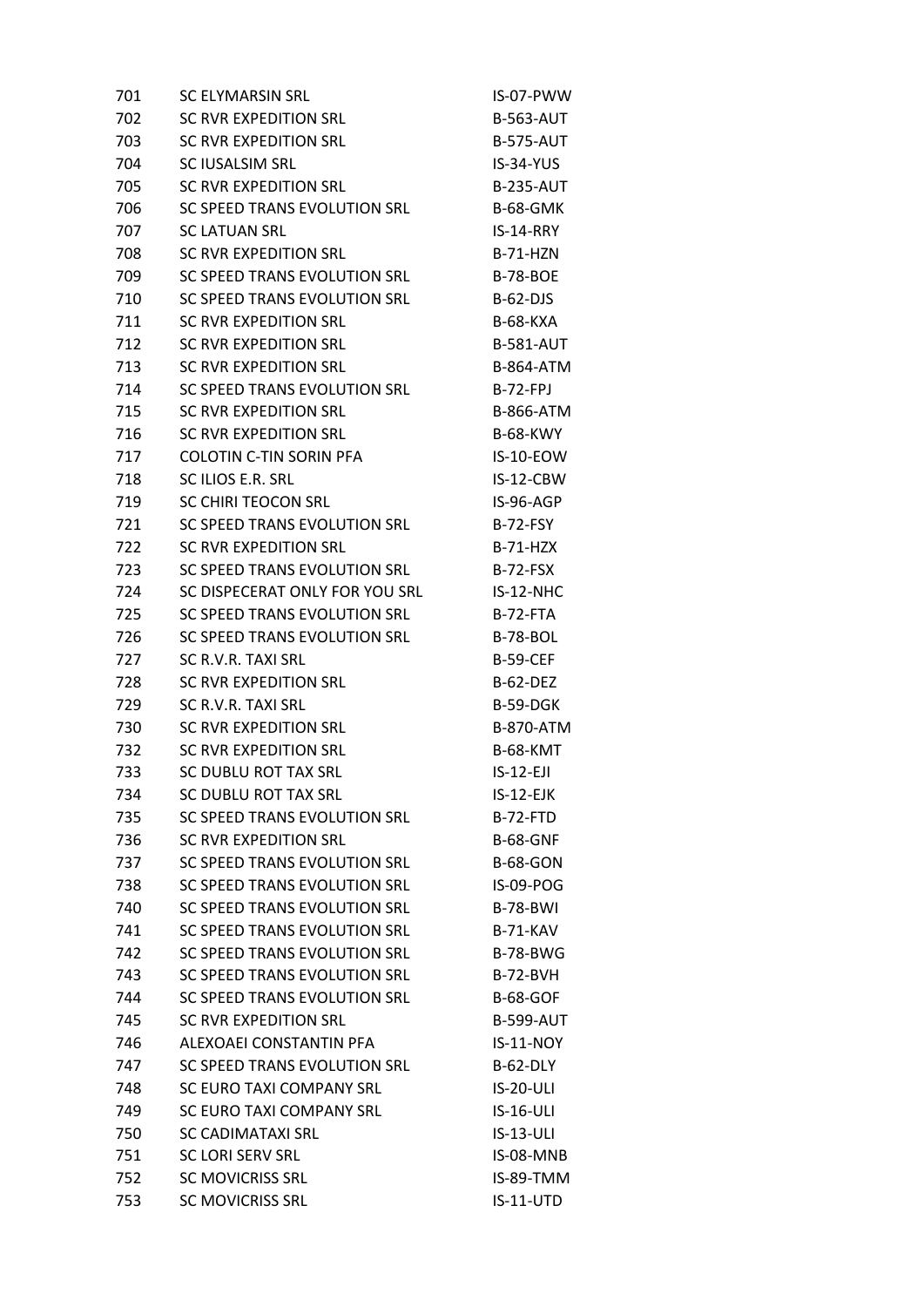| 701 | <b>SC ELYMARSIN SRL</b>        | IS-07-PWW        |
|-----|--------------------------------|------------------|
| 702 | SC RVR EXPEDITION SRL          | <b>B-563-AUT</b> |
| 703 | SC RVR EXPEDITION SRL          | <b>B-575-AUT</b> |
| 704 | SC IUSALSIM SRL                | IS-34-YUS        |
| 705 | <b>SC RVR EXPEDITION SRL</b>   | <b>B-235-AUT</b> |
| 706 | SC SPEED TRANS EVOLUTION SRL   | <b>B-68-GMK</b>  |
| 707 | <b>SC LATUAN SRL</b>           | $IS-14-RRY$      |
| 708 | SC RVR EXPEDITION SRL          | <b>B-71-HZN</b>  |
| 709 | SC SPEED TRANS EVOLUTION SRL   | <b>B-78-BOE</b>  |
| 710 | SC SPEED TRANS EVOLUTION SRL   | $B-62-DJS$       |
| 711 | SC RVR EXPEDITION SRL          | <b>B-68-KXA</b>  |
| 712 | SC RVR EXPEDITION SRL          | <b>B-581-AUT</b> |
| 713 | SC RVR EXPEDITION SRL          | <b>B-864-ATM</b> |
| 714 | SC SPEED TRANS EVOLUTION SRL   | B-72-FPJ         |
| 715 | SC RVR EXPEDITION SRL          | <b>B-866-ATM</b> |
| 716 | SC RVR EXPEDITION SRL          | <b>B-68-KWY</b>  |
| 717 | <b>COLOTIN C-TIN SORIN PFA</b> | IS-10-EOW        |
| 718 | SC ILIOS E.R. SRL              | IS-12-CBW        |
| 719 | SC CHIRI TEOCON SRL            | IS-96-AGP        |
| 721 | SC SPEED TRANS EVOLUTION SRL   | <b>B-72-FSY</b>  |
| 722 | SC RVR EXPEDITION SRL          | <b>B-71-HZX</b>  |
| 723 | SC SPEED TRANS EVOLUTION SRL   | <b>B-72-FSX</b>  |
| 724 | SC DISPECERAT ONLY FOR YOU SRL | IS-12-NHC        |
| 725 | SC SPEED TRANS EVOLUTION SRL   | B-72-FTA         |
| 726 | SC SPEED TRANS EVOLUTION SRL   | <b>B-78-BOL</b>  |
| 727 | SC R.V.R. TAXI SRL             | <b>B-59-CEF</b>  |
| 728 | SC RVR EXPEDITION SRL          | <b>B-62-DEZ</b>  |
| 729 | SC R.V.R. TAXI SRL             | <b>B-59-DGK</b>  |
| 730 | SC RVR EXPEDITION SRL          | <b>B-870-ATM</b> |
| 732 | <b>SC RVR EXPEDITION SRL</b>   | <b>B-68-KMT</b>  |
| 733 | SC DUBLU ROT TAX SRL           | $IS-12-EJI$      |
| 734 | SC DUBLU ROT TAX SRL           | IS-12-EJK        |
| 735 | SC SPEED TRANS EVOLUTION SRL   | <b>B-72-FTD</b>  |
| 736 | <b>SC RVR EXPEDITION SRL</b>   | <b>B-68-GNF</b>  |
| 737 | SC SPEED TRANS EVOLUTION SRL   | <b>B-68-GON</b>  |
| 738 | SC SPEED TRANS EVOLUTION SRL   | IS-09-POG        |
| 740 | SC SPEED TRANS EVOLUTION SRL   | <b>B-78-BWI</b>  |
| 741 | SC SPEED TRANS EVOLUTION SRL   | <b>B-71-KAV</b>  |
| 742 | SC SPEED TRANS EVOLUTION SRL   | <b>B-78-BWG</b>  |
| 743 | SC SPEED TRANS EVOLUTION SRL   | <b>B-72-BVH</b>  |
| 744 | SC SPEED TRANS EVOLUTION SRL   | <b>B-68-GOF</b>  |
| 745 | SC RVR EXPEDITION SRL          | <b>B-599-AUT</b> |
| 746 | ALEXOAEI CONSTANTIN PFA        | $IS-11-NOY$      |
| 747 | SC SPEED TRANS EVOLUTION SRL   | B-62-DLY         |
| 748 | SC EURO TAXI COMPANY SRL       | <b>IS-20-ULI</b> |
| 749 | SC EURO TAXI COMPANY SRL       | $IS-16-ULI$      |
| 750 | SC CADIMATAXI SRL              | $IS-13-ULI$      |
| 751 | SC LORI SERV SRL               | IS-08-MNB        |
| 752 | <b>SC MOVICRISS SRL</b>        | IS-89-TMM        |
| 753 | <b>SC MOVICRISS SRL</b>        | $IS-11-UTD$      |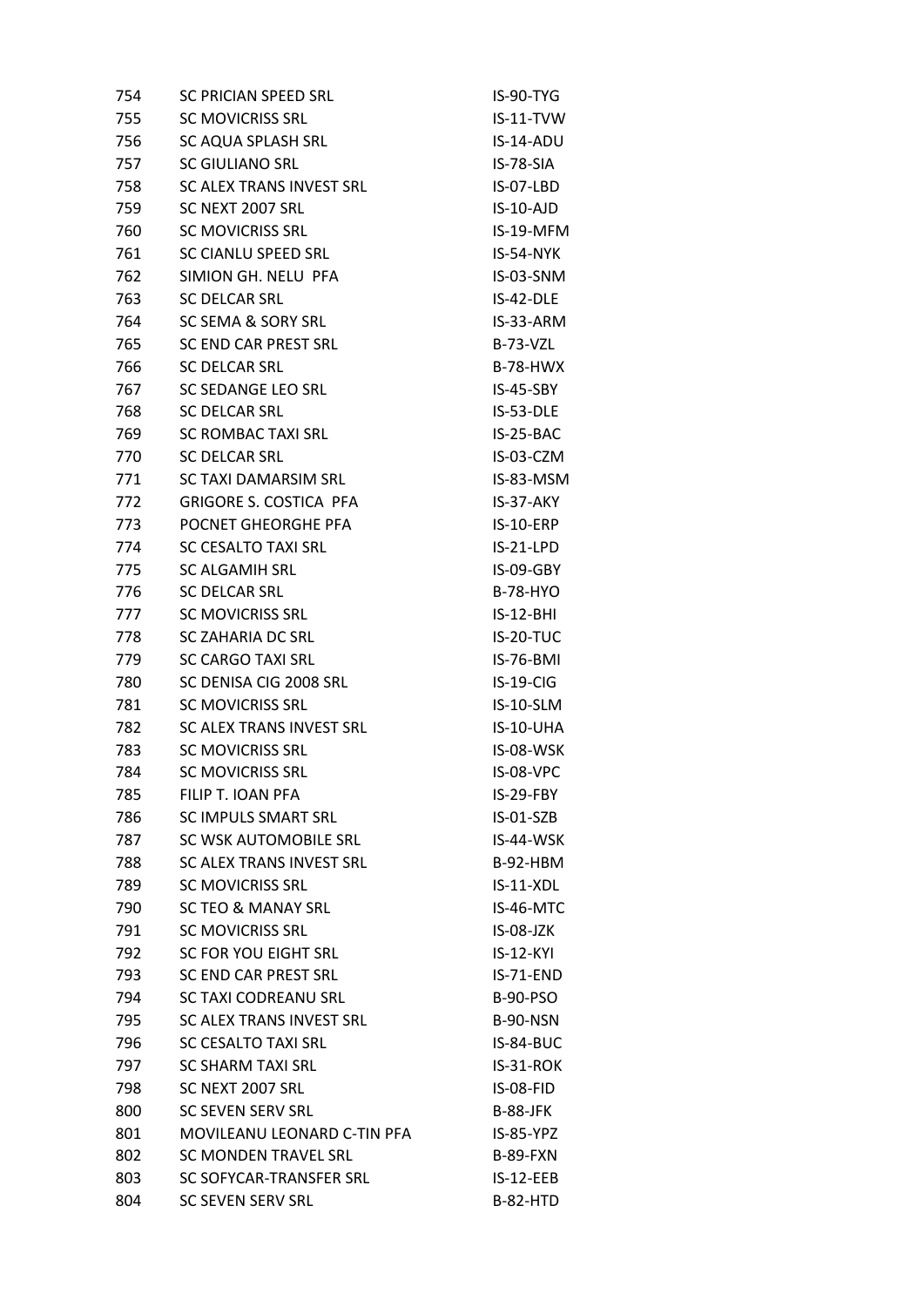| 754 | SC PRICIAN SPEED SRL            | IS-90-TYG       |
|-----|---------------------------------|-----------------|
| 755 | <b>SC MOVICRISS SRL</b>         | IS-11-TVW       |
| 756 | SC AQUA SPLASH SRL              | IS-14-ADU       |
| 757 | SC GIULIANO SRL                 | IS-78-SIA       |
| 758 | <b>SC ALEX TRANS INVEST SRL</b> | IS-07-LBD       |
| 759 | SC NEXT 2007 SRL                | IS-10-AJD       |
| 760 | <b>SC MOVICRISS SRL</b>         | IS-19-MFM       |
| 761 | SC CIANLU SPEED SRL             | IS-54-NYK       |
| 762 | SIMION GH. NELU PFA             | IS-03-SNM       |
| 763 | <b>SC DELCAR SRL</b>            | IS-42-DLE       |
| 764 | SC SEMA & SORY SRL              | IS-33-ARM       |
| 765 | SC END CAR PREST SRL            | <b>B-73-VZL</b> |
| 766 | SC DELCAR SRL                   | <b>B-78-HWX</b> |
| 767 | SC SEDANGE LEO SRL              | IS-45-SBY       |
| 768 | <b>SC DELCAR SRL</b>            | IS-53-DLE       |
| 769 | <b>SC ROMBAC TAXI SRL</b>       | IS-25-BAC       |
| 770 | <b>SC DELCAR SRL</b>            | IS-03-CZM       |
| 771 | SC TAXI DAMARSIM SRL            | IS-83-MSM       |
| 772 | <b>GRIGORE S. COSTICA PFA</b>   | IS-37-AKY       |
| 773 | POCNET GHEORGHE PFA             | IS-10-ERP       |
| 774 | SC CESALTO TAXI SRL             | $IS-21-LPD$     |
| 775 | <b>SC ALGAMIH SRL</b>           | IS-09-GBY       |
| 776 | <b>SC DELCAR SRL</b>            | <b>B-78-HYO</b> |
| 777 | <b>SC MOVICRISS SRL</b>         | $IS-12-BHI$     |
| 778 | SC ZAHARIA DC SRL               | IS-20-TUC       |
| 779 | <b>SC CARGO TAXI SRL</b>        | IS-76-BMI       |
| 780 | SC DENISA CIG 2008 SRL          | IS-19-CIG       |
| 781 | <b>SC MOVICRISS SRL</b>         | IS-10-SLM       |
| 782 | SC ALEX TRANS INVEST SRL        | IS-10-UHA       |
| 783 | <b>SC MOVICRISS SRL</b>         | IS-08-WSK       |
| 784 | <b>SC MOVICRISS SRL</b>         | IS-08-VPC       |
| 785 | FILIP T. IOAN PFA               | IS-29-FBY       |
| 786 | <b>SC IMPULS SMART SRL</b>      | IS-01-SZB       |
| 787 | SC WSK AUTOMOBILE SRL           | IS-44-WSK       |
| 788 | SC ALEX TRANS INVEST SRL        | B-92-HBM        |
| 789 | <b>SC MOVICRISS SRL</b>         | IS-11-XDL       |
| 790 | <b>SC TEO &amp; MANAY SRL</b>   | IS-46-MTC       |
| 791 | <b>SC MOVICRISS SRL</b>         | $IS-08-JZK$     |
| 792 | SC FOR YOU EIGHT SRL            | $IS-12-KYI$     |
| 793 | SC END CAR PREST SRL            | IS-71-END       |
| 794 | <b>SC TAXI CODREANU SRL</b>     | <b>B-90-PSO</b> |
| 795 | SC ALEX TRANS INVEST SRL        | <b>B-90-NSN</b> |
| 796 | <b>SC CESALTO TAXI SRL</b>      | IS-84-BUC       |
| 797 | <b>SC SHARM TAXI SRL</b>        | IS-31-ROK       |
| 798 | SC NEXT 2007 SRL                | IS-08-FID       |
| 800 | <b>SC SEVEN SERV SRL</b>        | <b>B-88-JFK</b> |
| 801 | MOVILEANU LEONARD C-TIN PFA     | IS-85-YPZ       |
| 802 | <b>SC MONDEN TRAVEL SRL</b>     | <b>B-89-FXN</b> |
| 803 | SC SOFYCAR-TRANSFER SRL         | $IS-12-EEB$     |
| 804 | <b>SC SEVEN SERV SRL</b>        | B-82-HTD        |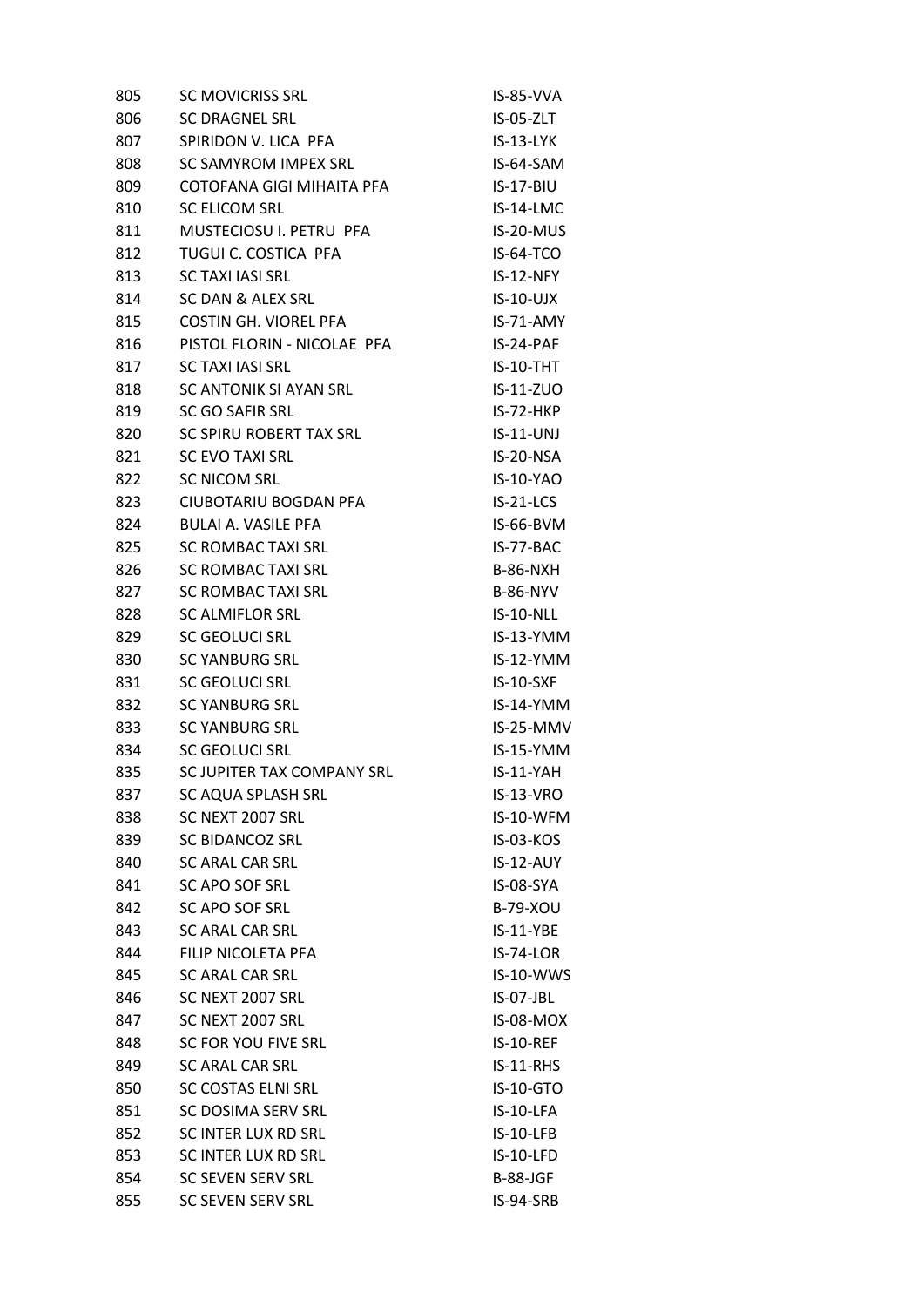| 805 | <b>SC MOVICRISS SRL</b>      | IS-85-VVA        |
|-----|------------------------------|------------------|
| 806 | <b>SC DRAGNEL SRL</b>        | IS-05-ZLT        |
| 807 | SPIRIDON V. LICA PFA         | IS-13-LYK        |
| 808 | SC SAMYROM IMPEX SRL         | IS-64-SAM        |
| 809 | COTOFANA GIGI MIHAITA PFA    | IS-17-BIU        |
| 810 | <b>SC ELICOM SRL</b>         | IS-14-LMC        |
| 811 | MUSTECIOSU I. PETRU PFA      | IS-20-MUS        |
| 812 | TUGUI C. COSTICA PFA         | IS-64-TCO        |
| 813 | <b>SC TAXI IASI SRL</b>      | IS-12-NFY        |
| 814 | SC DAN & ALEX SRL            | $IS-10-UJX$      |
| 815 | <b>COSTIN GH. VIOREL PFA</b> | IS-71-AMY        |
| 816 | PISTOL FLORIN - NICOLAE PFA  | IS-24-PAF        |
| 817 | SC TAXI IASI SRL             | $IS-10-THT$      |
| 818 | SC ANTONIK SI AYAN SRL       | IS-11-ZUO        |
| 819 | <b>SC GO SAFIR SRL</b>       | $IS-72-HKP$      |
| 820 | SC SPIRU ROBERT TAX SRL      | $IS-11-UNJ$      |
| 821 | SC EVO TAXI SRL              | IS-20-NSA        |
| 822 | <b>SC NICOM SRL</b>          | <b>IS-10-YAO</b> |
| 823 | <b>CIUBOTARIU BOGDAN PFA</b> | $IS-21-LCS$      |
| 824 | <b>BULAI A. VASILE PFA</b>   | IS-66-BVM        |
| 825 | <b>SC ROMBAC TAXI SRL</b>    | IS-77-BAC        |
| 826 | <b>SC ROMBAC TAXI SRL</b>    | <b>B-86-NXH</b>  |
| 827 | <b>SC ROMBAC TAXI SRL</b>    | <b>B-86-NYV</b>  |
| 828 | SC ALMIFLOR SRL              | IS-10-NLL        |
| 829 | SC GEOLUCI SRL               | $IS-13-YMM$      |
| 830 | <b>SC YANBURG SRL</b>        | IS-12-YMM        |
| 831 | <b>SC GEOLUCI SRL</b>        | $IS-10-SXF$      |
| 832 | <b>SC YANBURG SRL</b>        | IS-14-YMM        |
| 833 | <b>SC YANBURG SRL</b>        | IS-25-MMV        |
| 834 | <b>SC GEOLUCI SRL</b>        | IS-15-YMM        |
| 835 | SC JUPITER TAX COMPANY SRL   | IS-11-YAH        |
| 837 | SC AQUA SPLASH SRL           | IS-13-VRO        |
| 838 | SC NEXT 2007 SRL             | IS-10-WFM        |
| 839 | <b>SC BIDANCOZ SRL</b>       | <b>IS-03-KOS</b> |
| 840 | SC ARAL CAR SRL              | IS-12-AUY        |
| 841 | SC APO SOF SRL               | IS-08-SYA        |
| 842 | <b>SC APO SOF SRL</b>        | <b>B-79-XOU</b>  |
| 843 | SC ARAL CAR SRL              | IS-11-YBE        |
| 844 | FILIP NICOLETA PFA           | <b>IS-74-LOR</b> |
| 845 | <b>SC ARAL CAR SRL</b>       | IS-10-WWS        |
| 846 | SC NEXT 2007 SRL             | <b>IS-07-JBL</b> |
| 847 | SC NEXT 2007 SRL             | IS-08-MOX        |
| 848 | SC FOR YOU FIVE SRL          | <b>IS-10-REF</b> |
| 849 | <b>SC ARAL CAR SRL</b>       | IS-11-RHS        |
| 850 | SC COSTAS ELNI SRL           | IS-10-GTO        |
| 851 | SC DOSIMA SERV SRL           | IS-10-LFA        |
| 852 | SC INTER LUX RD SRL          | IS-10-LFB        |
| 853 | SC INTER LUX RD SRL          | IS-10-LFD        |
| 854 | <b>SC SEVEN SERV SRL</b>     | B-88-JGF         |
| 855 | <b>SC SEVEN SERV SRL</b>     | IS-94-SRB        |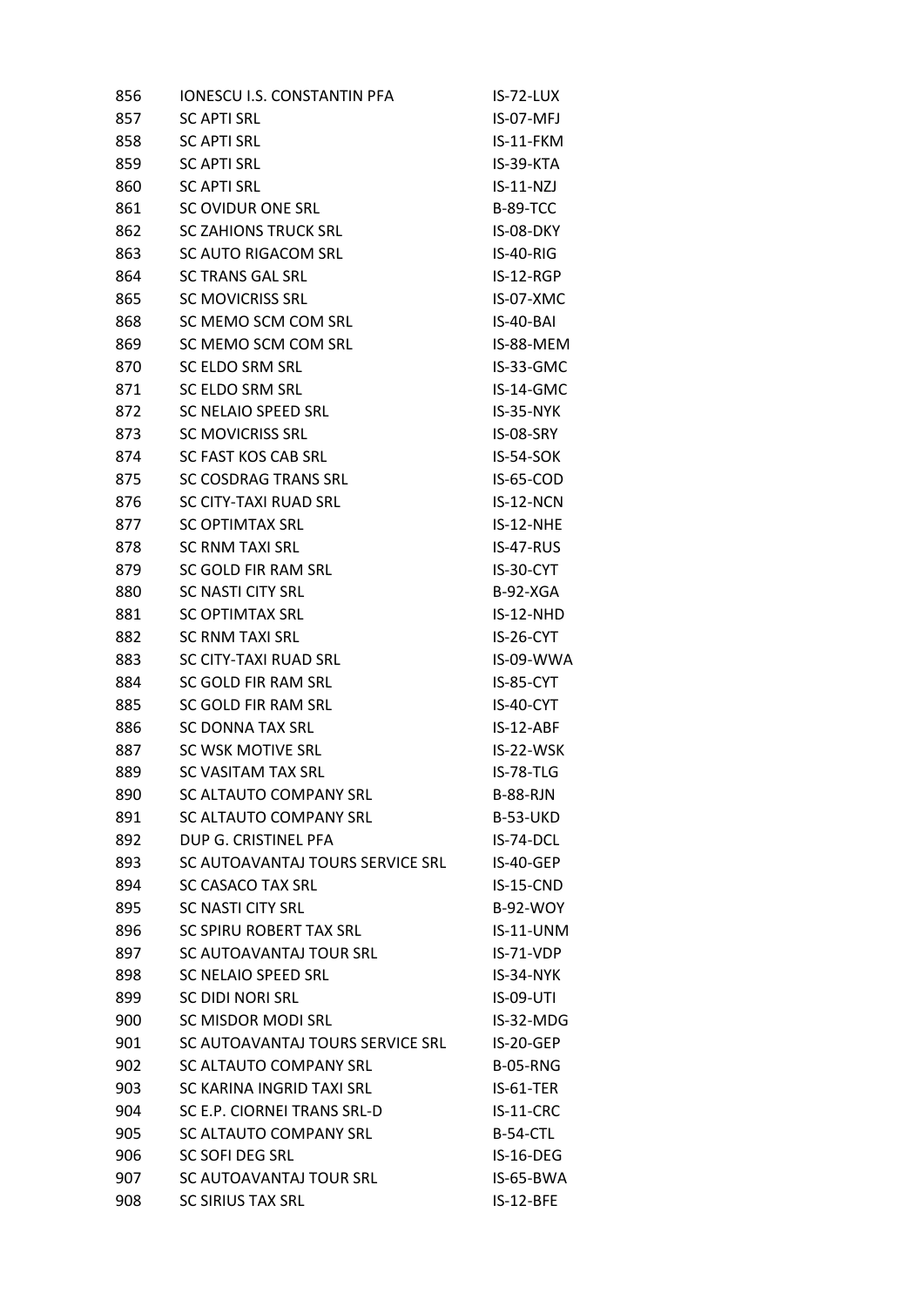| 856 | IONESCU I.S. CONSTANTIN PFA      | IS-72-LUX       |
|-----|----------------------------------|-----------------|
| 857 | <b>SC APTI SRL</b>               | IS-07-MFJ       |
| 858 | <b>SC APTI SRL</b>               | IS-11-FKM       |
| 859 | <b>SC APTI SRL</b>               | IS-39-KTA       |
| 860 | <b>SC APTI SRL</b>               | $IS-11-NZJ$     |
| 861 | SC OVIDUR ONE SRL                | <b>B-89-TCC</b> |
| 862 | <b>SC ZAHIONS TRUCK SRL</b>      | IS-08-DKY       |
| 863 | SC AUTO RIGACOM SRL              | IS-40-RIG       |
| 864 | <b>SC TRANS GAL SRL</b>          | IS-12-RGP       |
| 865 | <b>SC MOVICRISS SRL</b>          | IS-07-XMC       |
| 868 | SC MEMO SCM COM SRL              | IS-40-BAI       |
| 869 | SC MEMO SCM COM SRL              | IS-88-MEM       |
| 870 | SC ELDO SRM SRL                  | IS-33-GMC       |
| 871 | SC ELDO SRM SRL                  | IS-14-GMC       |
| 872 | SC NELAIO SPEED SRL              | IS-35-NYK       |
| 873 | <b>SC MOVICRISS SRL</b>          | IS-08-SRY       |
| 874 | SC FAST KOS CAB SRL              | IS-54-SOK       |
| 875 | <b>SC COSDRAG TRANS SRL</b>      | IS-65-COD       |
| 876 | SC CITY-TAXI RUAD SRL            | IS-12-NCN       |
| 877 | SC OPTIMTAX SRL                  | IS-12-NHE       |
| 878 | <b>SC RNM TAXI SRL</b>           | IS-47-RUS       |
| 879 | SC GOLD FIR RAM SRL              | IS-30-CYT       |
| 880 | <b>SC NASTI CITY SRL</b>         | <b>B-92-XGA</b> |
| 881 | <b>SC OPTIMTAX SRL</b>           | IS-12-NHD       |
| 882 | <b>SC RNM TAXI SRL</b>           | $IS-26-CYT$     |
| 883 | SC CITY-TAXI RUAD SRL            | IS-09-WWA       |
| 884 | SC GOLD FIR RAM SRL              | IS-85-CYT       |
| 885 | SC GOLD FIR RAM SRL              | IS-40-CYT       |
| 886 | <b>SC DONNA TAX SRL</b>          | IS-12-ABF       |
| 887 | SC WSK MOTIVE SRL                | IS-22-WSK       |
| 889 | SC VASITAM TAX SRL               | IS-78-TLG       |
| 890 | SC ALTAUTO COMPANY SRL           | <b>B-88-RJN</b> |
| 891 | SC ALTAUTO COMPANY SRL           | <b>B-53-UKD</b> |
| 892 | DUP G. CRISTINEL PFA             | IS-74-DCL       |
| 893 | SC AUTOAVANTAJ TOURS SERVICE SRL | IS-40-GEP       |
| 894 | <b>SC CASACO TAX SRL</b>         | IS-15-CND       |
| 895 | <b>SC NASTI CITY SRL</b>         | <b>B-92-WOY</b> |
| 896 | SC SPIRU ROBERT TAX SRL          | IS-11-UNM       |
| 897 | SC AUTOAVANTAJ TOUR SRL          | $IS-71-VDP$     |
| 898 | SC NELAIO SPEED SRL              | IS-34-NYK       |
| 899 | SC DIDI NORI SRL                 | IS-09-UTI       |
| 900 | SC MISDOR MODI SRL               | IS-32-MDG       |
| 901 | SC AUTOAVANTAJ TOURS SERVICE SRL | IS-20-GEP       |
| 902 | SC ALTAUTO COMPANY SRL           | <b>B-05-RNG</b> |
| 903 | SC KARINA INGRID TAXI SRL        | IS-61-TER       |
| 904 | SC E.P. CIORNEI TRANS SRL-D      | IS-11-CRC       |
| 905 | SC ALTAUTO COMPANY SRL           | <b>B-54-CTL</b> |
| 906 | SC SOFI DEG SRL                  | IS-16-DEG       |
| 907 | SC AUTOAVANTAJ TOUR SRL          | IS-65-BWA       |
| 908 | <b>SC SIRIUS TAX SRL</b>         | IS-12-BFE       |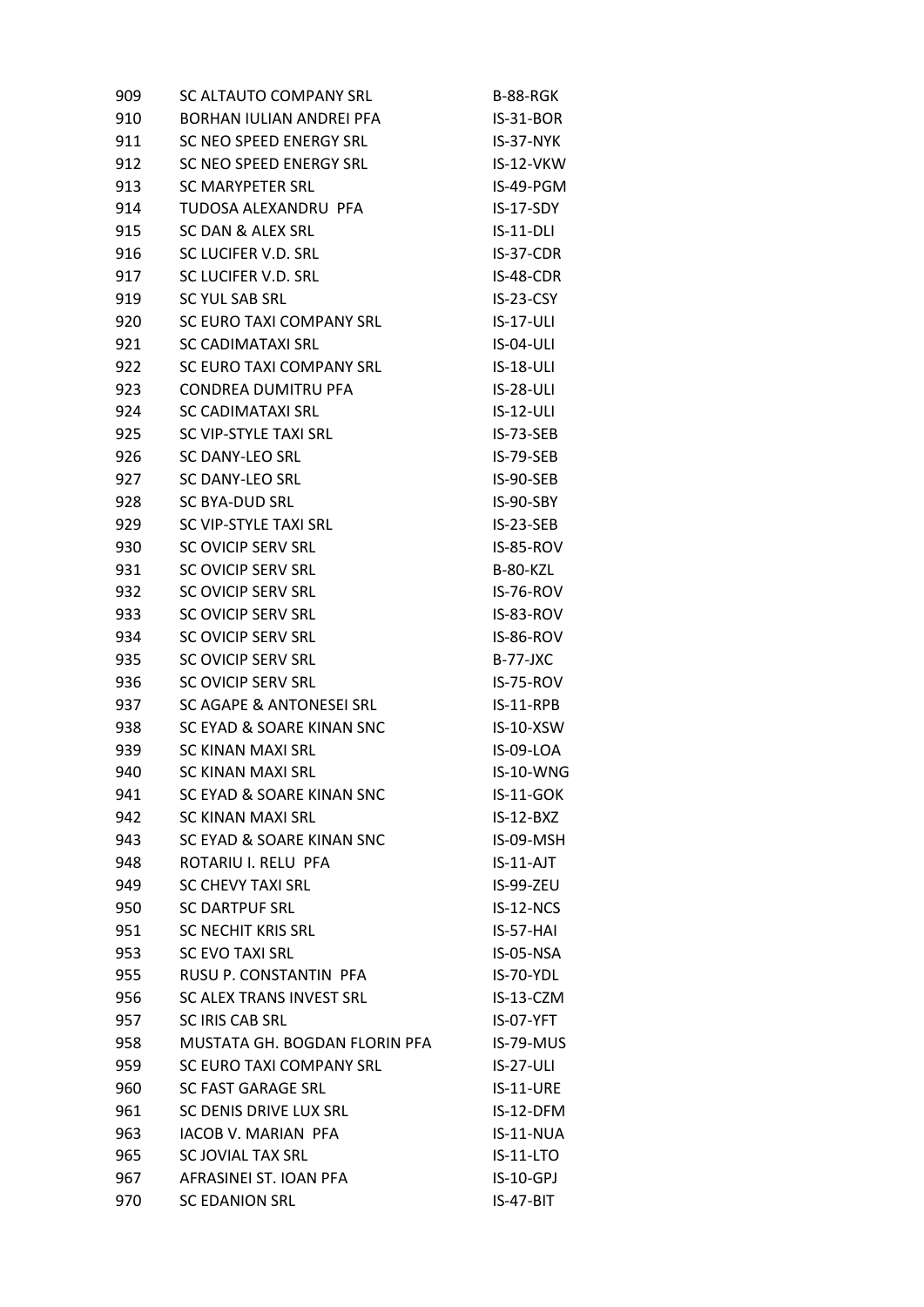| 909 | SC ALTAUTO COMPANY SRL          | B-88-RGK         |
|-----|---------------------------------|------------------|
| 910 | <b>BORHAN IULIAN ANDREI PFA</b> | $IS-31-BOR$      |
| 911 | SC NEO SPEED ENERGY SRL         | IS-37-NYK        |
| 912 | SC NEO SPEED ENERGY SRL         | IS-12-VKW        |
| 913 | <b>SC MARYPETER SRL</b>         | IS-49-PGM        |
| 914 | TUDOSA ALEXANDRU PFA            | IS-17-SDY        |
| 915 | SC DAN & ALEX SRL               | $IS-11-DLI$      |
| 916 | SC LUCIFER V.D. SRL             | $IS-37-CDR$      |
| 917 | SC LUCIFER V.D. SRL             | IS-48-CDR        |
| 919 | <b>SC YUL SAB SRL</b>           | IS-23-CSY        |
| 920 | SC EURO TAXI COMPANY SRL        | $IS-17-ULI$      |
| 921 | <b>SC CADIMATAXI SRL</b>        | IS-04-ULI        |
| 922 | SC EURO TAXI COMPANY SRL        | $IS-18-ULI$      |
| 923 | <b>CONDREA DUMITRU PFA</b>      | IS-28-ULI        |
| 924 | SC CADIMATAXI SRL               | $IS-12-ULI$      |
| 925 | SC VIP-STYLE TAXI SRL           | $IS-73-SEB$      |
| 926 | SC DANY-LEO SRL                 | IS-79-SEB        |
| 927 | <b>SC DANY-LEO SRL</b>          | IS-90-SEB        |
| 928 | SC BYA-DUD SRL                  | IS-90-SBY        |
| 929 | SC VIP-STYLE TAXI SRL           | $IS-23-SEB$      |
| 930 | SC OVICIP SERV SRL              | IS-85-ROV        |
| 931 | SC OVICIP SERV SRL              | B-80-KZL         |
| 932 | SC OVICIP SERV SRL              | IS-76-ROV        |
| 933 | SC OVICIP SERV SRL              | IS-83-ROV        |
| 934 | SC OVICIP SERV SRL              | IS-86-ROV        |
| 935 | SC OVICIP SERV SRL              | $B-77-JXC$       |
| 936 | SC OVICIP SERV SRL              | IS-75-ROV        |
| 937 | SC AGAPE & ANTONESEI SRL        | $IS-11-RPB$      |
| 938 | SC EYAD & SOARE KINAN SNC       | IS-10-XSW        |
| 939 | <b>SC KINAN MAXI SRL</b>        | IS-09-LOA        |
| 940 | <b>SC KINAN MAXI SRL</b>        | IS-10-WNG        |
| 941 | SC EYAD & SOARE KINAN SNC       | $IS-11-GOK$      |
| 942 | <b>SC KINAN MAXI SRL</b>        | $IS-12-BXZ$      |
| 943 | SC EYAD & SOARE KINAN SNC       | IS-09-MSH        |
| 948 | ROTARIU I. RELU PFA             | IS-11-AJT        |
| 949 | <b>SC CHEVY TAXI SRL</b>        | IS-99-ZEU        |
| 950 | <b>SC DARTPUF SRL</b>           | IS-12-NCS        |
| 951 | SC NECHIT KRIS SRL              | IS-57-HAI        |
| 953 | <b>SC EVO TAXI SRL</b>          | IS-05-NSA        |
| 955 | RUSU P. CONSTANTIN PFA          | IS-70-YDL        |
| 956 | SC ALEX TRANS INVEST SRL        | IS-13-CZM        |
| 957 | SC IRIS CAB SRL                 | IS-07-YFT        |
| 958 | MUSTATA GH. BOGDAN FLORIN PFA   | IS-79-MUS        |
| 959 | SC EURO TAXI COMPANY SRL        | <b>IS-27-ULI</b> |
| 960 | <b>SC FAST GARAGE SRL</b>       | <b>IS-11-URE</b> |
| 961 | SC DENIS DRIVE LUX SRL          | IS-12-DFM        |
| 963 | IACOB V. MARIAN PFA             | IS-11-NUA        |
| 965 | SC JOVIAL TAX SRL               | $IS-11-LTO$      |
| 967 | AFRASINEI ST. IOAN PFA          | $IS-10-GPI$      |
| 970 | <b>SC EDANION SRL</b>           | IS-47-BIT        |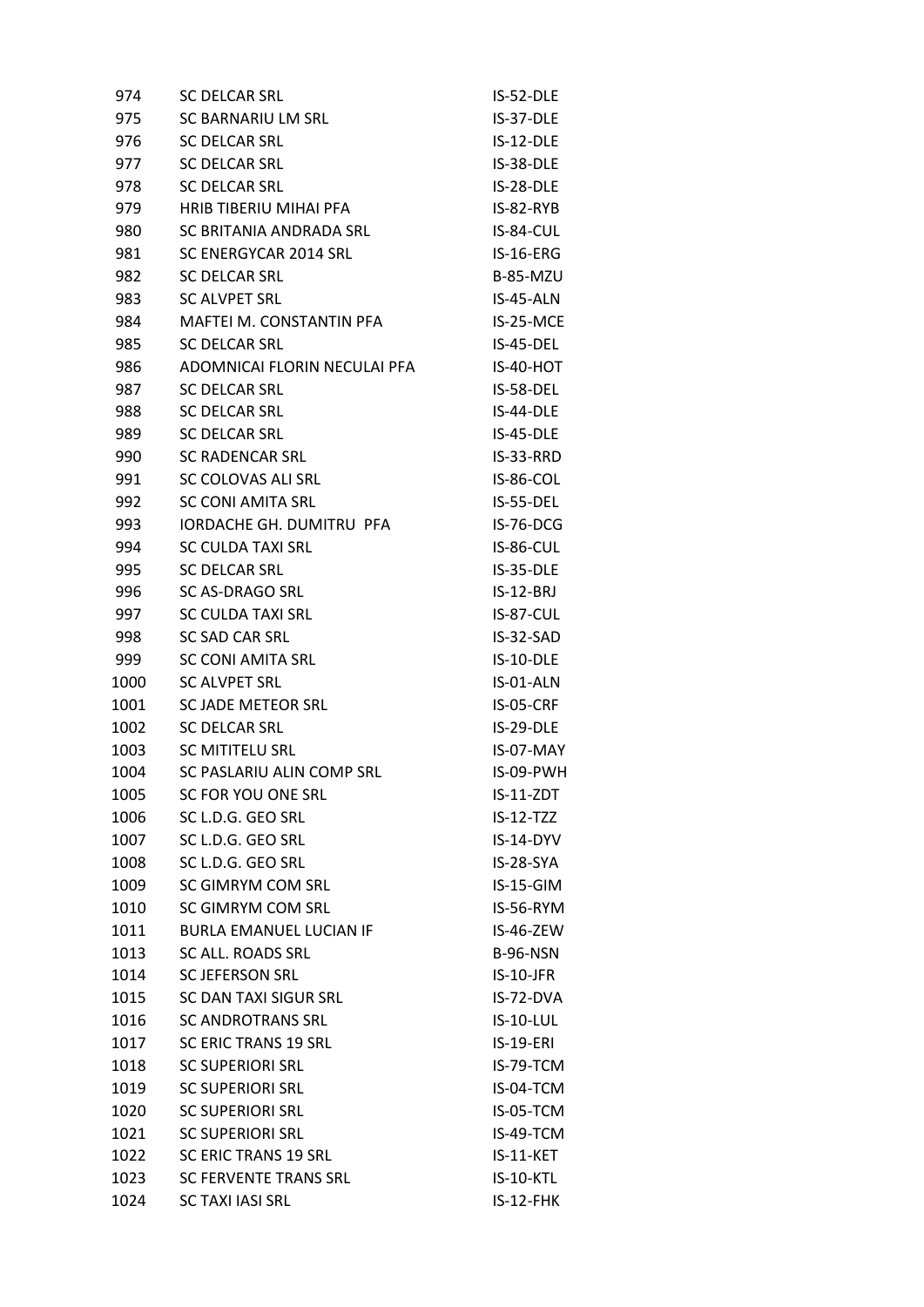| 974  | <b>SC DELCAR SRL</b>           | IS-52-DLE        |
|------|--------------------------------|------------------|
| 975  | SC BARNARIU LM SRL             | IS-37-DLE        |
| 976  | <b>SC DELCAR SRL</b>           | IS-12-DLE        |
| 977  | <b>SC DELCAR SRL</b>           | IS-38-DLE        |
| 978  | <b>SC DELCAR SRL</b>           | IS-28-DLE        |
| 979  | HRIB TIBERIU MIHAI PFA         | $IS-82-RYB$      |
| 980  | SC BRITANIA ANDRADA SRL        | IS-84-CUL        |
| 981  | SC ENERGYCAR 2014 SRL          | IS-16-ERG        |
| 982  | <b>SC DELCAR SRL</b>           | <b>B-85-MZU</b>  |
| 983  | <b>SC ALVPET SRL</b>           | IS-45-ALN        |
| 984  | MAFTEI M. CONSTANTIN PFA       | IS-25-MCE        |
| 985  | <b>SC DELCAR SRL</b>           | IS-45-DEL        |
| 986  | ADOMNICAI FLORIN NECULAI PFA   | IS-40-HOT        |
| 987  | <b>SC DELCAR SRL</b>           | IS-58-DEL        |
| 988  | <b>SC DELCAR SRL</b>           | IS-44-DLE        |
| 989  | <b>SC DELCAR SRL</b>           | IS-45-DLE        |
| 990  | <b>SC RADENCAR SRL</b>         | IS-33-RRD        |
| 991  | SC COLOVAS ALI SRL             | IS-86-COL        |
| 992  | <b>SC CONI AMITA SRL</b>       | IS-55-DEL        |
| 993  | IORDACHE GH. DUMITRU PFA       | IS-76-DCG        |
| 994  | SC CULDA TAXI SRL              | IS-86-CUL        |
| 995  | <b>SC DELCAR SRL</b>           | IS-35-DLE        |
| 996  | <b>SC AS-DRAGO SRL</b>         | $IS-12-BRJ$      |
| 997  | <b>SC CULDA TAXI SRL</b>       | IS-87-CUL        |
| 998  | SC SAD CAR SRL                 | $IS-32-SAD$      |
| 999  | <b>SC CONI AMITA SRL</b>       | IS-10-DLE        |
| 1000 | <b>SC ALVPET SRL</b>           | IS-01-ALN        |
| 1001 | SC JADE METEOR SRL             | IS-05-CRF        |
| 1002 | <b>SC DELCAR SRL</b>           | IS-29-DLE        |
| 1003 | SC MITITELU SRL                | IS-07-MAY        |
| 1004 | SC PASLARIU ALIN COMP SRL      | IS-09-PWH        |
| 1005 | SC FOR YOU ONE SRL             | IS-11-ZDT        |
| 1006 | SC L.D.G. GEO SRL              | $IS-12-TZZ$      |
| 1007 | SC L.D.G. GEO SRL              | IS-14-DYV        |
| 1008 | SC L.D.G. GEO SRL              | IS-28-SYA        |
| 1009 | SC GIMRYM COM SRL              | IS-15-GIM        |
| 1010 | SC GIMRYM COM SRL              | IS-56-RYM        |
| 1011 | <b>BURLA EMANUEL LUCIAN IF</b> | IS-46-ZEW        |
| 1013 | SC ALL. ROADS SRL              | <b>B-96-NSN</b>  |
| 1014 | <b>SC JEFERSON SRL</b>         | IS-10-JFR        |
| 1015 | SC DAN TAXI SIGUR SRL          | IS-72-DVA        |
| 1016 | <b>SC ANDROTRANS SRL</b>       | <b>IS-10-LUL</b> |
| 1017 | <b>SC ERIC TRANS 19 SRL</b>    | <b>IS-19-ERI</b> |
| 1018 | <b>SC SUPERIORI SRL</b>        | IS-79-TCM        |
| 1019 | <b>SC SUPERIORI SRL</b>        | IS-04-TCM        |
| 1020 | <b>SC SUPERIORI SRL</b>        | IS-05-TCM        |
| 1021 | <b>SC SUPERIORI SRL</b>        | IS-49-TCM        |
| 1022 | <b>SC ERIC TRANS 19 SRL</b>    | IS-11-KET        |
| 1023 | <b>SC FERVENTE TRANS SRL</b>   | <b>IS-10-KTL</b> |
| 1024 | <b>SC TAXI IASI SRL</b>        | IS-12-FHK        |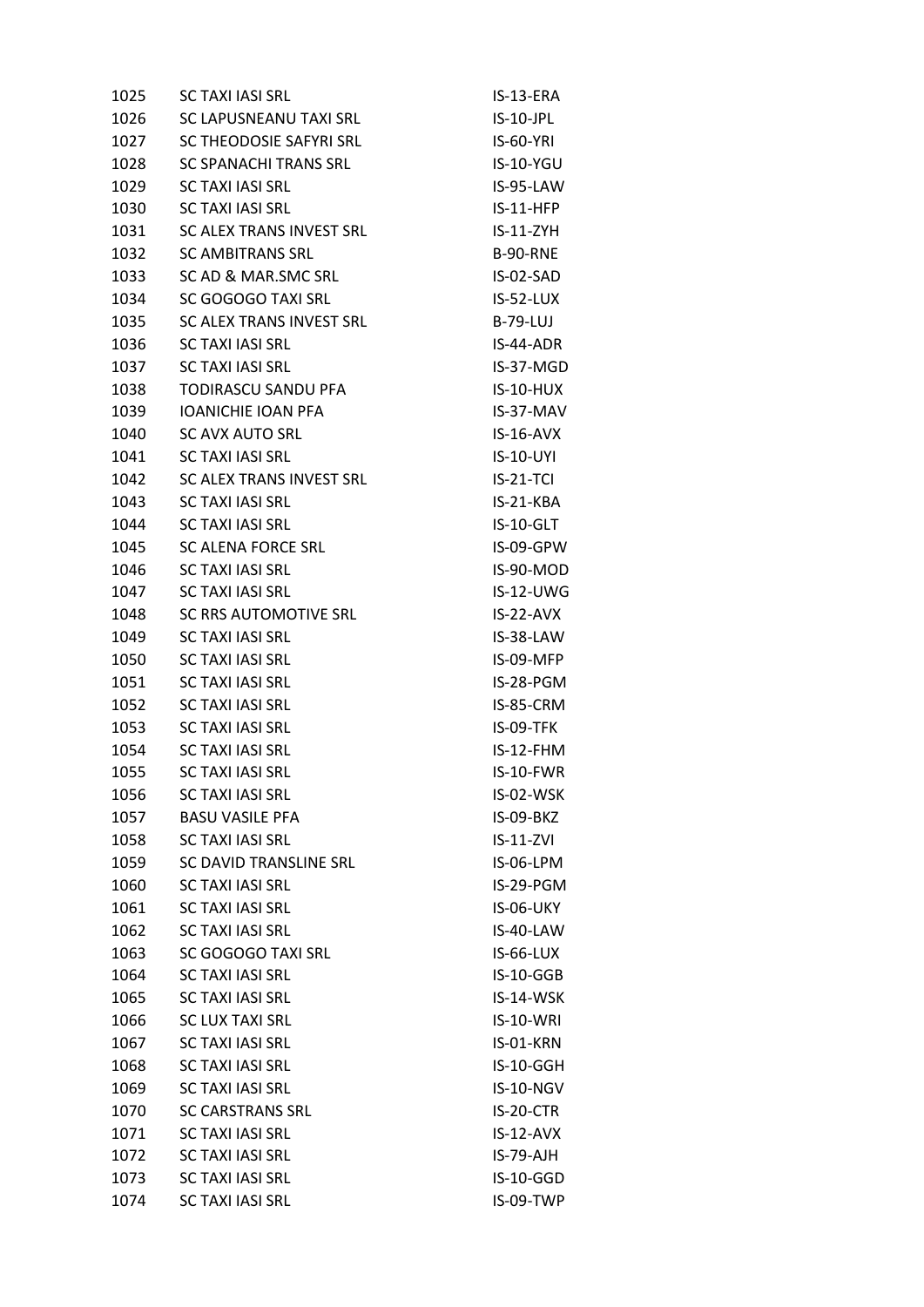| 1025 | <b>SC TAXI IASI SRL</b>       | IS-13-ERA        |
|------|-------------------------------|------------------|
| 1026 | SC LAPUSNEANU TAXI SRL        | $IS-10-JPL$      |
| 1027 | SC THEODOSIE SAFYRI SRL       | <b>IS-60-YRI</b> |
| 1028 | SC SPANACHI TRANS SRL         | IS-10-YGU        |
| 1029 | <b>SC TAXI IASI SRL</b>       | IS-95-LAW        |
| 1030 | <b>SC TAXI JASI SRL</b>       | $IS-11-HFP$      |
| 1031 | SC ALEX TRANS INVEST SRL      | $IS-11-ZYH$      |
| 1032 | <b>SC AMBITRANS SRL</b>       | <b>B-90-RNE</b>  |
| 1033 | SC AD & MAR.SMC SRL           | IS-02-SAD        |
| 1034 | SC GOGOGO TAXI SRL            | IS-52-LUX        |
| 1035 | SC ALEX TRANS INVEST SRL      | <b>B-79-LUJ</b>  |
| 1036 | <b>SC TAXI IASI SRL</b>       | IS-44-ADR        |
| 1037 | <b>SC TAXI IASI SRL</b>       | IS-37-MGD        |
| 1038 | TODIRASCU SANDU PFA           | <b>IS-10-HUX</b> |
| 1039 | <b>IOANICHIE IOAN PFA</b>     | IS-37-MAV        |
| 1040 | <b>SC AVX AUTO SRL</b>        | $IS-16-AVX$      |
| 1041 | <b>SC TAXI IASI SRL</b>       | IS-10-UYI        |
| 1042 | SC ALEX TRANS INVEST SRL      | $IS-21-TCI$      |
| 1043 | <b>SC TAXI IASI SRL</b>       | IS-21-KBA        |
| 1044 | <b>SC TAXI IASI SRL</b>       | IS-10-GLT        |
| 1045 | SC ALENA FORCE SRL            | IS-09-GPW        |
| 1046 | <b>SC TAXI IASI SRL</b>       | IS-90-MOD        |
| 1047 | <b>SC TAXI IASI SRL</b>       | <b>IS-12-UWG</b> |
| 1048 | SC RRS AUTOMOTIVE SRL         | $IS-22-AVX$      |
| 1049 | <b>SC TAXI JASI SRL</b>       | IS-38-LAW        |
| 1050 | <b>SC TAXI IASI SRL</b>       | IS-09-MFP        |
| 1051 | <b>SC TAXI IASI SRL</b>       | IS-28-PGM        |
| 1052 | <b>SC TAXI IASI SRL</b>       | IS-85-CRM        |
| 1053 | <b>SC TAXI IASI SRL</b>       | IS-09-TFK        |
| 1054 | <b>SC TAXI IASI SRL</b>       | $IS-12-FHM$      |
| 1055 | <b>SC TAXI IASI SRL</b>       | IS-10-FWR        |
| 1056 | <b>SC TAXI IASI SRL</b>       | IS-02-WSK        |
| 1057 | <b>BASU VASILE PFA</b>        | IS-09-BKZ        |
| 1058 | <b>SC TAXI IASI SRL</b>       | $IS-11-ZVI$      |
| 1059 | <b>SC DAVID TRANSLINE SRL</b> | IS-06-LPM        |
| 1060 | <b>SC TAXI IASI SRL</b>       | IS-29-PGM        |
| 1061 | <b>SC TAXI IASI SRL</b>       | IS-06-UKY        |
| 1062 | <b>SC TAXI IASI SRL</b>       | IS-40-LAW        |
| 1063 | SC GOGOGO TAXI SRL            | IS-66-LUX        |
| 1064 | <b>SC TAXI IASI SRL</b>       | IS-10-GGB        |
| 1065 | <b>SC TAXI IASI SRL</b>       | IS-14-WSK        |
| 1066 | <b>SC LUX TAXI SRL</b>        | IS-10-WRI        |
| 1067 | <b>SC TAXI IASI SRL</b>       | IS-01-KRN        |
| 1068 | <b>SC TAXI IASI SRL</b>       | IS-10-GGH        |
| 1069 | <b>SC TAXI IASI SRL</b>       | IS-10-NGV        |
| 1070 | <b>SC CARSTRANS SRL</b>       | IS-20-CTR        |
| 1071 | SC TAXI JASI SRL              | $IS-12-AVX$      |
| 1072 | <b>SC TAXI IASI SRL</b>       | IS-79-AJH        |
| 1073 | <b>SC TAXI IASI SRL</b>       | IS-10-GGD        |
| 1074 | <b>SC TAXI IASI SRL</b>       | IS-09-TWP        |
|      |                               |                  |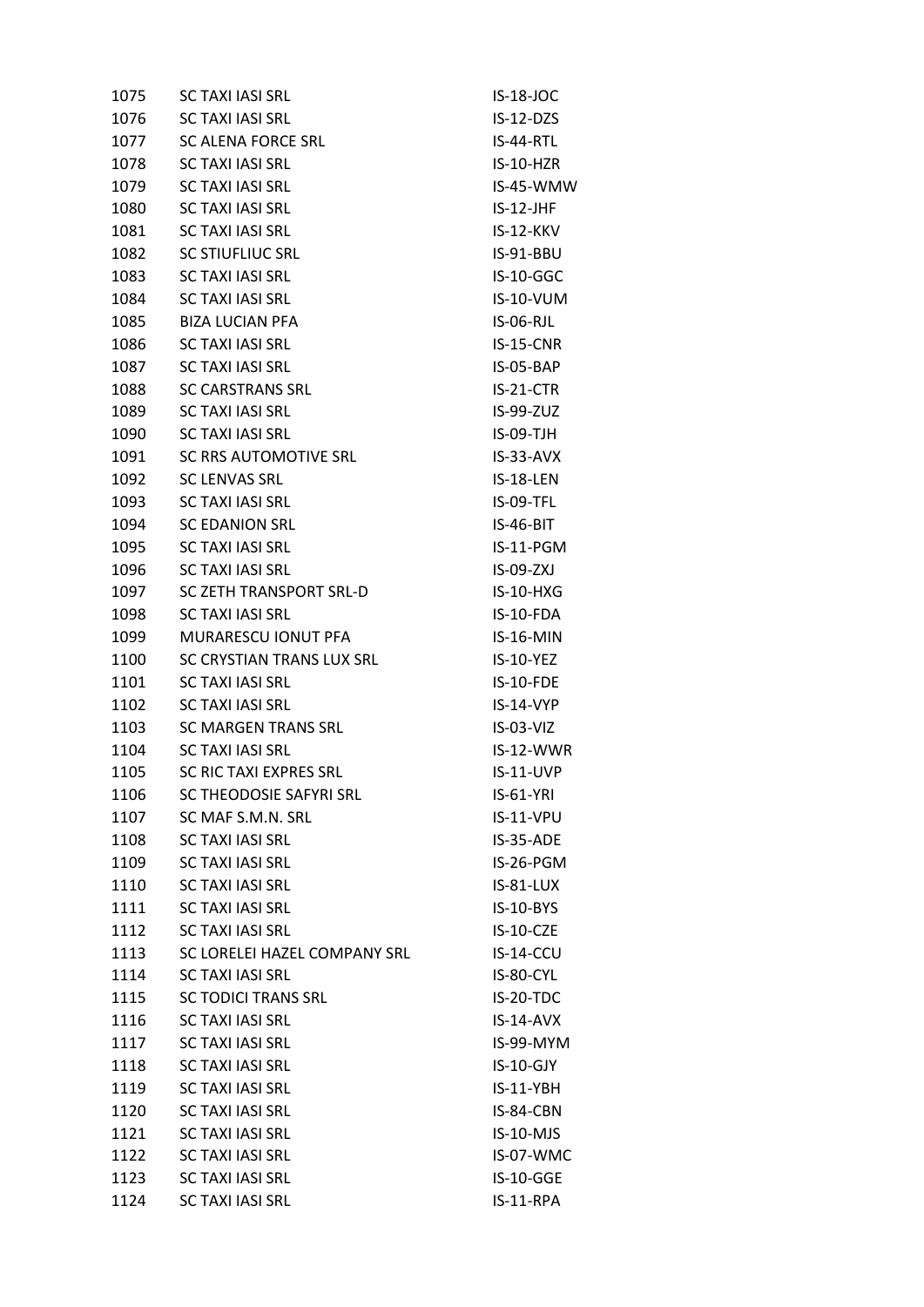| 1075 | <b>SC TAXI IASI SRL</b>       | IS-18-JOC        |
|------|-------------------------------|------------------|
| 1076 | <b>SC TAXI IASI SRL</b>       | $IS-12-DZS$      |
| 1077 | SC ALENA FORCE SRL            | $IS-44-RTL$      |
| 1078 | <b>SC TAXI IASI SRL</b>       | IS-10-HZR        |
| 1079 | <b>SC TAXI IASI SRL</b>       | IS-45-WMW        |
| 1080 | SC TAXI IASI SRL              | $IS-12-JHF$      |
| 1081 | <b>SC TAXI IASI SRL</b>       | $IS-12-KKV$      |
| 1082 | <b>SC STIUFLIUC SRL</b>       | IS-91-BBU        |
| 1083 | <b>SC TAXI IASI SRL</b>       | IS-10-GGC        |
| 1084 | <b>SC TAXI IASI SRL</b>       | IS-10-VUM        |
| 1085 | <b>BIZA LUCIAN PFA</b>        | IS-06-RJL        |
| 1086 | <b>SC TAXI IASI SRL</b>       | IS-15-CNR        |
| 1087 | <b>SC TAXI IASI SRL</b>       | IS-05-BAP        |
| 1088 | <b>SC CARSTRANS SRL</b>       | IS-21-CTR        |
| 1089 | <b>SC TAXI IASI SRL</b>       | IS-99-ZUZ        |
| 1090 | <b>SC TAXI IASI SRL</b>       | $IS-09-TJH$      |
| 1091 | SC RRS AUTOMOTIVE SRL         | $IS-33-AVX$      |
| 1092 | <b>SC LENVAS SRL</b>          | IS-18-LEN        |
| 1093 | <b>SC TAXI IASI SRL</b>       | IS-09-TFL        |
| 1094 | SC EDANION SRL                | IS-46-BIT        |
| 1095 | <b>SC TAXI IASI SRL</b>       | IS-11-PGM        |
| 1096 | <b>SC TAXI IASI SRL</b>       | IS-09-ZXJ        |
| 1097 | SC ZETH TRANSPORT SRL-D       | $IS-10-HXG$      |
| 1098 | <b>SC TAXI IASI SRL</b>       | IS-10-FDA        |
| 1099 | MURARESCU IONUT PFA           | IS-16-MIN        |
| 1100 | SC CRYSTIAN TRANS LUX SRL     | IS-10-YEZ        |
| 1101 | <b>SC TAXI IASI SRL</b>       | IS-10-FDE        |
| 1102 | <b>SC TAXI IASI SRL</b>       | IS-14-VYP        |
| 1103 | SC MARGEN TRANS SRL           | $IS-03-VIZ$      |
| 1104 | <b>SC TAXI IASI SRL</b>       | IS-12-WWR        |
| 1105 | <b>SC RIC TAXI EXPRES SRL</b> | <b>IS-11-UVP</b> |
| 1106 | SC THEODOSIE SAFYRI SRL       | <b>IS-61-YRI</b> |
| 1107 | SC MAF S.M.N. SRL             | IS-11-VPU        |
| 1108 | <b>SC TAXI IASI SRL</b>       | IS-35-ADE        |
| 1109 | <b>SC TAXI IASI SRL</b>       | IS-26-PGM        |
| 1110 | <b>SC TAXI IASI SRL</b>       | IS-81-LUX        |
| 1111 | <b>SC TAXI IASI SRL</b>       | IS-10-BYS        |
| 1112 | <b>SC TAXI IASI SRL</b>       | IS-10-CZE        |
| 1113 | SC LORELEI HAZEL COMPANY SRL  | IS-14-CCU        |
| 1114 | <b>SC TAXI IASI SRL</b>       | IS-80-CYL        |
| 1115 | <b>SC TODICI TRANS SRL</b>    | IS-20-TDC        |
| 1116 | <b>SC TAXI IASI SRL</b>       | $IS-14-AVX$      |
| 1117 | <b>SC TAXI IASI SRL</b>       | IS-99-MYM        |
| 1118 | <b>SC TAXI IASI SRL</b>       | IS-10-GJY        |
| 1119 | <b>SC TAXI IASI SRL</b>       | $IS-11-YBH$      |
| 1120 | <b>SC TAXI IASI SRL</b>       | IS-84-CBN        |
| 1121 | <b>SC TAXI IASI SRL</b>       | $IS-10-MJS$      |
| 1122 | <b>SC TAXI IASI SRL</b>       | IS-07-WMC        |
| 1123 | <b>SC TAXI IASI SRL</b>       | <b>IS-10-GGE</b> |
| 1124 | <b>SC TAXI IASI SRL</b>       | IS-11-RPA        |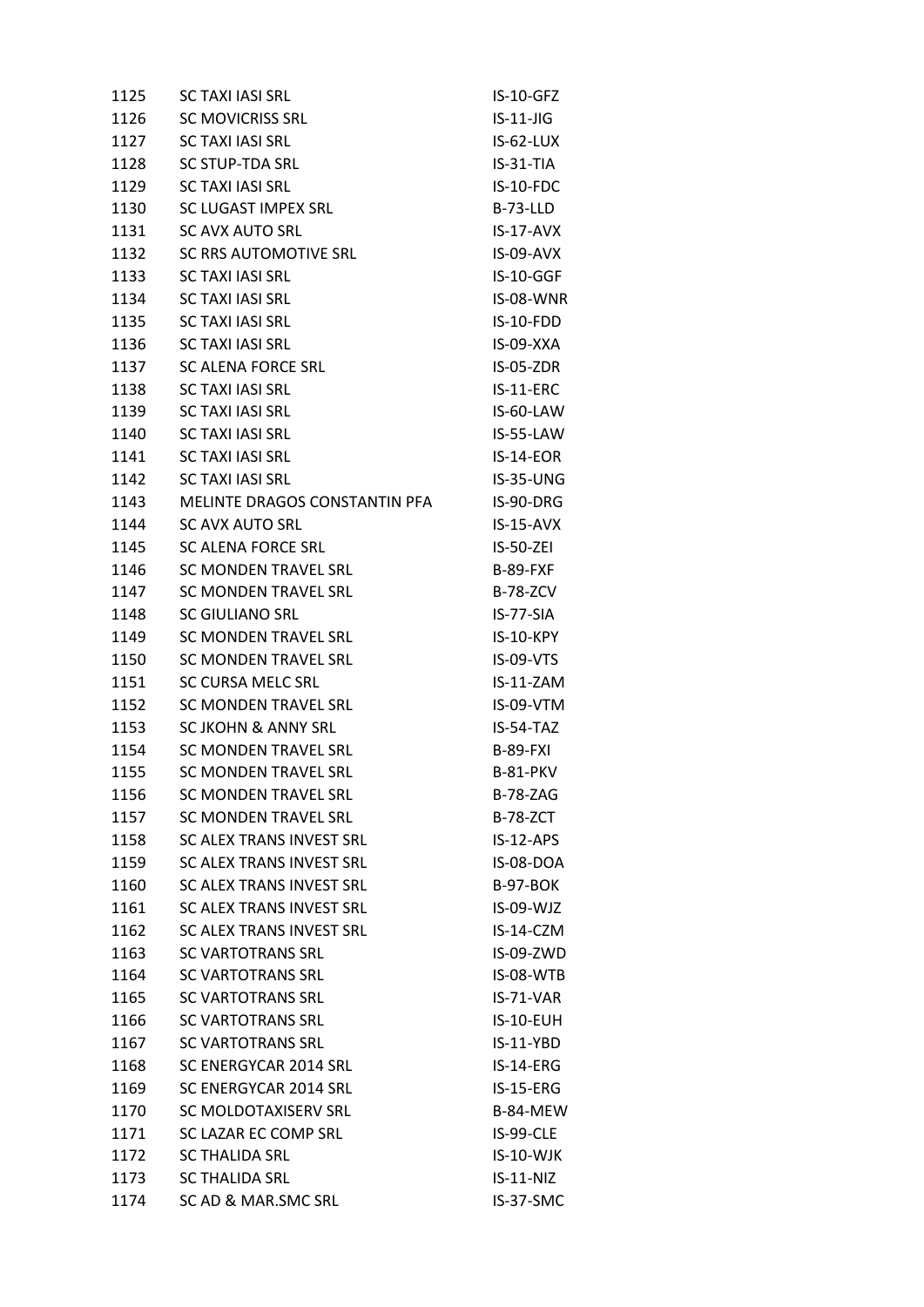| 1125 | <b>SC TAXI IASI SRL</b>         | $IS-10-GFZ$      |
|------|---------------------------------|------------------|
| 1126 | <b>SC MOVICRISS SRL</b>         | $IS-11-JIG$      |
| 1127 | <b>SC TAXI IASI SRL</b>         | $IS-62-LUX$      |
| 1128 | SC STUP-TDA SRL                 | $IS-31-TIA$      |
| 1129 | <b>SC TAXI IASI SRL</b>         | IS-10-FDC        |
| 1130 | SC LUGAST IMPEX SRL             | $B-73-LLD$       |
| 1131 | <b>SC AVX AUTO SRL</b>          | $IS-17-AVX$      |
| 1132 | SC RRS AUTOMOTIVE SRL           | <b>IS-09-AVX</b> |
| 1133 | <b>SC TAXI IASI SRL</b>         | IS-10-GGF        |
| 1134 | <b>SC TAXI IASI SRL</b>         | IS-08-WNR        |
| 1135 | <b>SC TAXI IASI SRL</b>         | $IS-10-FDD$      |
| 1136 | <b>SC TAXI IASI SRL</b>         | IS-09-XXA        |
| 1137 | SC ALENA FORCE SRL              | IS-05-ZDR        |
| 1138 | <b>SC TAXI IASI SRL</b>         | IS-11-ERC        |
| 1139 | <b>SC TAXI IASI SRL</b>         | IS-60-LAW        |
| 1140 | <b>SC TAXI IASI SRL</b>         | IS-55-LAW        |
| 1141 | <b>SC TAXI IASI SRL</b>         | $IS-14-EOR$      |
| 1142 | <b>SC TAXI IASI SRL</b>         | IS-35-UNG        |
| 1143 | MELINTE DRAGOS CONSTANTIN PFA   | IS-90-DRG        |
| 1144 | SC AVX AUTO SRL                 | $IS-15-AVX$      |
| 1145 | <b>SC ALENA FORCE SRL</b>       | IS-50-ZEI        |
| 1146 | SC MONDEN TRAVEL SRL            | <b>B-89-FXF</b>  |
| 1147 | SC MONDEN TRAVEL SRL            | <b>B-78-ZCV</b>  |
| 1148 | <b>SC GIULIANO SRL</b>          | IS-77-SIA        |
| 1149 | SC MONDEN TRAVEL SRL            | IS-10-KPY        |
| 1150 | <b>SC MONDEN TRAVEL SRL</b>     | IS-09-VTS        |
| 1151 | SC CURSA MELC SRL               | $IS-11-ZAM$      |
| 1152 | <b>SC MONDEN TRAVEL SRL</b>     | IS-09-VTM        |
| 1153 | <b>SC JKOHN &amp; ANNY SRL</b>  | IS-54-TAZ        |
| 1154 | SC MONDEN TRAVEL SRL            | <b>B-89-FXI</b>  |
| 1155 | <b>SC MONDEN TRAVEL SRL</b>     | B-81-PKV         |
| 1156 | <b>SC MONDEN TRAVEL SRL</b>     | <b>B-78-ZAG</b>  |
| 1157 | <b>SC MONDEN TRAVEL SRL</b>     | <b>B-78-ZCT</b>  |
| 1158 | SC ALEX TRANS INVEST SRL        | $IS-12-APS$      |
| 1159 | SC ALEX TRANS INVEST SRL        | IS-08-DOA        |
| 1160 | SC ALEX TRANS INVEST SRL        | <b>B-97-BOK</b>  |
| 1161 | <b>SC ALEX TRANS INVEST SRL</b> | IS-09-WJZ        |
| 1162 | SC ALEX TRANS INVEST SRL        | IS-14-CZM        |
| 1163 | <b>SC VARTOTRANS SRL</b>        | IS-09-ZWD        |
| 1164 | <b>SC VARTOTRANS SRL</b>        | IS-08-WTB        |
| 1165 | <b>SC VARTOTRANS SRL</b>        | IS-71-VAR        |
| 1166 | <b>SC VARTOTRANS SRL</b>        | IS-10-EUH        |
| 1167 | <b>SC VARTOTRANS SRL</b>        | $IS-11-YBD$      |
| 1168 | SC ENERGYCAR 2014 SRL           | IS-14-ERG        |
| 1169 | SC ENERGYCAR 2014 SRL           | IS-15-ERG        |
| 1170 | SC MOLDOTAXISERV SRL            | <b>B-84-MEW</b>  |
| 1171 | SC LAZAR EC COMP SRL            | IS-99-CLE        |
| 1172 | <b>SC THALIDA SRL</b>           | IS-10-WJK        |
| 1173 | <b>SC THALIDA SRL</b>           | $IS-11-NIZ$      |
| 1174 | SC AD & MAR.SMC SRL             | IS-37-SMC        |
|      |                                 |                  |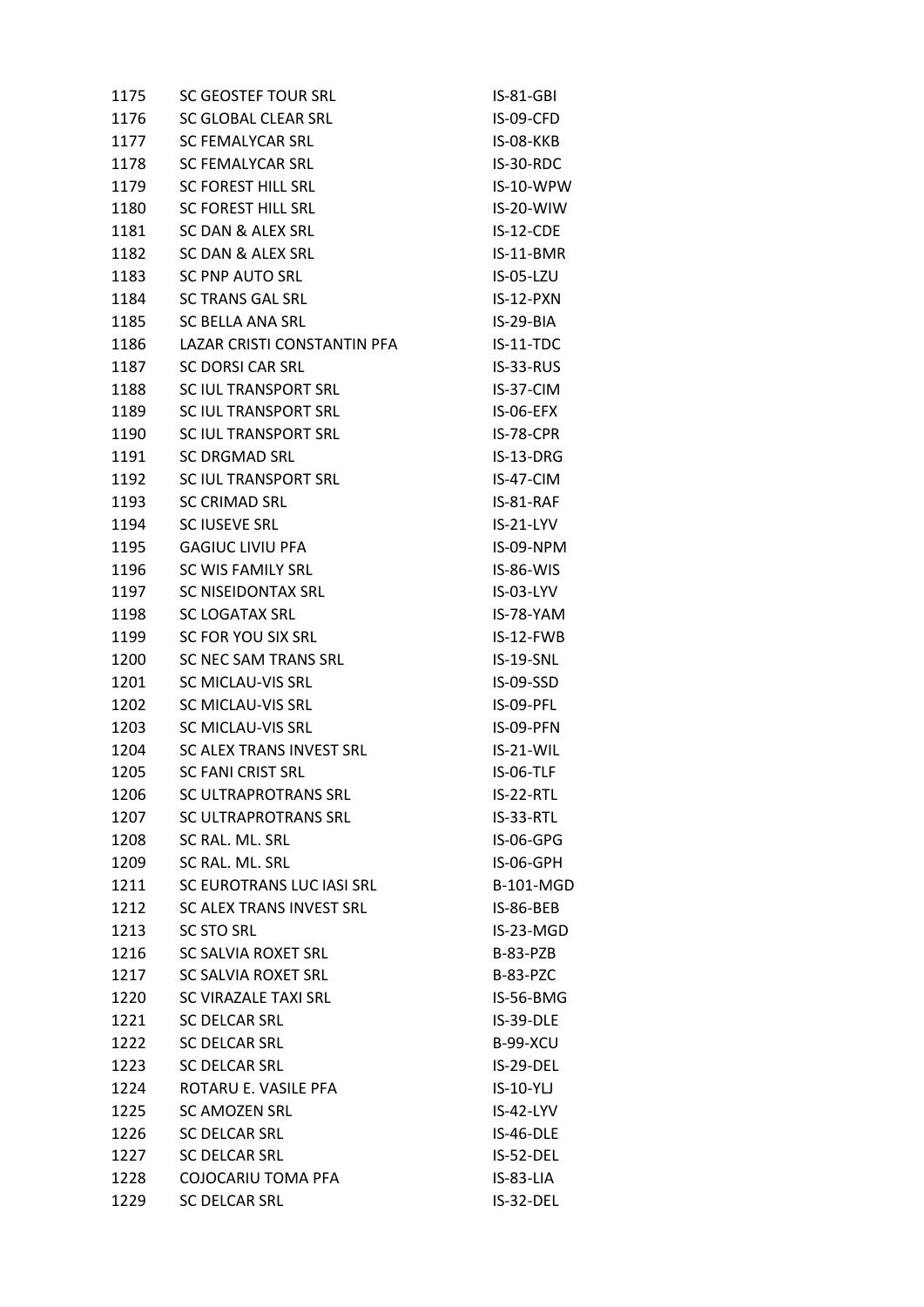| 1175 | <b>SC GEOSTEF TOUR SRL</b>  | IS-81-GBI        |
|------|-----------------------------|------------------|
| 1176 | SC GLOBAL CLEAR SRL         | IS-09-CFD        |
| 1177 | <b>SC FEMALYCAR SRL</b>     | IS-08-KKB        |
| 1178 | <b>SC FEMALYCAR SRL</b>     | IS-30-RDC        |
| 1179 | <b>SC FOREST HILL SRL</b>   | IS-10-WPW        |
| 1180 | SC FOREST HILL SRL          | IS-20-WIW        |
| 1181 | SC DAN & ALEX SRL           | $IS-12-CDE$      |
| 1182 | SC DAN & ALEX SRL           | IS-11-BMR        |
| 1183 | <b>SC PNP AUTO SRL</b>      | IS-05-LZU        |
| 1184 | <b>SC TRANS GAL SRL</b>     | $IS-12-PXN$      |
| 1185 | <b>SC BELLA ANA SRL</b>     | IS-29-BIA        |
| 1186 | LAZAR CRISTI CONSTANTIN PFA | $IS-11-TDC$      |
| 1187 | SC DORSI CAR SRL            | IS-33-RUS        |
| 1188 | SC IUL TRANSPORT SRL        | IS-37-CIM        |
| 1189 | SC IUL TRANSPORT SRL        | IS-06-EFX        |
| 1190 | SC IUL TRANSPORT SRL        | IS-78-CPR        |
| 1191 | <b>SC DRGMAD SRL</b>        | IS-13-DRG        |
| 1192 | SC IUL TRANSPORT SRL        | IS-47-CIM        |
| 1193 | <b>SC CRIMAD SRL</b>        | IS-81-RAF        |
| 1194 | <b>SC IUSEVE SRL</b>        | $IS-21-LYY$      |
| 1195 | <b>GAGIUC LIVIU PFA</b>     | IS-09-NPM        |
| 1196 | SC WIS FAMILY SRL           | $IS-86-WIS$      |
| 1197 | SC NISEIDONTAX SRL          | IS-03-LYV        |
| 1198 | <b>SC LOGATAX SRL</b>       | IS-78-YAM        |
| 1199 | SC FOR YOU SIX SRL          | IS-12-FWB        |
| 1200 | SC NEC SAM TRANS SRL        | <b>IS-19-SNL</b> |
| 1201 | SC MICLAU-VIS SRL           | IS-09-SSD        |
| 1202 | SC MICLAU-VIS SRL           | IS-09-PFL        |
| 1203 | SC MICLAU-VIS SRL           | IS-09-PFN        |
| 1204 | SC ALEX TRANS INVEST SRL    | $IS-21-WIL$      |
| 1205 | <b>SC FANI CRIST SRL</b>    | IS-06-TLF        |
| 1206 | <b>SC ULTRAPROTRANS SRL</b> | $IS-22-RTL$      |
| 1207 | SC ULTRAPROTRANS SRL        | IS-33-RTL        |
| 1208 | SC RAL. ML. SRL             | IS-06-GPG        |
| 1209 | SC RAL. ML. SRL             | IS-06-GPH        |
| 1211 | SC EUROTRANS LUC IASI SRL   | <b>B-101-MGD</b> |
| 1212 | SC ALEX TRANS INVEST SRL    | IS-86-BEB        |
| 1213 | <b>SC STO SRL</b>           | $IS-23-MGD$      |
| 1216 | SC SALVIA ROXET SRL         | B-83-PZB         |
| 1217 | SC SALVIA ROXET SRL         | <b>B-83-PZC</b>  |
| 1220 | SC VIRAZALE TAXI SRL        | IS-56-BMG        |
| 1221 | <b>SC DELCAR SRL</b>        | IS-39-DLE        |
| 1222 | <b>SC DELCAR SRL</b>        | <b>B-99-XCU</b>  |
| 1223 | <b>SC DELCAR SRL</b>        | IS-29-DEL        |
| 1224 | ROTARU E. VASILE PFA        | $IS-10-YLJ$      |
| 1225 | <b>SC AMOZEN SRL</b>        | IS-42-LYV        |
| 1226 | <b>SC DELCAR SRL</b>        | $IS-46-DLE$      |
| 1227 | <b>SC DELCAR SRL</b>        | IS-52-DEL        |
| 1228 | COJOCARIU TOMA PFA          | IS-83-LIA        |
| 1229 | <b>SC DELCAR SRL</b>        | IS-32-DEL        |
|      |                             |                  |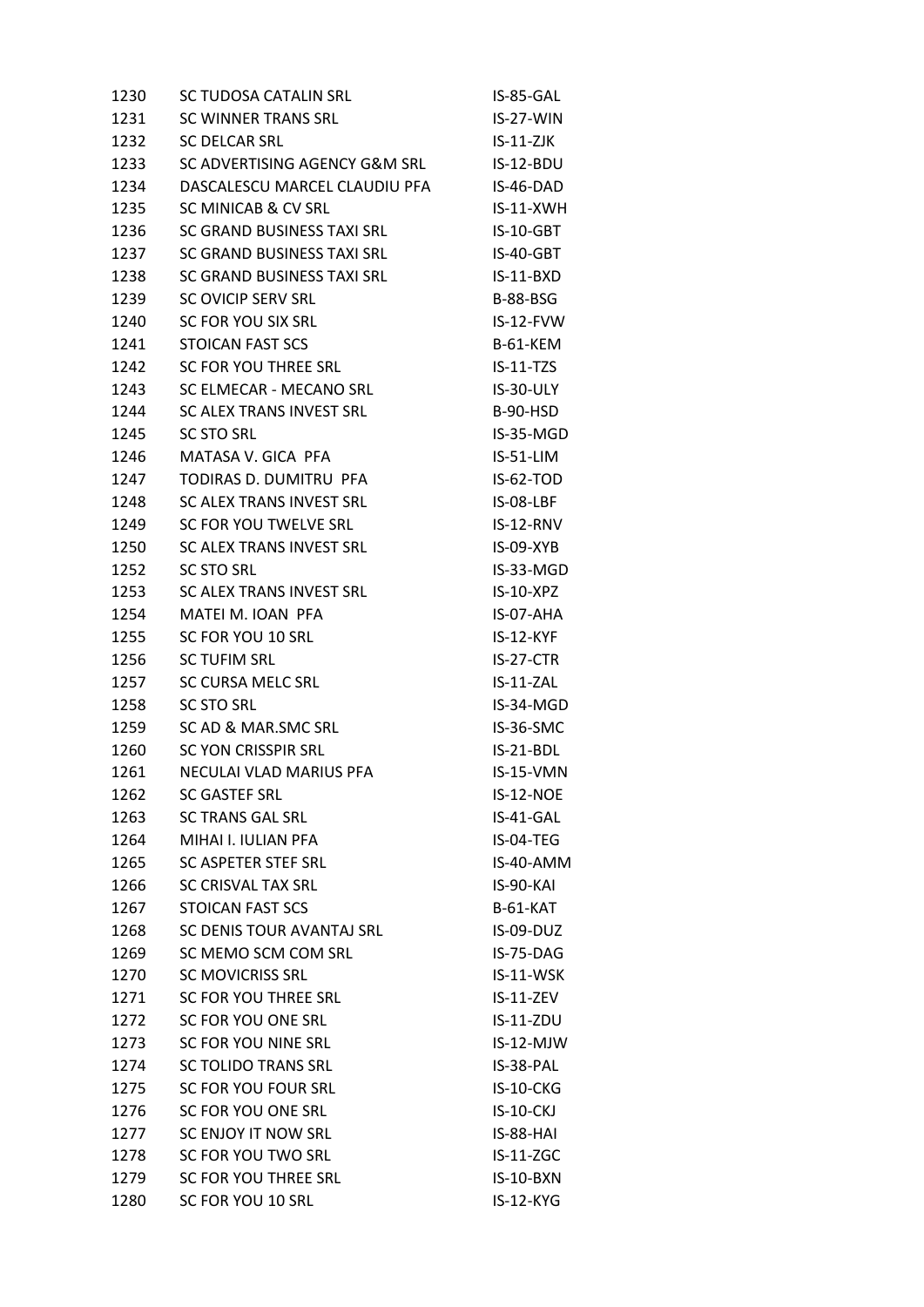| 1230 | SC TUDOSA CATALIN SRL          | IS-85-GAL        |
|------|--------------------------------|------------------|
| 1231 | <b>SC WINNER TRANS SRL</b>     | $IS-27-WIN$      |
| 1232 | <b>SC DELCAR SRL</b>           | $IS-11-ZJK$      |
| 1233 | SC ADVERTISING AGENCY G&M SRL  | IS-12-BDU        |
| 1234 | DASCALESCU MARCEL CLAUDIU PFA  | IS-46-DAD        |
| 1235 | SC MINICAB & CV SRL            | $IS-11-XWH$      |
| 1236 | SC GRAND BUSINESS TAXI SRL     | $IS-10-GBT$      |
| 1237 | SC GRAND BUSINESS TAXI SRL     | IS-40-GBT        |
| 1238 | SC GRAND BUSINESS TAXI SRL     | $IS-11-BXD$      |
| 1239 | <b>SC OVICIP SERV SRL</b>      | <b>B-88-BSG</b>  |
| 1240 | SC FOR YOU SIX SRL             | $IS-12-FVW$      |
| 1241 | <b>STOICAN FAST SCS</b>        | <b>B-61-KEM</b>  |
| 1242 | SC FOR YOU THREE SRL           | $IS-11-TZS$      |
| 1243 | SC ELMECAR - MECANO SRL        | IS-30-ULY        |
| 1244 | SC ALEX TRANS INVEST SRL       | B-90-HSD         |
| 1245 | <b>SC STO SRL</b>              | IS-35-MGD        |
| 1246 | MATASA V. GICA PFA             | IS-51-LIM        |
| 1247 | TODIRAS D. DUMITRU PFA         | IS-62-TOD        |
| 1248 | SC ALEX TRANS INVEST SRL       | IS-08-LBF        |
| 1249 | SC FOR YOU TWELVE SRL          | IS-12-RNV        |
| 1250 | SC ALEX TRANS INVEST SRL       | IS-09-XYB        |
| 1252 | SC STO SRL                     | IS-33-MGD        |
| 1253 | SC ALEX TRANS INVEST SRL       | $IS-10-XPZ$      |
| 1254 | MATEI M. IOAN PFA              | IS-07-AHA        |
| 1255 | SC FOR YOU 10 SRL              | $IS-12-KYF$      |
| 1256 | <b>SC TUFIM SRL</b>            | $IS-27-CTR$      |
| 1257 | SC CURSA MELC SRL              | $IS-11-ZAL$      |
| 1258 | <b>SC STO SRL</b>              | IS-34-MGD        |
| 1259 | SC AD & MAR.SMC SRL            | IS-36-SMC        |
| 1260 | <b>SC YON CRISSPIR SRL</b>     | $IS-21-BDL$      |
| 1261 | <b>NECULAI VLAD MARIUS PFA</b> | IS-15-VMN        |
| 1262 | <b>SC GASTEF SRL</b>           | IS-12-NOE        |
| 1263 | <b>SC TRANS GAL SRL</b>        | IS-41-GAL        |
| 1264 | MIHAI I. IULIAN PFA            | IS-04-TEG        |
| 1265 | SC ASPETER STEF SRL            | IS-40-AMM        |
| 1266 | <b>SC CRISVAL TAX SRL</b>      | IS-90-KAI        |
| 1267 | STOICAN FAST SCS               | $B-61-KAT$       |
| 1268 | SC DENIS TOUR AVANTAJ SRL      | IS-09-DUZ        |
| 1269 | SC MEMO SCM COM SRL            | IS-75-DAG        |
| 1270 | <b>SC MOVICRISS SRL</b>        | IS-11-WSK        |
| 1271 | SC FOR YOU THREE SRL           | IS-11-ZEV        |
| 1272 | SC FOR YOU ONE SRL             | $IS-11-ZDU$      |
| 1273 | SC FOR YOU NINE SRL            | $IS-12-MJW$      |
| 1274 | <b>SC TOLIDO TRANS SRL</b>     | IS-38-PAL        |
| 1275 | SC FOR YOU FOUR SRL            | IS-10-CKG        |
| 1276 | SC FOR YOU ONE SRL             | <b>IS-10-CKJ</b> |
| 1277 | SC ENJOY IT NOW SRL            | IS-88-HAI        |
| 1278 | SC FOR YOU TWO SRL             | $IS-11-ZGC$      |
| 1279 | SC FOR YOU THREE SRL           | IS-10-BXN        |
| 1280 | SC FOR YOU 10 SRL              | IS-12-KYG        |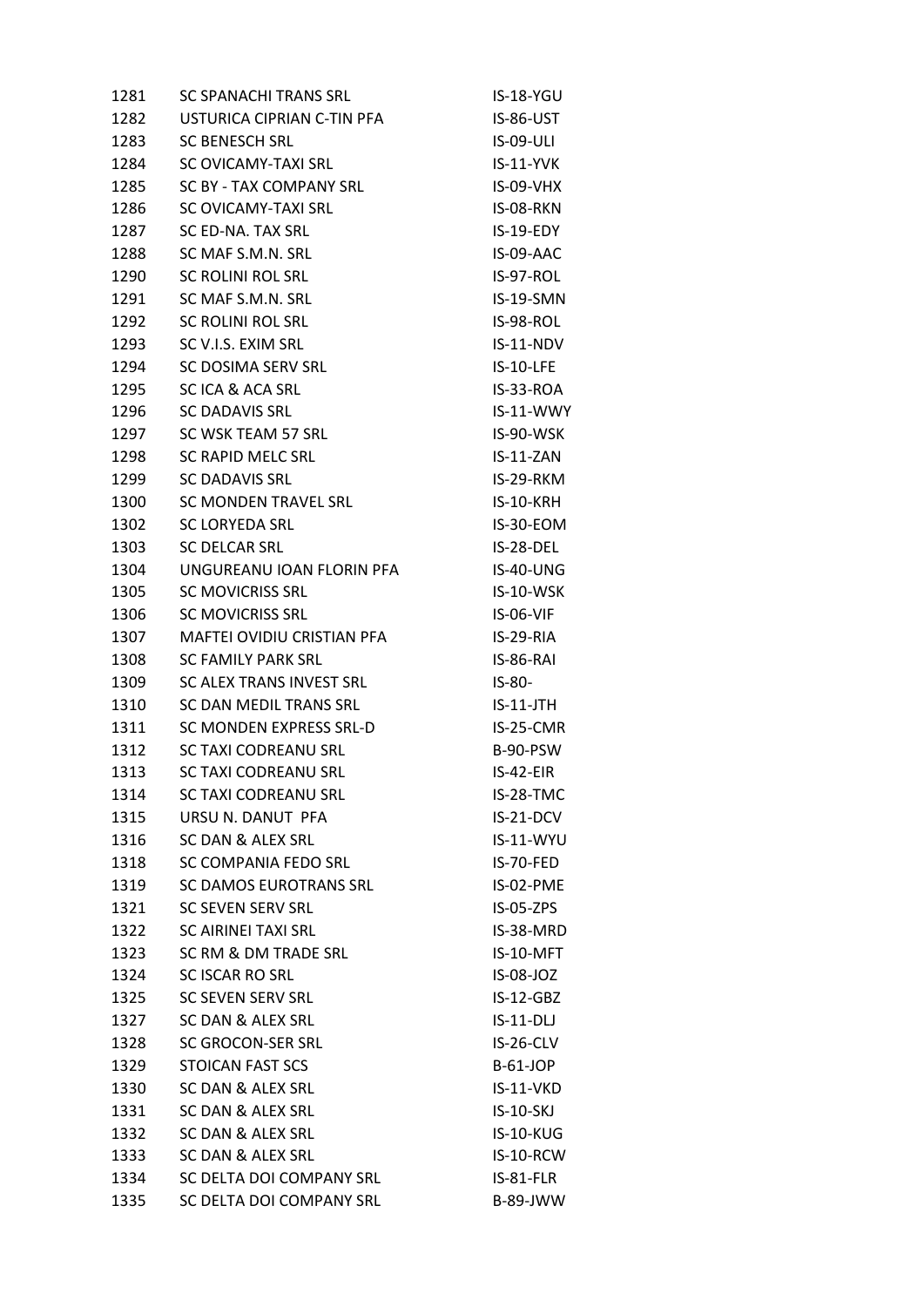| 1281 | <b>SC SPANACHI TRANS SRL</b>  | IS-18-YGU        |
|------|-------------------------------|------------------|
| 1282 | USTURICA CIPRIAN C-TIN PFA    | IS-86-UST        |
| 1283 | <b>SC BENESCH SRL</b>         | <b>IS-09-ULI</b> |
| 1284 | SC OVICAMY-TAXI SRL           | <b>IS-11-YVK</b> |
| 1285 | SC BY - TAX COMPANY SRL       | <b>IS-09-VHX</b> |
| 1286 | SC OVICAMY-TAXI SRL           | IS-08-RKN        |
| 1287 | SC ED-NA. TAX SRL             | $IS-19-EDY$      |
| 1288 | SC MAF S.M.N. SRL             | IS-09-AAC        |
| 1290 | <b>SC ROLINI ROL SRL</b>      | IS-97-ROL        |
| 1291 | SC MAF S.M.N. SRL             | IS-19-SMN        |
| 1292 | SC ROLINI ROL SRL             | IS-98-ROL        |
| 1293 | SC V.I.S. EXIM SRL            | $IS-11-NDV$      |
| 1294 | SC DOSIMA SERV SRL            | $IS-10-LFE$      |
| 1295 | SC ICA & ACA SRL              | IS-33-ROA        |
| 1296 | <b>SC DADAVIS SRL</b>         | IS-11-WWY        |
| 1297 | SC WSK TEAM 57 SRL            | IS-90-WSK        |
| 1298 | SC RAPID MELC SRL             | $IS-11-ZAN$      |
| 1299 | <b>SC DADAVIS SRL</b>         | IS-29-RKM        |
| 1300 | SC MONDEN TRAVEL SRL          | IS-10-KRH        |
| 1302 | <b>SC LORYEDA SRL</b>         | IS-30-EOM        |
| 1303 | <b>SC DELCAR SRL</b>          | IS-28-DEL        |
| 1304 | UNGUREANU IOAN FLORIN PFA     | IS-40-UNG        |
| 1305 | <b>SC MOVICRISS SRL</b>       | IS-10-WSK        |
| 1306 | <b>SC MOVICRISS SRL</b>       | IS-06-VIF        |
| 1307 | MAFTEI OVIDIU CRISTIAN PFA    | $IS-29-RIA$      |
| 1308 | <b>SC FAMILY PARK SRL</b>     | IS-86-RAI        |
| 1309 | SC ALEX TRANS INVEST SRL      | $IS-80-$         |
| 1310 | SC DAN MEDIL TRANS SRL        | $IS-11-JTH$      |
| 1311 | SC MONDEN EXPRESS SRL-D       | IS-25-CMR        |
| 1312 | <b>SC TAXI CODREANU SRL</b>   | B-90-PSW         |
| 1313 | <b>SC TAXI CODREANU SRL</b>   | $IS-42-EIR$      |
| 1314 | <b>SC TAXI CODREANU SRL</b>   | IS-28-TMC        |
| 1315 | URSU N. DANUT PFA             | IS-21-DCV        |
| 1316 | SC DAN & ALEX SRL             | IS-11-WYU        |
| 1318 | SC COMPANIA FEDO SRL          | IS-70-FED        |
| 1319 | <b>SC DAMOS EUROTRANS SRL</b> | IS-02-PME        |
| 1321 | <b>SC SEVEN SERV SRL</b>      | $IS-05-ZPS$      |
| 1322 | SC AIRINEI TAXI SRL           | IS-38-MRD        |
| 1323 | SC RM & DM TRADE SRL          | IS-10-MFT        |
| 1324 | <b>SC ISCAR RO SRL</b>        | IS-08-JOZ        |
| 1325 | <b>SC SEVEN SERV SRL</b>      | $IS-12-GBZ$      |
| 1327 | SC DAN & ALEX SRL             | $IS-11-DL$       |
| 1328 | SC GROCON-SER SRL             | IS-26-CLV        |
| 1329 | STOICAN FAST SCS              | <b>B-61-JOP</b>  |
| 1330 | SC DAN & ALEX SRL             | IS-11-VKD        |
| 1331 | SC DAN & ALEX SRL             | <b>IS-10-SKJ</b> |
| 1332 | SC DAN & ALEX SRL             | <b>IS-10-KUG</b> |
| 1333 | SC DAN & ALEX SRL             | IS-10-RCW        |
| 1334 | SC DELTA DOI COMPANY SRL      | IS-81-FLR        |
| 1335 | SC DELTA DOI COMPANY SRL      | <b>B-89-JWW</b>  |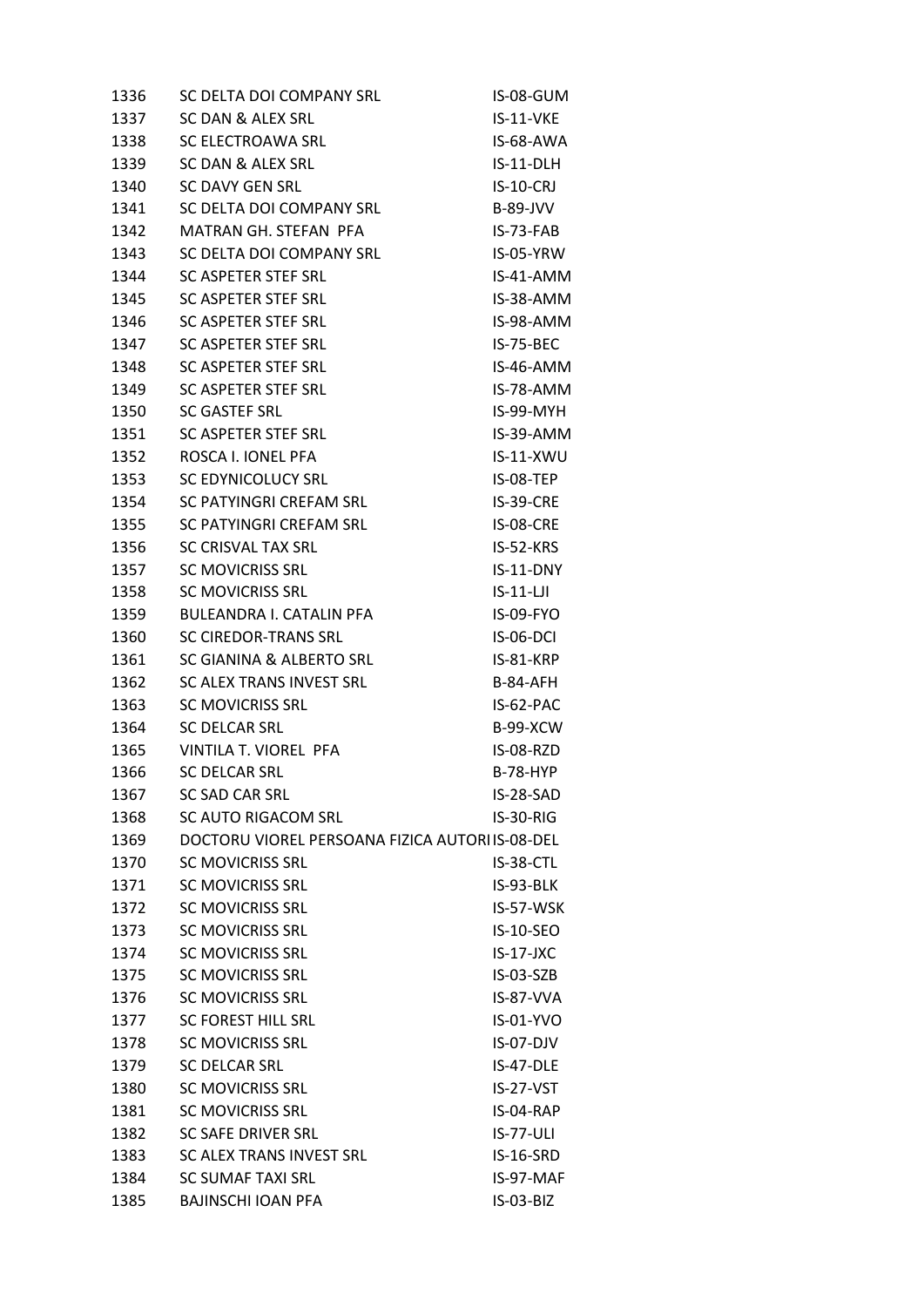| 1336 | SC DELTA DOI COMPANY SRL                        | IS-08-GUM        |
|------|-------------------------------------------------|------------------|
| 1337 | SC DAN & ALEX SRL                               | IS-11-VKE        |
| 1338 | SC ELECTROAWA SRL                               | IS-68-AWA        |
| 1339 | SC DAN & ALEX SRL                               | IS-11-DLH        |
| 1340 | SC DAVY GEN SRL                                 | $IS-10-CRI$      |
| 1341 | SC DELTA DOI COMPANY SRL                        | <b>B-89-JVV</b>  |
| 1342 | MATRAN GH. STEFAN PFA                           | $IS-73-FAB$      |
| 1343 | SC DELTA DOI COMPANY SRL                        | IS-05-YRW        |
| 1344 | <b>SC ASPETER STEF SRL</b>                      | IS-41-AMM        |
| 1345 | SC ASPETER STEF SRL                             | IS-38-AMM        |
| 1346 | SC ASPETER STEF SRL                             | IS-98-AMM        |
| 1347 | SC ASPETER STEF SRL                             | <b>IS-75-BEC</b> |
| 1348 | SC ASPETER STEF SRL                             | IS-46-AMM        |
| 1349 | SC ASPETER STEF SRL                             | IS-78-AMM        |
| 1350 | <b>SC GASTEF SRL</b>                            | IS-99-MYH        |
| 1351 | SC ASPETER STEF SRL                             | IS-39-AMM        |
| 1352 | ROSCA I. IONEL PFA                              | $IS-11-XWU$      |
| 1353 | <b>SC EDYNICOLUCY SRL</b>                       | IS-08-TEP        |
| 1354 | SC PATYINGRI CREFAM SRL                         | IS-39-CRE        |
| 1355 | SC PATYINGRI CREFAM SRL                         | IS-08-CRE        |
| 1356 | SC CRISVAL TAX SRL                              | IS-52-KRS        |
| 1357 | <b>SC MOVICRISS SRL</b>                         | $IS-11-DNY$      |
| 1358 | <b>SC MOVICRISS SRL</b>                         | $IS-11-LJI$      |
| 1359 | <b>BULEANDRA I. CATALIN PFA</b>                 | IS-09-FYO        |
| 1360 | <b>SC CIREDOR-TRANS SRL</b>                     | IS-06-DCI        |
| 1361 | SC GIANINA & ALBERTO SRL                        | IS-81-KRP        |
| 1362 | SC ALEX TRANS INVEST SRL                        | <b>B-84-AFH</b>  |
| 1363 | <b>SC MOVICRISS SRL</b>                         | IS-62-PAC        |
| 1364 | <b>SC DELCAR SRL</b>                            | <b>B-99-XCW</b>  |
| 1365 | VINTILA T. VIOREL PFA                           | IS-08-RZD        |
| 1366 | <b>SC DELCAR SRL</b>                            | <b>B-78-HYP</b>  |
| 1367 | <b>SC SAD CAR SRL</b>                           | IS-28-SAD        |
| 1368 | SC AUTO RIGACOM SRL                             | IS-30-RIG        |
| 1369 | DOCTORU VIOREL PERSOANA FIZICA AUTORI IS-08-DEL |                  |
| 1370 | <b>SC MOVICRISS SRL</b>                         | IS-38-CTL        |
| 1371 | <b>SC MOVICRISS SRL</b>                         | IS-93-BLK        |
| 1372 | <b>SC MOVICRISS SRL</b>                         | IS-57-WSK        |
| 1373 | <b>SC MOVICRISS SRL</b>                         | IS-10-SEO        |
| 1374 | <b>SC MOVICRISS SRL</b>                         | $IS-17-JXC$      |
| 1375 | <b>SC MOVICRISS SRL</b>                         | IS-03-SZB        |
| 1376 | <b>SC MOVICRISS SRL</b>                         | IS-87-VVA        |
| 1377 | <b>SC FOREST HILL SRL</b>                       | IS-01-YVO        |
| 1378 | <b>SC MOVICRISS SRL</b>                         | IS-07-DJV        |
| 1379 | <b>SC DELCAR SRL</b>                            | IS-47-DLE        |
| 1380 | <b>SC MOVICRISS SRL</b>                         | IS-27-VST        |
| 1381 | <b>SC MOVICRISS SRL</b>                         | IS-04-RAP        |
| 1382 | <b>SC SAFE DRIVER SRL</b>                       | <b>IS-77-ULI</b> |
| 1383 | SC ALEX TRANS INVEST SRL                        | IS-16-SRD        |
| 1384 | <b>SC SUMAF TAXI SRL</b>                        | IS-97-MAF        |
| 1385 | <b>BAJINSCHI IOAN PFA</b>                       | IS-03-BIZ        |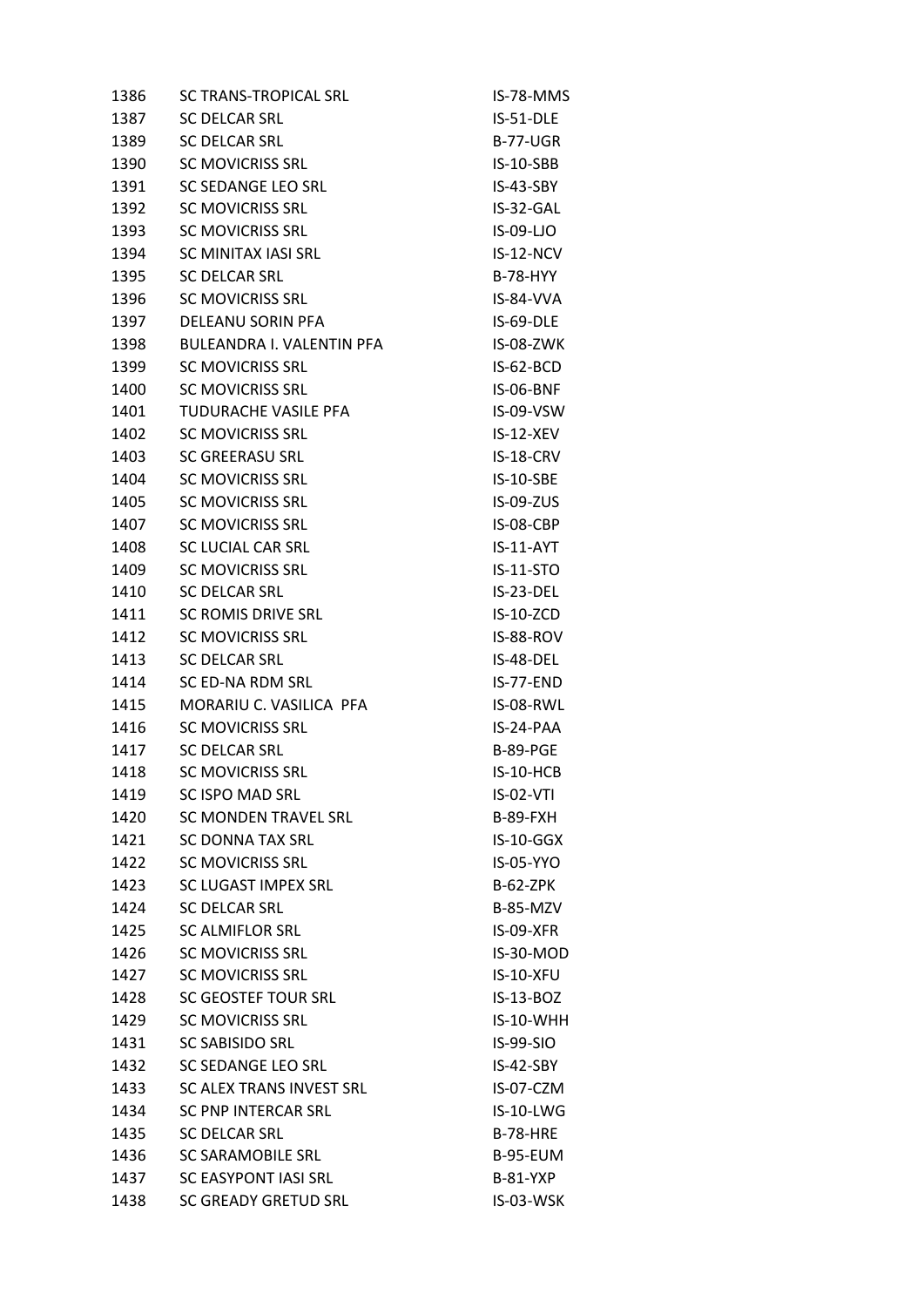| 1386 | <b>SC TRANS-TROPICAL SRL</b> | IS-78-MMS        |
|------|------------------------------|------------------|
| 1387 | <b>SC DELCAR SRL</b>         | IS-51-DLE        |
| 1389 | <b>SC DELCAR SRL</b>         | <b>B-77-UGR</b>  |
| 1390 | <b>SC MOVICRISS SRL</b>      | IS-10-SBB        |
| 1391 | SC SEDANGE LEO SRL           | $IS-43-SBY$      |
| 1392 | SC MOVICRISS SRL             | IS-32-GAL        |
| 1393 | <b>SC MOVICRISS SRL</b>      | IS-09-LJO        |
| 1394 | SC MINITAX IASI SRL          | IS-12-NCV        |
| 1395 | <b>SC DELCAR SRL</b>         | <b>B-78-HYY</b>  |
| 1396 | <b>SC MOVICRISS SRL</b>      | IS-84-VVA        |
| 1397 | DELEANU SORIN PFA            | IS-69-DLE        |
| 1398 | BULEANDRA I. VALENTIN PFA    | IS-08-ZWK        |
| 1399 | <b>SC MOVICRISS SRL</b>      | $IS-62-BCD$      |
| 1400 | <b>SC MOVICRISS SRL</b>      | IS-06-BNF        |
| 1401 | TUDURACHE VASILE PFA         | IS-09-VSW        |
| 1402 | <b>SC MOVICRISS SRL</b>      | $IS-12-XEV$      |
| 1403 | <b>SC GREERASU SRL</b>       | IS-18-CRV        |
| 1404 | <b>SC MOVICRISS SRL</b>      | $IS-10-SBE$      |
| 1405 | <b>SC MOVICRISS SRL</b>      | IS-09-ZUS        |
| 1407 | <b>SC MOVICRISS SRL</b>      | IS-08-CBP        |
| 1408 | SC LUCIAL CAR SRL            | $IS-11-AYT$      |
| 1409 | <b>SC MOVICRISS SRL</b>      | IS-11-STO        |
| 1410 | <b>SC DELCAR SRL</b>         | IS-23-DEL        |
| 1411 | SC ROMIS DRIVE SRL           | IS-10-ZCD        |
| 1412 | SC MOVICRISS SRL             | IS-88-ROV        |
| 1413 | <b>SC DELCAR SRL</b>         | IS-48-DEL        |
| 1414 | SC ED-NA RDM SRL             | IS-77-END        |
| 1415 | MORARIU C. VASILICA PFA      | IS-08-RWL        |
| 1416 | <b>SC MOVICRISS SRL</b>      | IS-24-PAA        |
| 1417 | <b>SC DELCAR SRL</b>         | <b>B-89-PGE</b>  |
| 1418 | <b>SC MOVICRISS SRL</b>      | $IS-10-HCB$      |
| 1419 | <b>SC ISPO MAD SRL</b>       | $IS-02-VTI$      |
| 1420 | <b>SC MONDEN TRAVEL SRL</b>  | <b>B-89-FXH</b>  |
| 1421 | <b>SC DONNA TAX SRL</b>      | $IS-10-GGX$      |
| 1422 | <b>SC MOVICRISS SRL</b>      | IS-05-YYO        |
| 1423 | SC LUGAST IMPEX SRL          | <b>B-62-ZPK</b>  |
| 1424 | SC DELCAR SRL                | <b>B-85-MZV</b>  |
| 1425 | <b>SC ALMIFLOR SRL</b>       | $IS-09-XFR$      |
| 1426 | <b>SC MOVICRISS SRL</b>      | IS-30-MOD        |
| 1427 | <b>SC MOVICRISS SRL</b>      | IS-10-XFU        |
| 1428 | SC GEOSTEF TOUR SRL          | IS-13-BOZ        |
| 1429 | <b>SC MOVICRISS SRL</b>      | IS-10-WHH        |
| 1431 | <b>SC SABISIDO SRL</b>       | <b>IS-99-SIO</b> |
| 1432 | SC SEDANGE LEO SRL           | $IS-42-SBY$      |
| 1433 | SC ALEX TRANS INVEST SRL     | IS-07-CZM        |
| 1434 | SC PNP INTERCAR SRL          | IS-10-LWG        |
| 1435 | <b>SC DELCAR SRL</b>         | <b>B-78-HRE</b>  |
| 1436 | <b>SC SARAMOBILE SRL</b>     | <b>B-95-EUM</b>  |
| 1437 | <b>SC EASYPONT IASI SRL</b>  | <b>B-81-YXP</b>  |
| 1438 | <b>SC GREADY GRETUD SRL</b>  | IS-03-WSK        |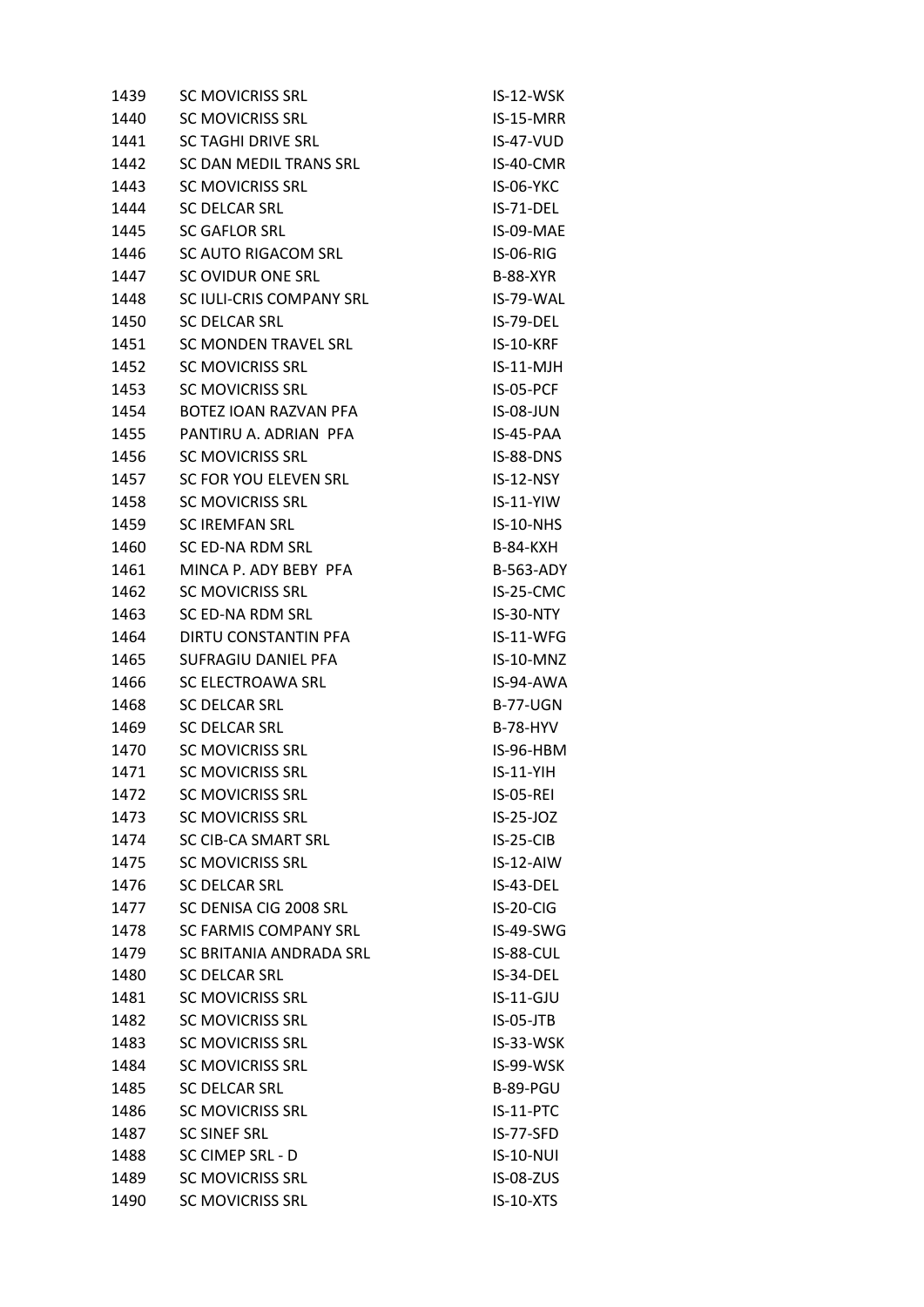| 1439 | <b>SC MOVICRISS SRL</b>   | IS-12-WSK        |
|------|---------------------------|------------------|
| 1440 | <b>SC MOVICRISS SRL</b>   | IS-15-MRR        |
| 1441 | <b>SC TAGHI DRIVE SRL</b> | $IS-47-VUD$      |
| 1442 | SC DAN MEDIL TRANS SRL    | IS-40-CMR        |
| 1443 | <b>SC MOVICRISS SRL</b>   | <b>IS-06-YKC</b> |
| 1444 | <b>SC DELCAR SRL</b>      | IS-71-DEL        |
| 1445 | <b>SC GAFLOR SRL</b>      | IS-09-MAE        |
| 1446 | SC AUTO RIGACOM SRL       | <b>IS-06-RIG</b> |
| 1447 | SC OVIDUR ONE SRL         | <b>B-88-XYR</b>  |
| 1448 | SC IULI-CRIS COMPANY SRL  | IS-79-WAL        |
| 1450 | <b>SC DELCAR SRL</b>      | IS-79-DEL        |
| 1451 | SC MONDEN TRAVEL SRL      | <b>IS-10-KRF</b> |
| 1452 | <b>SC MOVICRISS SRL</b>   | $IS-11-MJH$      |
| 1453 | <b>SC MOVICRISS SRL</b>   | IS-05-PCF        |
| 1454 | BOTEZ IOAN RAZVAN PFA     | <b>IS-08-JUN</b> |
| 1455 | PANTIRU A. ADRIAN PFA     | IS-45-PAA        |
| 1456 | <b>SC MOVICRISS SRL</b>   | IS-88-DNS        |
| 1457 | SC FOR YOU ELEVEN SRL     | $IS-12-NSY$      |
| 1458 | <b>SC MOVICRISS SRL</b>   | $IS-11-YIW$      |
| 1459 | <b>SC IREMFAN SRL</b>     | IS-10-NHS        |
| 1460 | SC ED-NA RDM SRL          | <b>B-84-KXH</b>  |
| 1461 | MINCA P. ADY BEBY PFA     | <b>B-563-ADY</b> |
| 1462 | <b>SC MOVICRISS SRL</b>   | IS-25-CMC        |
| 1463 | SC ED-NA RDM SRL          | IS-30-NTY        |
| 1464 | DIRTU CONSTANTIN PFA      | IS-11-WFG        |
| 1465 | SUFRAGIU DANIEL PFA       | IS-10-MNZ        |
| 1466 | SC ELECTROAWA SRL         | IS-94-AWA        |
| 1468 | <b>SC DELCAR SRL</b>      | <b>B-77-UGN</b>  |
| 1469 | <b>SC DELCAR SRL</b>      | <b>B-78-HYV</b>  |
| 1470 | <b>SC MOVICRISS SRL</b>   | IS-96-HBM        |
| 1471 | <b>SC MOVICRISS SRL</b>   | $IS-11-YIH$      |
| 1472 | <b>SC MOVICRISS SRL</b>   | IS-05-REI        |
| 1473 | <b>SC MOVICRISS SRL</b>   | IS-25-JOZ        |
| 1474 | SC CIB-CA SMART SRL       | $IS-25-CIB$      |
| 1475 | <b>SC MOVICRISS SRL</b>   | IS-12-AIW        |
| 1476 | <b>SC DELCAR SRL</b>      | IS-43-DEL        |
| 1477 | SC DENISA CIG 2008 SRL    | IS-20-CIG        |
| 1478 | SC FARMIS COMPANY SRL     | IS-49-SWG        |
| 1479 | SC BRITANIA ANDRADA SRL   | IS-88-CUL        |
| 1480 | <b>SC DELCAR SRL</b>      | IS-34-DEL        |
| 1481 | <b>SC MOVICRISS SRL</b>   | IS-11-GJU        |
| 1482 | <b>SC MOVICRISS SRL</b>   | $IS-05-JTB$      |
| 1483 | <b>SC MOVICRISS SRL</b>   | IS-33-WSK        |
| 1484 | <b>SC MOVICRISS SRL</b>   | IS-99-WSK        |
| 1485 | <b>SC DELCAR SRL</b>      | <b>B-89-PGU</b>  |
| 1486 | <b>SC MOVICRISS SRL</b>   | IS-11-PTC        |
| 1487 | <b>SC SINEF SRL</b>       | IS-77-SFD        |
| 1488 | SC CIMEP SRL - D          | <b>IS-10-NUI</b> |
| 1489 | <b>SC MOVICRISS SRL</b>   | <b>IS-08-ZUS</b> |
| 1490 | <b>SC MOVICRISS SRL</b>   | <b>IS-10-XTS</b> |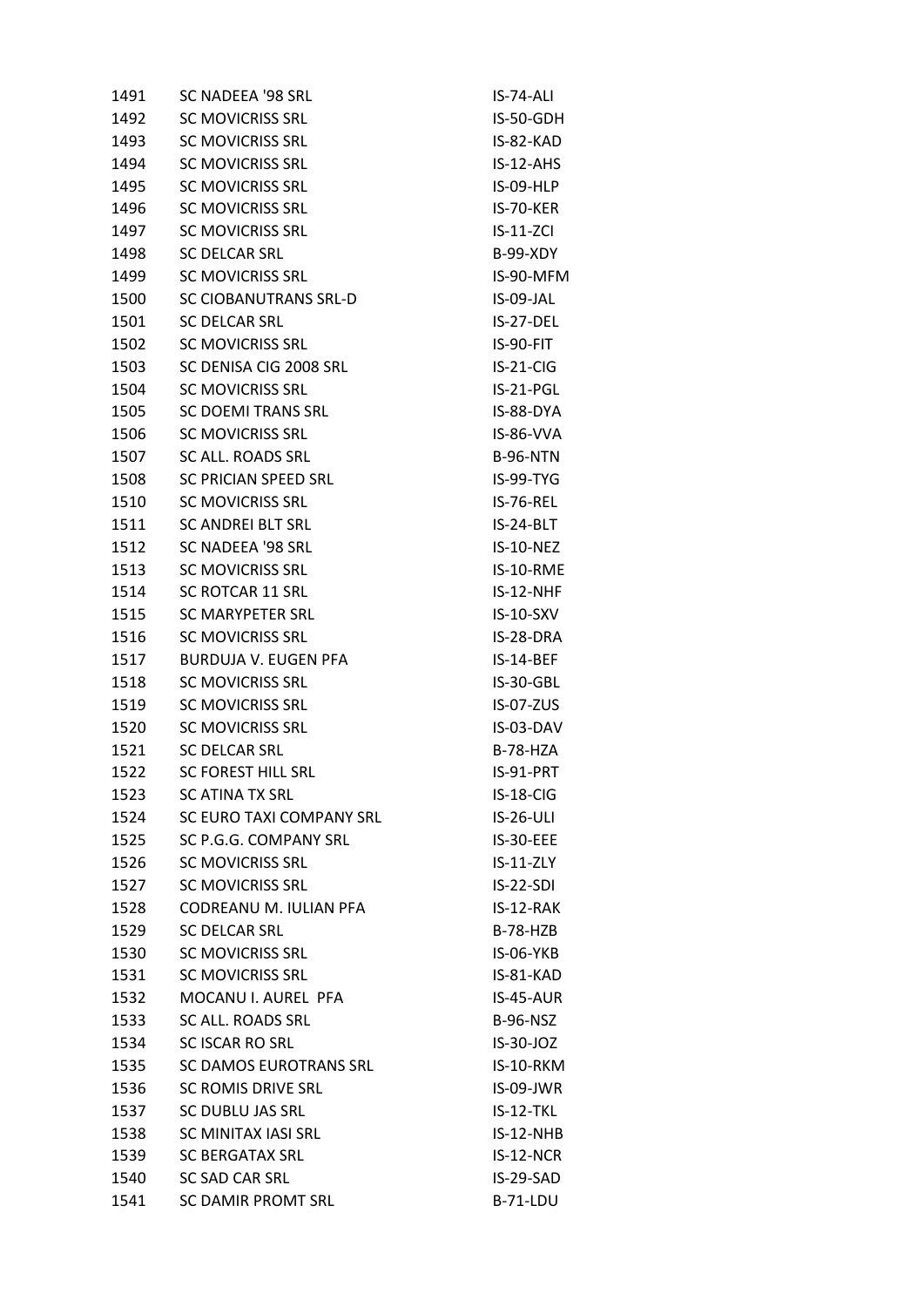| 1491 | SC NADEEA '98 SRL            | IS-74-ALI        |
|------|------------------------------|------------------|
| 1492 | <b>SC MOVICRISS SRL</b>      | IS-50-GDH        |
| 1493 | <b>SC MOVICRISS SRL</b>      | IS-82-KAD        |
| 1494 | <b>SC MOVICRISS SRL</b>      | $IS-12-AHS$      |
| 1495 | <b>SC MOVICRISS SRL</b>      | IS-09-HLP        |
| 1496 | <b>SC MOVICRISS SRL</b>      | IS-70-KER        |
| 1497 | <b>SC MOVICRISS SRL</b>      | $IS-11-ZCI$      |
| 1498 | <b>SC DELCAR SRL</b>         | <b>B-99-XDY</b>  |
| 1499 | <b>SC MOVICRISS SRL</b>      | IS-90-MFM        |
| 1500 | <b>SC CIOBANUTRANS SRL-D</b> | IS-09-JAL        |
| 1501 | <b>SC DELCAR SRL</b>         | IS-27-DEL        |
| 1502 | <b>SC MOVICRISS SRL</b>      | IS-90-FIT        |
| 1503 | SC DENISA CIG 2008 SRL       | $IS-21-CIG$      |
| 1504 | <b>SC MOVICRISS SRL</b>      | IS-21-PGL        |
| 1505 | SC DOEMI TRANS SRL           | IS-88-DYA        |
| 1506 | <b>SC MOVICRISS SRL</b>      | IS-86-VVA        |
| 1507 | SC ALL. ROADS SRL            | <b>B-96-NTN</b>  |
| 1508 | SC PRICIAN SPEED SRL         | IS-99-TYG        |
| 1510 | <b>SC MOVICRISS SRL</b>      | <b>IS-76-REL</b> |
| 1511 | <b>SC ANDREI BLT SRL</b>     | IS-24-BLT        |
| 1512 | SC NADEEA '98 SRL            | IS-10-NEZ        |
| 1513 | <b>SC MOVICRISS SRL</b>      | IS-10-RME        |
| 1514 | <b>SC ROTCAR 11 SRL</b>      | IS-12-NHF        |
| 1515 | SC MARYPETER SRL             | IS-10-SXV        |
| 1516 | <b>SC MOVICRISS SRL</b>      | IS-28-DRA        |
| 1517 | BURDUJA V. EUGEN PFA         | IS-14-BEF        |
| 1518 | <b>SC MOVICRISS SRL</b>      | IS-30-GBL        |
| 1519 | <b>SC MOVICRISS SRL</b>      | <b>IS-07-ZUS</b> |
| 1520 | <b>SC MOVICRISS SRL</b>      | IS-03-DAV        |
| 1521 | <b>SC DELCAR SRL</b>         | <b>B-78-HZA</b>  |
| 1522 | <b>SC FOREST HILL SRL</b>    | IS-91-PRT        |
| 1523 | <b>SC ATINA TX SRL</b>       | IS-18-CIG        |
| 1524 | SC EURO TAXI COMPANY SRL     | <b>IS-26-ULI</b> |
| 1525 | SC P.G.G. COMPANY SRL        | IS-30-EEE        |
| 1526 | <b>SC MOVICRISS SRL</b>      | $IS-11-ZLY$      |
| 1527 | <b>SC MOVICRISS SRL</b>      | $IS-22-SDI$      |
| 1528 | CODREANU M. IULIAN PFA       | IS-12-RAK        |
| 1529 | <b>SC DELCAR SRL</b>         | $B-78-HZB$       |
| 1530 | <b>SC MOVICRISS SRL</b>      | IS-06-YKB        |
| 1531 | <b>SC MOVICRISS SRL</b>      | IS-81-KAD        |
| 1532 | MOCANU I. AUREL PFA          | IS-45-AUR        |
| 1533 | SC ALL. ROADS SRL            | <b>B-96-NSZ</b>  |
| 1534 | <b>SC ISCAR RO SRL</b>       | $IS-30-JOZ$      |
| 1535 | SC DAMOS EUROTRANS SRL       | IS-10-RKM        |
| 1536 | <b>SC ROMIS DRIVE SRL</b>    | IS-09-JWR        |
| 1537 | SC DUBLU JAS SRL             | IS-12-TKL        |
| 1538 | SC MINITAX IASI SRL          | $IS-12-NHB$      |
| 1539 | <b>SC BERGATAX SRL</b>       | $IS-12-NCR$      |
| 1540 | <b>SC SAD CAR SRL</b>        | IS-29-SAD        |
| 1541 | <b>SC DAMIR PROMT SRL</b>    | B-71-LDU         |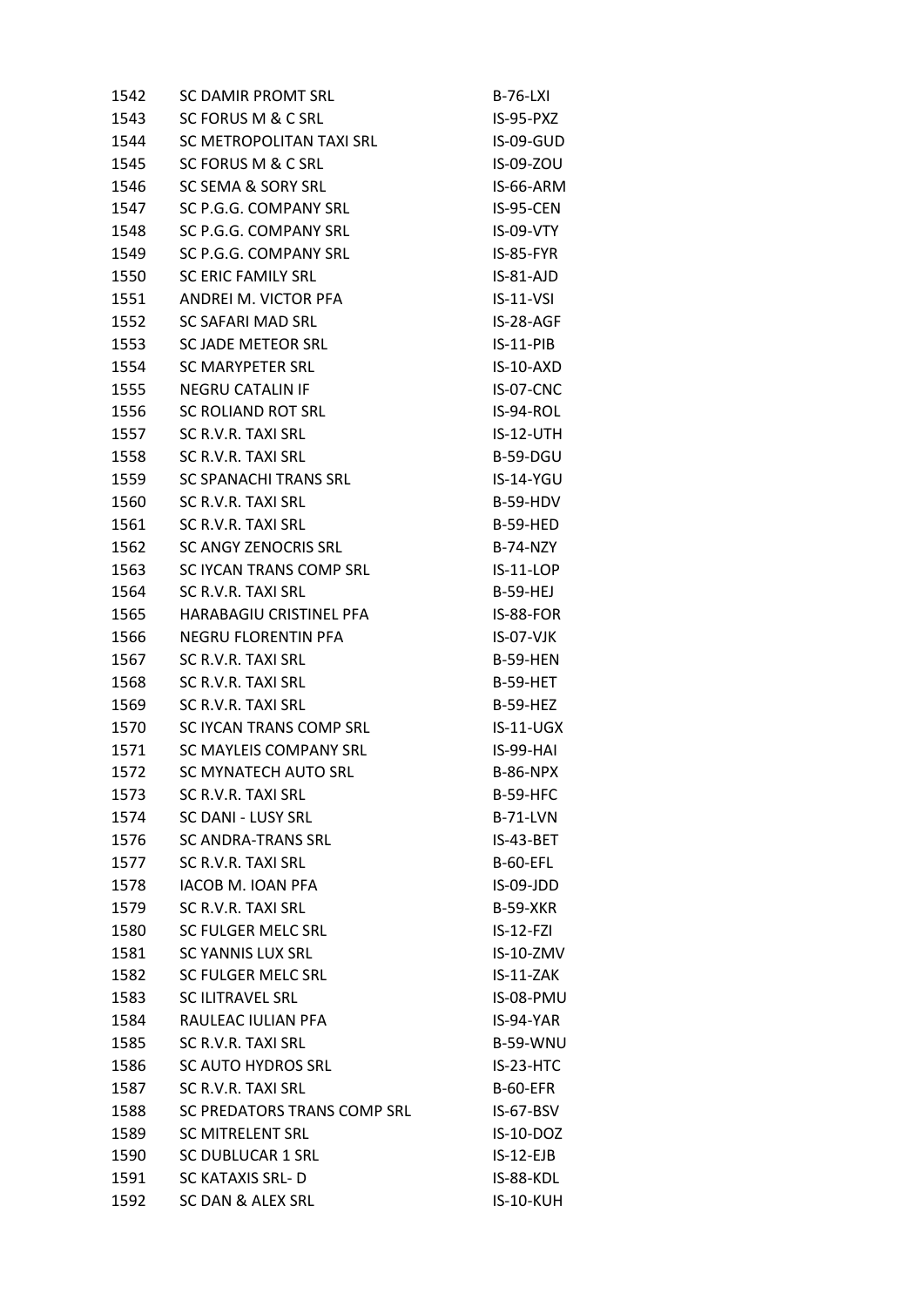| 1542 | <b>SC DAMIR PROMT SRL</b>     | <b>B-76-LXI</b>  |
|------|-------------------------------|------------------|
| 1543 | SC FORUS M & C SRL            | IS-95-PXZ        |
| 1544 | SC METROPOLITAN TAXI SRL      | IS-09-GUD        |
| 1545 | <b>SC FORUS M &amp; C SRL</b> | IS-09-ZOU        |
| 1546 | SC SEMA & SORY SRL            | IS-66-ARM        |
| 1547 | SC P.G.G. COMPANY SRL         | IS-95-CEN        |
| 1548 | SC P.G.G. COMPANY SRL         | IS-09-VTY        |
| 1549 | SC P.G.G. COMPANY SRL         | IS-85-FYR        |
| 1550 | <b>SC ERIC FAMILY SRL</b>     | IS-81-AJD        |
| 1551 | ANDREI M. VICTOR PFA          | $IS-11-VSI$      |
| 1552 | SC SAFARI MAD SRL             | IS-28-AGF        |
| 1553 | SC JADE METEOR SRL            | $IS-11-PIB$      |
| 1554 | SC MARYPETER SRL              | $IS-10-AXD$      |
| 1555 | <b>NEGRU CATALIN IF</b>       | IS-07-CNC        |
| 1556 | SC ROLIAND ROT SRL            | IS-94-ROL        |
| 1557 | SC R.V.R. TAXI SRL            | IS-12-UTH        |
| 1558 | SC R.V.R. TAXI SRL            | B-59-DGU         |
| 1559 | SC SPANACHI TRANS SRL         | <b>IS-14-YGU</b> |
| 1560 | SC R.V.R. TAXI SRL            | B-59-HDV         |
| 1561 | SC R.V.R. TAXI SRL            | <b>B-59-HED</b>  |
| 1562 | SC ANGY ZENOCRIS SRL          | <b>B-74-NZY</b>  |
| 1563 | SC IYCAN TRANS COMP SRL       | $IS-11-LOP$      |
| 1564 | SC R.V.R. TAXI SRL            | <b>B-59-HEJ</b>  |
| 1565 | HARABAGIU CRISTINEL PFA       | IS-88-FOR        |
| 1566 | NEGRU FLORENTIN PFA           | $IS-O7-VJK$      |
| 1567 | SC R.V.R. TAXI SRL            | <b>B-59-HEN</b>  |
| 1568 | SC R.V.R. TAXI SRL            | <b>B-59-HET</b>  |
| 1569 | SC R.V.R. TAXI SRL            | <b>B-59-HEZ</b>  |
| 1570 | SC IYCAN TRANS COMP SRL       | $IS-11-UGX$      |
| 1571 | SC MAYLEIS COMPANY SRL        | IS-99-HAI        |
| 1572 | <b>SC MYNATECH AUTO SRL</b>   | <b>B-86-NPX</b>  |
| 1573 | SC R.V.R. TAXI SRL            | <b>B-59-HFC</b>  |
| 1574 | <b>SC DANI - LUSY SRL</b>     | <b>B-71-LVN</b>  |
| 1576 | <b>SC ANDRA-TRANS SRL</b>     | IS-43-BET        |
| 1577 | SC R.V.R. TAXI SRL            | <b>B-60-EFL</b>  |
| 1578 | <b>IACOB M. IOAN PFA</b>      | IS-09-JDD        |
| 1579 | SC R.V.R. TAXI SRL            | <b>B-59-XKR</b>  |
| 1580 | SC FULGER MELC SRL            | $IS-12-FZI$      |
| 1581 | <b>SC YANNIS LUX SRL</b>      | IS-10-ZMV        |
| 1582 | SC FULGER MELC SRL            | IS-11-ZAK        |
| 1583 | <b>SC ILITRAVEL SRL</b>       | IS-08-PMU        |
| 1584 | RAULEAC IULIAN PFA            | IS-94-YAR        |
| 1585 | SC R.V.R. TAXI SRL            | <b>B-59-WNU</b>  |
| 1586 | <b>SC AUTO HYDROS SRL</b>     | IS-23-HTC        |
| 1587 | SC R.V.R. TAXI SRL            | <b>B-60-EFR</b>  |
| 1588 | SC PREDATORS TRANS COMP SRL   | IS-67-BSV        |
| 1589 | <b>SC MITRELENT SRL</b>       | IS-10-DOZ        |
| 1590 | <b>SC DUBLUCAR 1 SRL</b>      | $IS-12-EJB$      |
| 1591 | <b>SC KATAXIS SRL-D</b>       | IS-88-KDL        |
| 1592 | SC DAN & ALEX SRL             | IS-10-KUH        |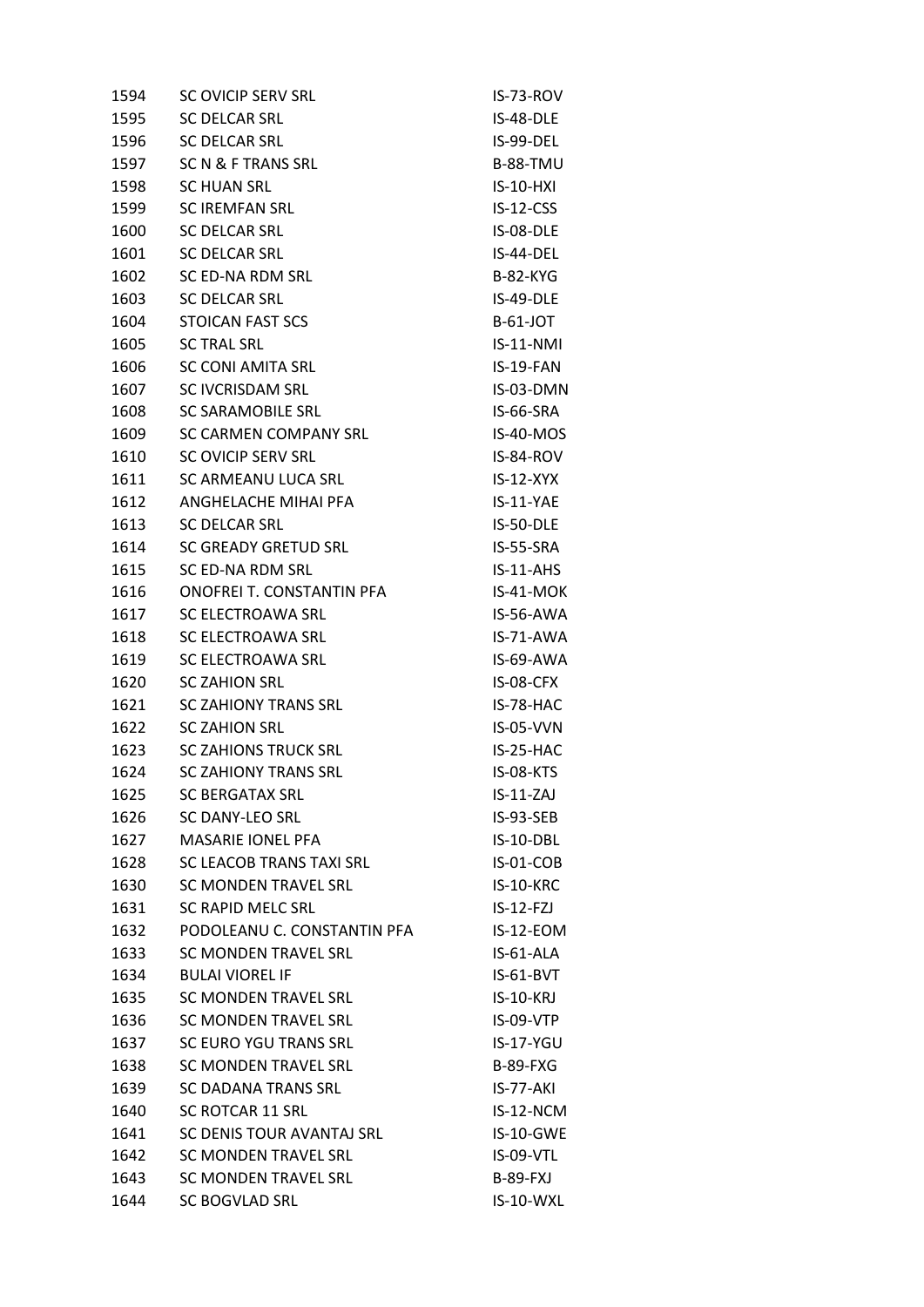| 1594 | SC OVICIP SERV SRL          | IS-73-ROV        |
|------|-----------------------------|------------------|
| 1595 | <b>SC DELCAR SRL</b>        | IS-48-DLE        |
| 1596 | <b>SC DELCAR SRL</b>        | IS-99-DEL        |
| 1597 | SC N & F TRANS SRL          | <b>B-88-TMU</b>  |
| 1598 | <b>SC HUAN SRL</b>          | $IS-10-HXI$      |
| 1599 | <b>SC IREMFAN SRL</b>       | $IS-12-CSS$      |
| 1600 | <b>SC DELCAR SRL</b>        | IS-08-DLE        |
| 1601 | <b>SC DELCAR SRL</b>        | IS-44-DEL        |
| 1602 | SC ED-NA RDM SRL            | <b>B-82-KYG</b>  |
| 1603 | <b>SC DELCAR SRL</b>        | IS-49-DLE        |
| 1604 | STOICAN FAST SCS            | <b>B-61-JOT</b>  |
| 1605 | <b>SC TRAL SRL</b>          | $IS-11-NMI$      |
| 1606 | SC CONI AMITA SRL           | IS-19-FAN        |
| 1607 | <b>SC IVCRISDAM SRL</b>     | IS-03-DMN        |
| 1608 | SC SARAMOBILE SRL           | IS-66-SRA        |
| 1609 | SC CARMEN COMPANY SRL       | IS-40-MOS        |
| 1610 | SC OVICIP SERV SRL          | IS-84-ROV        |
| 1611 | SC ARMEANU LUCA SRL         | $IS-12-XYX$      |
| 1612 | ANGHELACHE MIHAI PFA        | IS-11-YAE        |
| 1613 | <b>SC DELCAR SRL</b>        | IS-50-DLE        |
| 1614 | SC GREADY GRETUD SRL        | IS-55-SRA        |
| 1615 | SC ED-NA RDM SRL            | $IS-11-AHS$      |
| 1616 | ONOFREI T. CONSTANTIN PFA   | IS-41-MOK        |
| 1617 | SC ELECTROAWA SRL           | IS-56-AWA        |
| 1618 | SC ELECTROAWA SRL           | IS-71-AWA        |
| 1619 | SC ELECTROAWA SRL           | IS-69-AWA        |
| 1620 | <b>SC ZAHION SRL</b>        | IS-08-CFX        |
| 1621 | <b>SC ZAHIONY TRANS SRL</b> | IS-78-HAC        |
| 1622 | <b>SC ZAHION SRL</b>        | <b>IS-05-VVN</b> |
| 1623 | <b>SC ZAHIONS TRUCK SRL</b> | IS-25-HAC        |
| 1624 | <b>SC ZAHIONY TRANS SRL</b> | IS-08-KTS        |
| 1625 | <b>SC BERGATAX SRL</b>      | $IS-11-ZAJ$      |
| 1626 | <b>SC DANY-LEO SRL</b>      | IS-93-SEB        |
| 1627 | <b>MASARIE IONEL PFA</b>    | IS-10-DBL        |
| 1628 | SC LEACOB TRANS TAXI SRL    | IS-01-COB        |
| 1630 | SC MONDEN TRAVEL SRL        | <b>IS-10-KRC</b> |
| 1631 | SC RAPID MELC SRL           | $IS-12-FZJ$      |
| 1632 | PODOLEANU C. CONSTANTIN PFA | IS-12-EOM        |
| 1633 | SC MONDEN TRAVEL SRL        | IS-61-ALA        |
| 1634 | <b>BULAI VIOREL IF</b>      | IS-61-BVT        |
| 1635 | <b>SC MONDEN TRAVEL SRL</b> | <b>IS-10-KRJ</b> |
| 1636 | <b>SC MONDEN TRAVEL SRL</b> | IS-09-VTP        |
| 1637 | SC EURO YGU TRANS SRL       | $IS-17-YGU$      |
| 1638 | SC MONDEN TRAVEL SRL        | <b>B-89-FXG</b>  |
| 1639 | <b>SC DADANA TRANS SRL</b>  | IS-77-AKI        |
| 1640 | SC ROTCAR 11 SRL            | IS-12-NCM        |
| 1641 | SC DENIS TOUR AVANTAJ SRL   | IS-10-GWE        |
| 1642 | <b>SC MONDEN TRAVEL SRL</b> | IS-09-VTL        |
| 1643 | SC MONDEN TRAVEL SRL        | <b>B-89-FXJ</b>  |
| 1644 | SC BOGVLAD SRL              | IS-10-WXL        |
|      |                             |                  |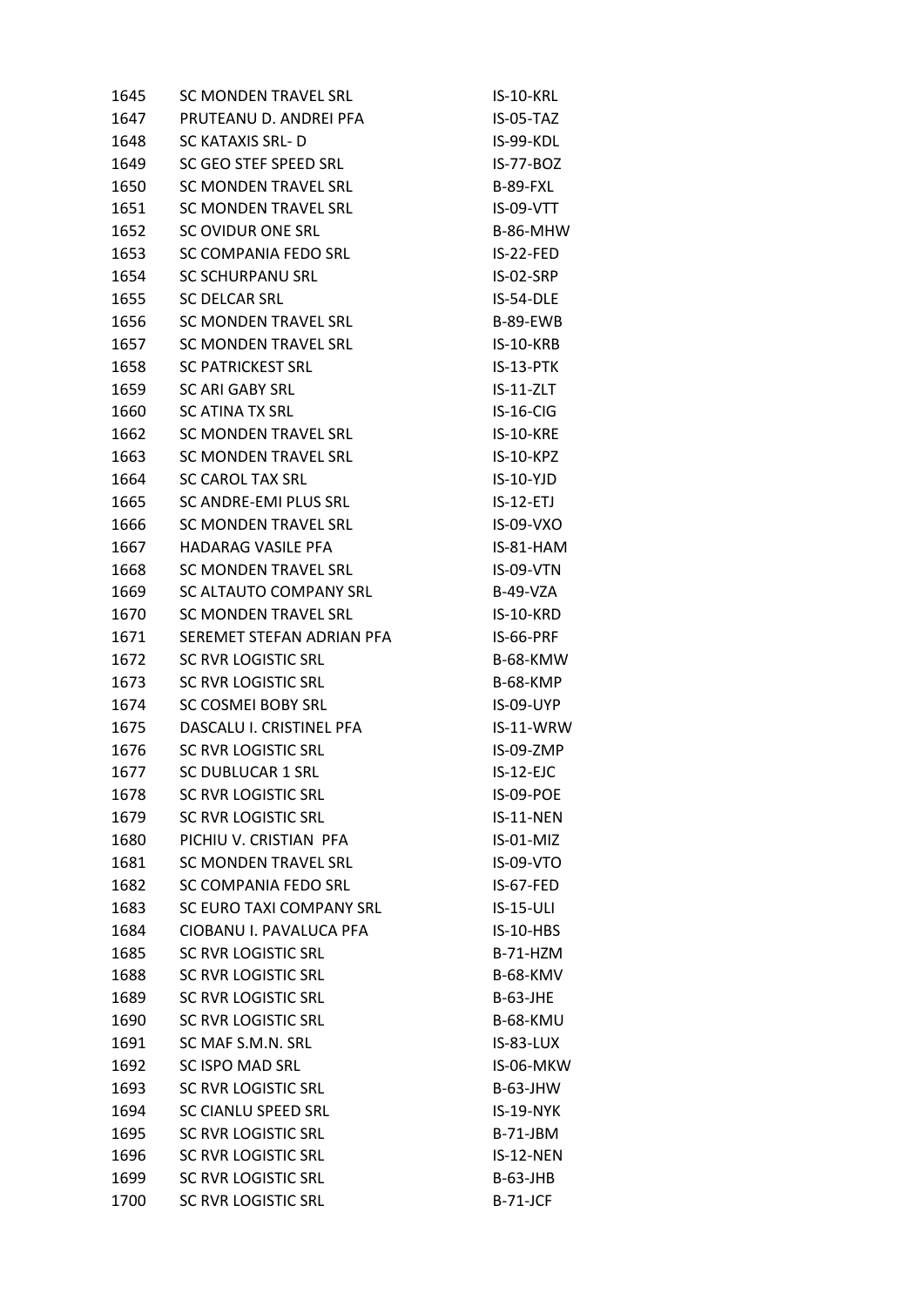| 1645 | <b>SC MONDEN TRAVEL SRL</b> | IS-10-KRL        |
|------|-----------------------------|------------------|
| 1647 | PRUTEANU D. ANDREI PFA      | IS-05-TAZ        |
| 1648 | SC KATAXIS SRL- D           | IS-99-KDL        |
| 1649 | SC GEO STEF SPEED SRL       | <b>IS-77-BOZ</b> |
| 1650 | SC MONDEN TRAVEL SRL        | B-89-FXL         |
| 1651 | SC MONDEN TRAVEL SRL        | IS-09-VTT        |
| 1652 | SC OVIDUR ONE SRL           | <b>B-86-MHW</b>  |
| 1653 | SC COMPANIA FEDO SRL        | $IS-22-FED$      |
| 1654 | <b>SC SCHURPANU SRL</b>     | IS-02-SRP        |
| 1655 | <b>SC DELCAR SRL</b>        | IS-54-DLE        |
| 1656 | SC MONDEN TRAVEL SRL        | <b>B-89-EWB</b>  |
| 1657 | SC MONDEN TRAVEL SRL        | IS-10-KRB        |
| 1658 | <b>SC PATRICKEST SRL</b>    | $IS-13-PTK$      |
| 1659 | <b>SC ARI GABY SRL</b>      | IS-11-ZLT        |
| 1660 | SC ATINA TX SRL             | $IS-16-ClG$      |
| 1662 | SC MONDEN TRAVEL SRL        | $IS-10-KRE$      |
| 1663 | SC MONDEN TRAVEL SRL        | $IS-10-KPZ$      |
| 1664 | <b>SC CAROL TAX SRL</b>     | $IS-10-YJD$      |
| 1665 | SC ANDRE-EMI PLUS SRL       | $IS-12-ETJ$      |
| 1666 | SC MONDEN TRAVEL SRL        | IS-09-VXO        |
| 1667 | <b>HADARAG VASILE PFA</b>   | IS-81-HAM        |
| 1668 | SC MONDEN TRAVEL SRL        | IS-09-VTN        |
| 1669 | SC ALTAUTO COMPANY SRL      | <b>B-49-VZA</b>  |
| 1670 | SC MONDEN TRAVEL SRL        | IS-10-KRD        |
| 1671 | SEREMET STEFAN ADRIAN PFA   | IS-66-PRF        |
| 1672 | SC RVR LOGISTIC SRL         | <b>B-68-KMW</b>  |
| 1673 | SC RVR LOGISTIC SRL         | <b>B-68-KMP</b>  |
| 1674 | SC COSMEI BOBY SRL          | IS-09-UYP        |
| 1675 | DASCALU I. CRISTINEL PFA    | $IS-11-WRW$      |
| 1676 | SC RVR LOGISTIC SRL         | IS-09-ZMP        |
| 1677 | <b>SC DUBLUCAR 1 SRL</b>    | $IS-12-EJC$      |
| 1678 | <b>SC RVR LOGISTIC SRL</b>  | IS-09-POE        |
| 1679 | <b>SC RVR LOGISTIC SRL</b>  | IS-11-NEN        |
| 1680 | PICHIU V. CRISTIAN PFA      | IS-01-MIZ        |
| 1681 | <b>SC MONDEN TRAVEL SRL</b> | IS-09-VTO        |
| 1682 | SC COMPANIA FEDO SRL        | IS-67-FED        |
| 1683 | SC EURO TAXI COMPANY SRL    | $IS-15-ULI$      |
| 1684 | CIOBANU I. PAVALUCA PFA     | IS-10-HBS        |
| 1685 | <b>SC RVR LOGISTIC SRL</b>  | $B-71-HZM$       |
| 1688 | SC RVR LOGISTIC SRL         | <b>B-68-KMV</b>  |
| 1689 | <b>SC RVR LOGISTIC SRL</b>  | <b>B-63-JHE</b>  |
| 1690 | SC RVR LOGISTIC SRL         | <b>B-68-KMU</b>  |
| 1691 | SC MAF S.M.N. SRL           | IS-83-LUX        |
| 1692 | SC ISPO MAD SRL             | IS-06-MKW        |
| 1693 | <b>SC RVR LOGISTIC SRL</b>  | <b>B-63-JHW</b>  |
| 1694 | SC CIANLU SPEED SRL         | IS-19-NYK        |
| 1695 | SC RVR LOGISTIC SRL         | $B-71-JBM$       |
| 1696 | <b>SC RVR LOGISTIC SRL</b>  | IS-12-NEN        |
| 1699 | <b>SC RVR LOGISTIC SRL</b>  | $B-63-JHB$       |
| 1700 | SC RVR LOGISTIC SRL         | <b>B-71-JCF</b>  |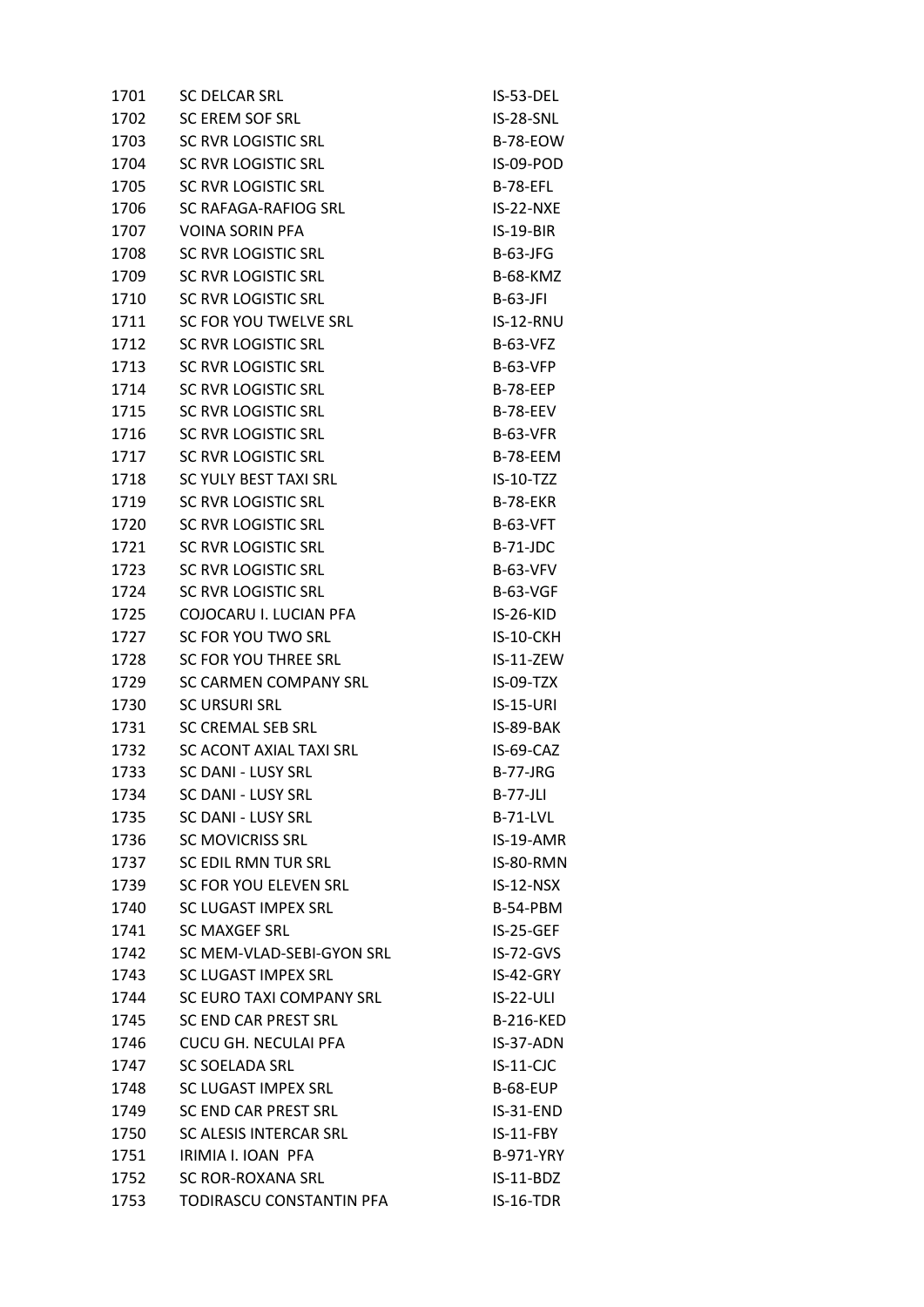| 1701 | <b>SC DELCAR SRL</b>        | IS-53-DEL        |
|------|-----------------------------|------------------|
| 1702 | SC EREM SOF SRL             | IS-28-SNL        |
| 1703 | SC RVR LOGISTIC SRL         | <b>B-78-EOW</b>  |
| 1704 | SC RVR LOGISTIC SRL         | IS-09-POD        |
| 1705 | SC RVR LOGISTIC SRL         | <b>B-78-EFL</b>  |
| 1706 | SC RAFAGA-RAFIOG SRL        | IS-22-NXE        |
| 1707 | <b>VOINA SORIN PFA</b>      | $IS-19-BIR$      |
| 1708 | <b>SC RVR LOGISTIC SRL</b>  | B-63-JFG         |
| 1709 | SC RVR LOGISTIC SRL         | <b>B-68-KMZ</b>  |
| 1710 | SC RVR LOGISTIC SRL         | $B-63-JFI$       |
| 1711 | SC FOR YOU TWELVE SRL       | IS-12-RNU        |
| 1712 | <b>SC RVR LOGISTIC SRL</b>  | <b>B-63-VFZ</b>  |
| 1713 | SC RVR LOGISTIC SRL         | <b>B-63-VFP</b>  |
| 1714 | SC RVR LOGISTIC SRL         | <b>B-78-EEP</b>  |
| 1715 | <b>SC RVR LOGISTIC SRL</b>  | <b>B-78-EEV</b>  |
| 1716 | SC RVR LOGISTIC SRL         | B-63-VFR         |
| 1717 | <b>SC RVR LOGISTIC SRL</b>  | B-78-EEM         |
| 1718 | SC YULY BEST TAXI SRL       | $IS-10-TZZ$      |
| 1719 | SC RVR LOGISTIC SRL         | <b>B-78-EKR</b>  |
| 1720 | SC RVR LOGISTIC SRL         | <b>B-63-VFT</b>  |
| 1721 | SC RVR LOGISTIC SRL         | B-71-JDC         |
| 1723 | SC RVR LOGISTIC SRL         | <b>B-63-VFV</b>  |
| 1724 | SC RVR LOGISTIC SRL         | <b>B-63-VGF</b>  |
| 1725 | COJOCARU I. LUCIAN PFA      | IS-26-KID        |
| 1727 | SC FOR YOU TWO SRL          | IS-10-CKH        |
| 1728 | SC FOR YOU THREE SRL        | IS-11-ZEW        |
| 1729 | SC CARMEN COMPANY SRL       | IS-09-TZX        |
| 1730 | <b>SC URSURI SRL</b>        | <b>IS-15-URI</b> |
| 1731 | <b>SC CREMAL SEB SRL</b>    | IS-89-BAK        |
| 1732 | SC ACONT AXIAL TAXI SRL     | IS-69-CAZ        |
| 1733 | SC DANI - LUSY SRL          | <b>B-77-JRG</b>  |
| 1734 | SC DANI - LUSY SRL          | <b>B-77-JLI</b>  |
| 1735 | SC DANI - LUSY SRL          | <b>B-71-LVL</b>  |
| 1736 | <b>SC MOVICRISS SRL</b>     | IS-19-AMR        |
| 1737 | SC EDIL RMN TUR SRL         | IS-80-RMN        |
| 1739 | SC FOR YOU ELEVEN SRL       | $IS-12-NSX$      |
| 1740 | SC LUGAST IMPEX SRL         | B-54-PBM         |
| 1741 | <b>SC MAXGEF SRL</b>        | IS-25-GEF        |
| 1742 | SC MEM-VLAD-SEBI-GYON SRL   | $IS-72-GVS$      |
| 1743 | SC LUGAST IMPEX SRL         | IS-42-GRY        |
| 1744 | SC EURO TAXI COMPANY SRL    | <b>IS-22-ULI</b> |
| 1745 | SC END CAR PREST SRL        | <b>B-216-KED</b> |
| 1746 | <b>CUCU GH. NECULAI PFA</b> | IS-37-ADN        |
| 1747 | <b>SC SOELADA SRL</b>       | $IS-11-CJC$      |
| 1748 | SC LUGAST IMPEX SRL         | <b>B-68-EUP</b>  |
| 1749 | <b>SC END CAR PREST SRL</b> | IS-31-END        |
| 1750 | SC ALESIS INTERCAR SRL      | $IS-11-FBY$      |
| 1751 | IRIMIA I. IOAN PFA          | <b>B-971-YRY</b> |
| 1752 | SC ROR-ROXANA SRL           | $IS-11-BDZ$      |
| 1753 | TODIRASCU CONSTANTIN PFA    | IS-16-TDR        |